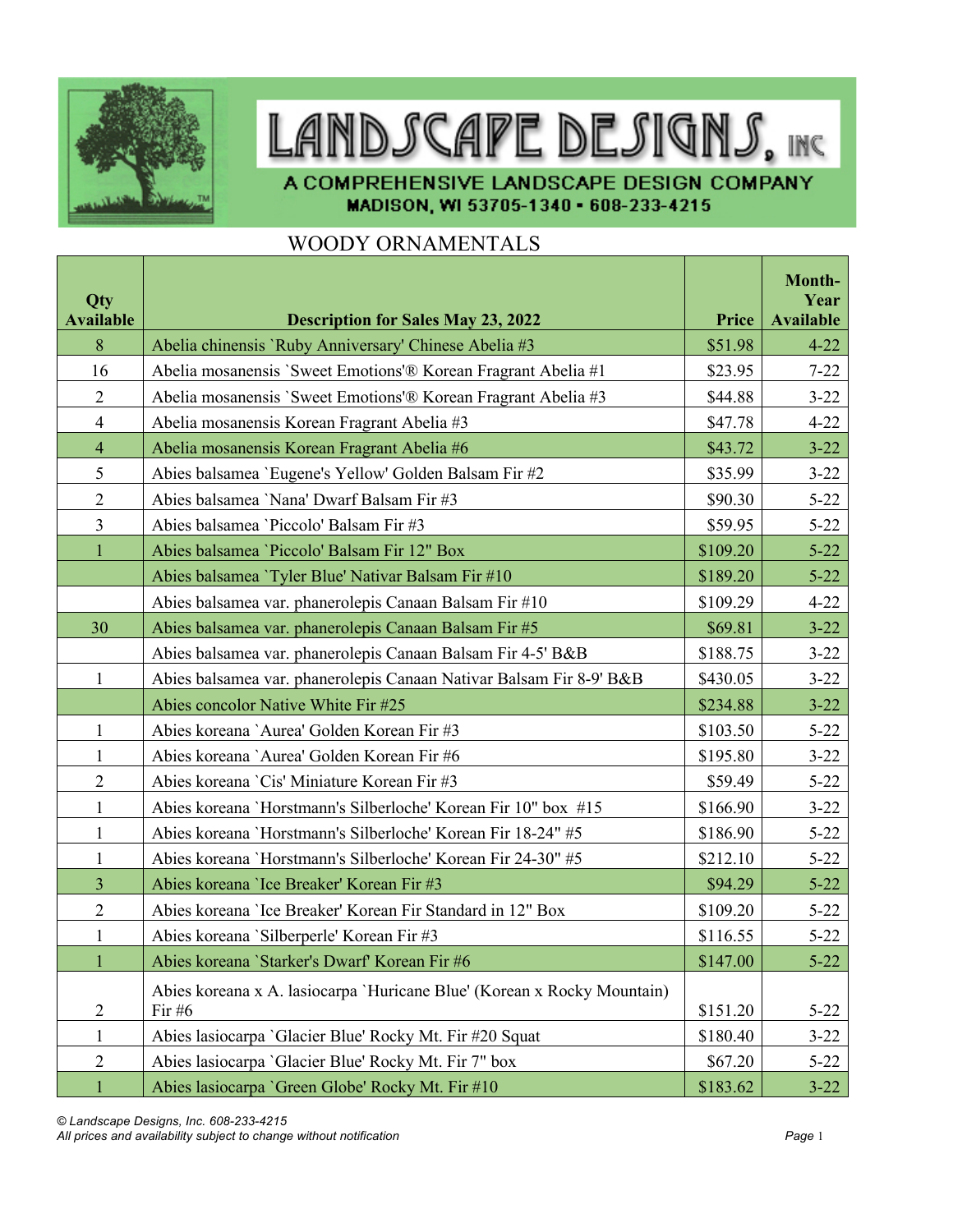

## LANDSCAPE DESIGNS, INC

A COMPREHENSIVE LANDSCAPE DESIGN COMPANY MADISON, WI 53705-1340 - 608-233-4215

## WOODY ORNAMENTALS

| Qty<br><b>Available</b> | <b>Description for Sales May 23, 2022</b>                                           | Price    | Month-<br>Year<br><b>Available</b> |
|-------------------------|-------------------------------------------------------------------------------------|----------|------------------------------------|
| 8                       | Abelia chinensis 'Ruby Anniversary' Chinese Abelia #3                               | \$51.98  | $4 - 22$                           |
| 16                      | Abelia mosanensis 'Sweet Emotions'® Korean Fragrant Abelia #1                       | \$23.95  | $7 - 22$                           |
| $\overline{2}$          | Abelia mosanensis `Sweet Emotions'® Korean Fragrant Abelia #3                       | \$44.88  | $3 - 22$                           |
| $\overline{4}$          | Abelia mosanensis Korean Fragrant Abelia #3                                         | \$47.78  | $4 - 22$                           |
| $\overline{4}$          | Abelia mosanensis Korean Fragrant Abelia #6                                         | \$43.72  | $3 - 22$                           |
| 5                       | Abies balsamea 'Eugene's Yellow' Golden Balsam Fir #2                               | \$35.99  | $3 - 22$                           |
| $\overline{2}$          | Abies balsamea 'Nana' Dwarf Balsam Fir #3                                           | \$90.30  | $5 - 22$                           |
| $\overline{3}$          | Abies balsamea 'Piccolo' Balsam Fir #3                                              | \$59.95  | $5 - 22$                           |
| $\mathbf{1}$            | Abies balsamea 'Piccolo' Balsam Fir 12" Box                                         | \$109.20 | $5 - 22$                           |
|                         | Abies balsamea 'Tyler Blue' Nativar Balsam Fir #10                                  | \$189.20 | $5 - 22$                           |
|                         | Abies balsamea var. phanerolepis Canaan Balsam Fir #10                              | \$109.29 | $4 - 22$                           |
| 30                      | Abies balsamea var. phanerolepis Canaan Balsam Fir #5                               | \$69.81  | $3 - 22$                           |
|                         | Abies balsamea var. phanerolepis Canaan Balsam Fir 4-5' B&B                         | \$188.75 | $3 - 22$                           |
| $\mathbf{1}$            | Abies balsamea var. phanerolepis Canaan Nativar Balsam Fir 8-9' B&B                 | \$430.05 | $3 - 22$                           |
|                         | Abies concolor Native White Fir #25                                                 | \$234.88 | $3 - 22$                           |
| $\mathbf{1}$            | Abies koreana `Aurea' Golden Korean Fir #3                                          | \$103.50 | $5 - 22$                           |
| $\mathbf{1}$            | Abies koreana `Aurea' Golden Korean Fir #6                                          | \$195.80 | $3 - 22$                           |
| $\overline{2}$          | Abies koreana 'Cis' Miniature Korean Fir #3                                         | \$59.49  | $5 - 22$                           |
| $\mathbf{1}$            | Abies koreana 'Horstmann's Silberloche' Korean Fir 10" box #15                      | \$166.90 | $3 - 22$                           |
| $\mathbf{1}$            | Abies koreana 'Horstmann's Silberloche' Korean Fir 18-24" #5                        | \$186.90 | $5 - 22$                           |
| $\mathbf{1}$            | Abies koreana 'Horstmann's Silberloche' Korean Fir 24-30" #5                        | \$212.10 | $5 - 22$                           |
| 3                       | Abies koreana 'Ice Breaker' Korean Fir #3                                           | \$94.29  | $5 - 22$                           |
| $\overline{2}$          | Abies koreana 'Ice Breaker' Korean Fir Standard in 12" Box                          | \$109.20 | $5 - 22$                           |
| $\mathbf{1}$            | Abies koreana 'Silberperle' Korean Fir #3                                           | \$116.55 | $5 - 22$                           |
| $\mathbf{1}$            | Abies koreana 'Starker's Dwarf' Korean Fir #6                                       | \$147.00 | $5 - 22$                           |
| $\overline{2}$          | Abies koreana x A. lasiocarpa 'Huricane Blue' (Korean x Rocky Mountain)<br>Fir $#6$ | \$151.20 | $5 - 22$                           |
| $\mathbf{1}$            | Abies lasiocarpa 'Glacier Blue' Rocky Mt. Fir #20 Squat                             | \$180.40 | $3 - 22$                           |
| $\sqrt{2}$              | Abies lasiocarpa 'Glacier Blue' Rocky Mt. Fir 7" box                                | \$67.20  | $5 - 22$                           |
| $\mathbf{1}$            | Abies lasiocarpa 'Green Globe' Rocky Mt. Fir #10                                    | \$183.62 | $3 - 22$                           |

*© Landscape Designs, Inc. 608-233-4215 All prices and availability subject to change without notification Page* 1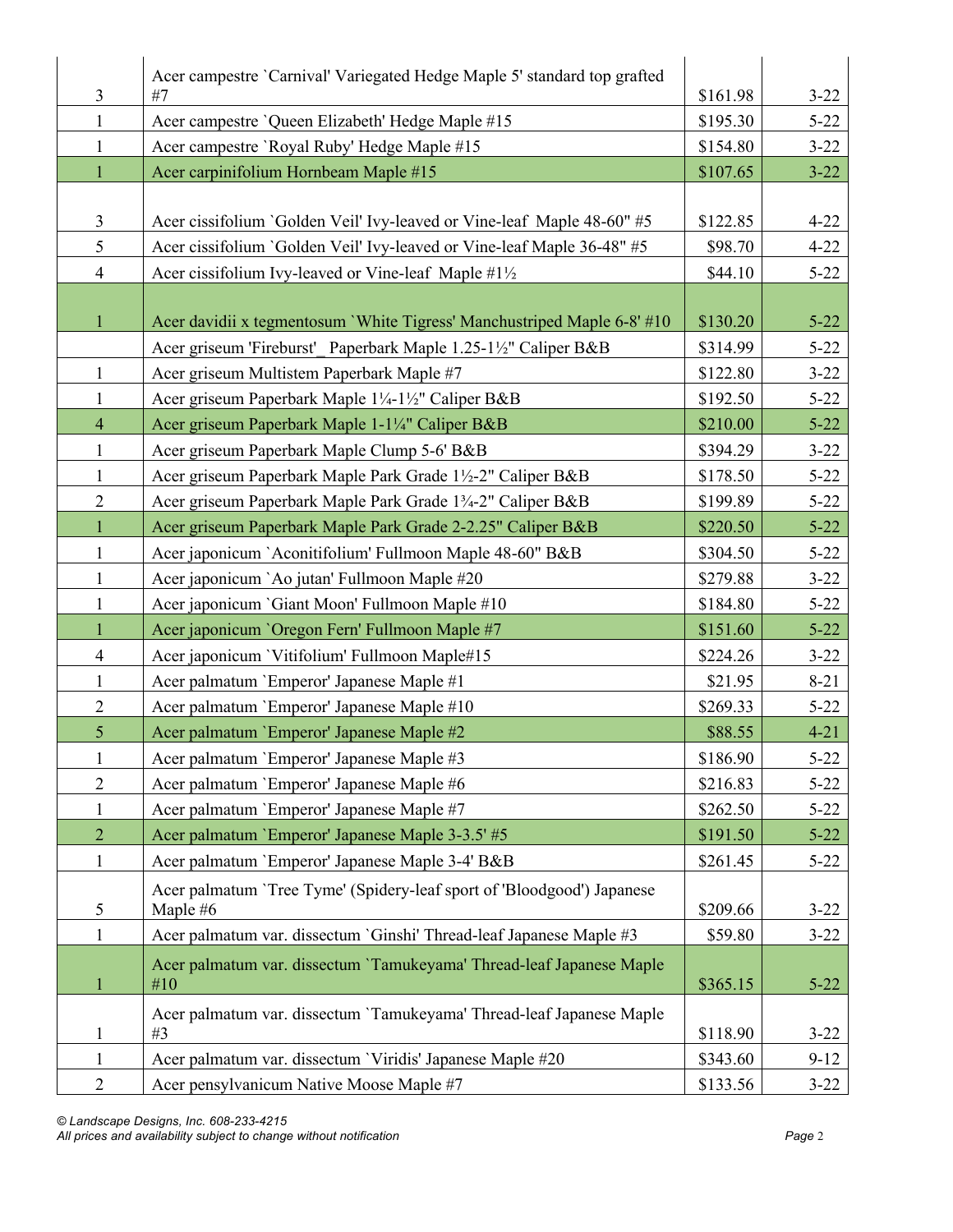| Acer campestre 'Carnival' Variegated Hedge Maple 5' standard top grafted<br>3<br>#7<br>\$161.98<br>$3 - 22$<br>Acer campestre 'Queen Elizabeth' Hedge Maple #15<br>\$195.30<br>$\mathbf{1}$<br>$5 - 22$<br>Acer campestre 'Royal Ruby' Hedge Maple #15<br>\$154.80<br>$3 - 22$<br>$\mathbf{1}$<br>$\mathbf{1}$<br>Acer carpinifolium Hornbeam Maple #15<br>\$107.65<br>$3 - 22$<br>$\mathfrak{Z}$<br>Acer cissifolium `Golden Veil' Ivy-leaved or Vine-leaf Maple 48-60" #5<br>\$122.85<br>$4 - 22$<br>5<br>Acer cissifolium `Golden Veil' Ivy-leaved or Vine-leaf Maple 36-48" #5<br>\$98.70<br>$4 - 22$<br>$\overline{4}$<br>Acer cissifolium Ivy-leaved or Vine-leaf Maple #1½<br>\$44.10<br>$5 - 22$<br>Acer davidii x tegmentosum 'White Tigress' Manchustriped Maple 6-8' #10<br>\$130.20<br>$5 - 22$<br>$\mathbf{1}$<br>Acer griseum 'Fireburst' Paperbark Maple 1.25-1½" Caliper B&B<br>\$314.99<br>$5 - 22$ |
|----------------------------------------------------------------------------------------------------------------------------------------------------------------------------------------------------------------------------------------------------------------------------------------------------------------------------------------------------------------------------------------------------------------------------------------------------------------------------------------------------------------------------------------------------------------------------------------------------------------------------------------------------------------------------------------------------------------------------------------------------------------------------------------------------------------------------------------------------------------------------------------------------------------------|
|                                                                                                                                                                                                                                                                                                                                                                                                                                                                                                                                                                                                                                                                                                                                                                                                                                                                                                                      |
|                                                                                                                                                                                                                                                                                                                                                                                                                                                                                                                                                                                                                                                                                                                                                                                                                                                                                                                      |
|                                                                                                                                                                                                                                                                                                                                                                                                                                                                                                                                                                                                                                                                                                                                                                                                                                                                                                                      |
|                                                                                                                                                                                                                                                                                                                                                                                                                                                                                                                                                                                                                                                                                                                                                                                                                                                                                                                      |
|                                                                                                                                                                                                                                                                                                                                                                                                                                                                                                                                                                                                                                                                                                                                                                                                                                                                                                                      |
|                                                                                                                                                                                                                                                                                                                                                                                                                                                                                                                                                                                                                                                                                                                                                                                                                                                                                                                      |
|                                                                                                                                                                                                                                                                                                                                                                                                                                                                                                                                                                                                                                                                                                                                                                                                                                                                                                                      |
|                                                                                                                                                                                                                                                                                                                                                                                                                                                                                                                                                                                                                                                                                                                                                                                                                                                                                                                      |
|                                                                                                                                                                                                                                                                                                                                                                                                                                                                                                                                                                                                                                                                                                                                                                                                                                                                                                                      |
|                                                                                                                                                                                                                                                                                                                                                                                                                                                                                                                                                                                                                                                                                                                                                                                                                                                                                                                      |
|                                                                                                                                                                                                                                                                                                                                                                                                                                                                                                                                                                                                                                                                                                                                                                                                                                                                                                                      |
| Acer griseum Multistem Paperbark Maple #7<br>$\mathbf{1}$<br>\$122.80<br>$3 - 22$                                                                                                                                                                                                                                                                                                                                                                                                                                                                                                                                                                                                                                                                                                                                                                                                                                    |
| \$192.50<br>$5 - 22$<br>$\mathbf{1}$<br>Acer griseum Paperbark Maple 1¼-1½" Caliper B&B                                                                                                                                                                                                                                                                                                                                                                                                                                                                                                                                                                                                                                                                                                                                                                                                                              |
| $\overline{4}$<br>Acer griseum Paperbark Maple 1-1¼" Caliper B&B<br>\$210.00<br>$5 - 22$                                                                                                                                                                                                                                                                                                                                                                                                                                                                                                                                                                                                                                                                                                                                                                                                                             |
| $\mathbf{1}$<br>\$394.29<br>Acer griseum Paperbark Maple Clump 5-6' B&B<br>$3 - 22$                                                                                                                                                                                                                                                                                                                                                                                                                                                                                                                                                                                                                                                                                                                                                                                                                                  |
| Acer griseum Paperbark Maple Park Grade 1½-2" Caliper B&B<br>\$178.50<br>$5 - 22$<br>$\mathbf{1}$                                                                                                                                                                                                                                                                                                                                                                                                                                                                                                                                                                                                                                                                                                                                                                                                                    |
| $\overline{2}$<br>Acer griseum Paperbark Maple Park Grade 13/4-2" Caliper B&B<br>\$199.89<br>$5 - 22$                                                                                                                                                                                                                                                                                                                                                                                                                                                                                                                                                                                                                                                                                                                                                                                                                |
| $\mathbf{1}$<br>Acer griseum Paperbark Maple Park Grade 2-2.25" Caliper B&B<br>$5 - 22$<br>\$220.50                                                                                                                                                                                                                                                                                                                                                                                                                                                                                                                                                                                                                                                                                                                                                                                                                  |
| $\mathbf{1}$<br>Acer japonicum `Aconitifolium' Fullmoon Maple 48-60" B&B<br>\$304.50<br>$5 - 22$                                                                                                                                                                                                                                                                                                                                                                                                                                                                                                                                                                                                                                                                                                                                                                                                                     |
| Acer japonicum `Ao jutan' Fullmoon Maple #20<br>\$279.88<br>$\mathbf{1}$<br>$3 - 22$                                                                                                                                                                                                                                                                                                                                                                                                                                                                                                                                                                                                                                                                                                                                                                                                                                 |
| Acer japonicum 'Giant Moon' Fullmoon Maple #10<br>\$184.80<br>$5 - 22$<br>$\mathbf{1}$                                                                                                                                                                                                                                                                                                                                                                                                                                                                                                                                                                                                                                                                                                                                                                                                                               |
| $\mathbf{1}$<br>Acer japonicum 'Oregon Fern' Fullmoon Maple #7<br>\$151.60<br>$5 - 22$                                                                                                                                                                                                                                                                                                                                                                                                                                                                                                                                                                                                                                                                                                                                                                                                                               |
| Acer japonicum 'Vitifolium' Fullmoon Maple#15<br>\$224.26<br>$\overline{4}$<br>$3 - 22$                                                                                                                                                                                                                                                                                                                                                                                                                                                                                                                                                                                                                                                                                                                                                                                                                              |
| Acer palmatum 'Emperor' Japanese Maple #1<br>\$21.95<br>$8 - 21$<br>$\mathbf{1}$                                                                                                                                                                                                                                                                                                                                                                                                                                                                                                                                                                                                                                                                                                                                                                                                                                     |
| $\mathbf{2}$<br>\$269.33<br>Acer palmatum 'Emperor' Japanese Maple #10<br>$5 - 22$                                                                                                                                                                                                                                                                                                                                                                                                                                                                                                                                                                                                                                                                                                                                                                                                                                   |
| 5<br>Acer palmatum 'Emperor' Japanese Maple #2<br>\$88.55<br>$4 - 21$                                                                                                                                                                                                                                                                                                                                                                                                                                                                                                                                                                                                                                                                                                                                                                                                                                                |
| Acer palmatum `Emperor' Japanese Maple #3<br>\$186.90<br>$5 - 22$                                                                                                                                                                                                                                                                                                                                                                                                                                                                                                                                                                                                                                                                                                                                                                                                                                                    |
| $\mathbf{2}$<br>Acer palmatum 'Emperor' Japanese Maple #6<br>\$216.83<br>$5 - 22$                                                                                                                                                                                                                                                                                                                                                                                                                                                                                                                                                                                                                                                                                                                                                                                                                                    |
| Acer palmatum 'Emperor' Japanese Maple #7<br>\$262.50<br>$5 - 22$<br>1                                                                                                                                                                                                                                                                                                                                                                                                                                                                                                                                                                                                                                                                                                                                                                                                                                               |
| $\overline{2}$<br>Acer palmatum 'Emperor' Japanese Maple 3-3.5' #5<br>\$191.50<br>$5 - 22$                                                                                                                                                                                                                                                                                                                                                                                                                                                                                                                                                                                                                                                                                                                                                                                                                           |
| $\mathbf{1}$<br>Acer palmatum 'Emperor' Japanese Maple 3-4' B&B<br>\$261.45<br>$5 - 22$                                                                                                                                                                                                                                                                                                                                                                                                                                                                                                                                                                                                                                                                                                                                                                                                                              |
| Acer palmatum 'Tree Tyme' (Spidery-leaf sport of 'Bloodgood') Japanese                                                                                                                                                                                                                                                                                                                                                                                                                                                                                                                                                                                                                                                                                                                                                                                                                                               |
| 5<br>Maple #6<br>\$209.66<br>$3 - 22$                                                                                                                                                                                                                                                                                                                                                                                                                                                                                                                                                                                                                                                                                                                                                                                                                                                                                |
| Acer palmatum var. dissectum 'Ginshi' Thread-leaf Japanese Maple #3<br>\$59.80<br>$3 - 22$<br>1                                                                                                                                                                                                                                                                                                                                                                                                                                                                                                                                                                                                                                                                                                                                                                                                                      |
| Acer palmatum var. dissectum 'Tamukeyama' Thread-leaf Japanese Maple<br>#10                                                                                                                                                                                                                                                                                                                                                                                                                                                                                                                                                                                                                                                                                                                                                                                                                                          |
| \$365.15<br>$5 - 22$<br>$\mathbf{1}$                                                                                                                                                                                                                                                                                                                                                                                                                                                                                                                                                                                                                                                                                                                                                                                                                                                                                 |
| Acer palmatum var. dissectum `Tamukeyama' Thread-leaf Japanese Maple<br>\$118.90<br>$3 - 22$<br>#3<br>$\mathbf{1}$                                                                                                                                                                                                                                                                                                                                                                                                                                                                                                                                                                                                                                                                                                                                                                                                   |
| Acer palmatum var. dissectum 'Viridis' Japanese Maple #20<br>$\mathbf{1}$<br>\$343.60<br>$9-12$                                                                                                                                                                                                                                                                                                                                                                                                                                                                                                                                                                                                                                                                                                                                                                                                                      |
| $\overline{2}$<br>Acer pensylvanicum Native Moose Maple #7<br>\$133.56<br>$3 - 22$                                                                                                                                                                                                                                                                                                                                                                                                                                                                                                                                                                                                                                                                                                                                                                                                                                   |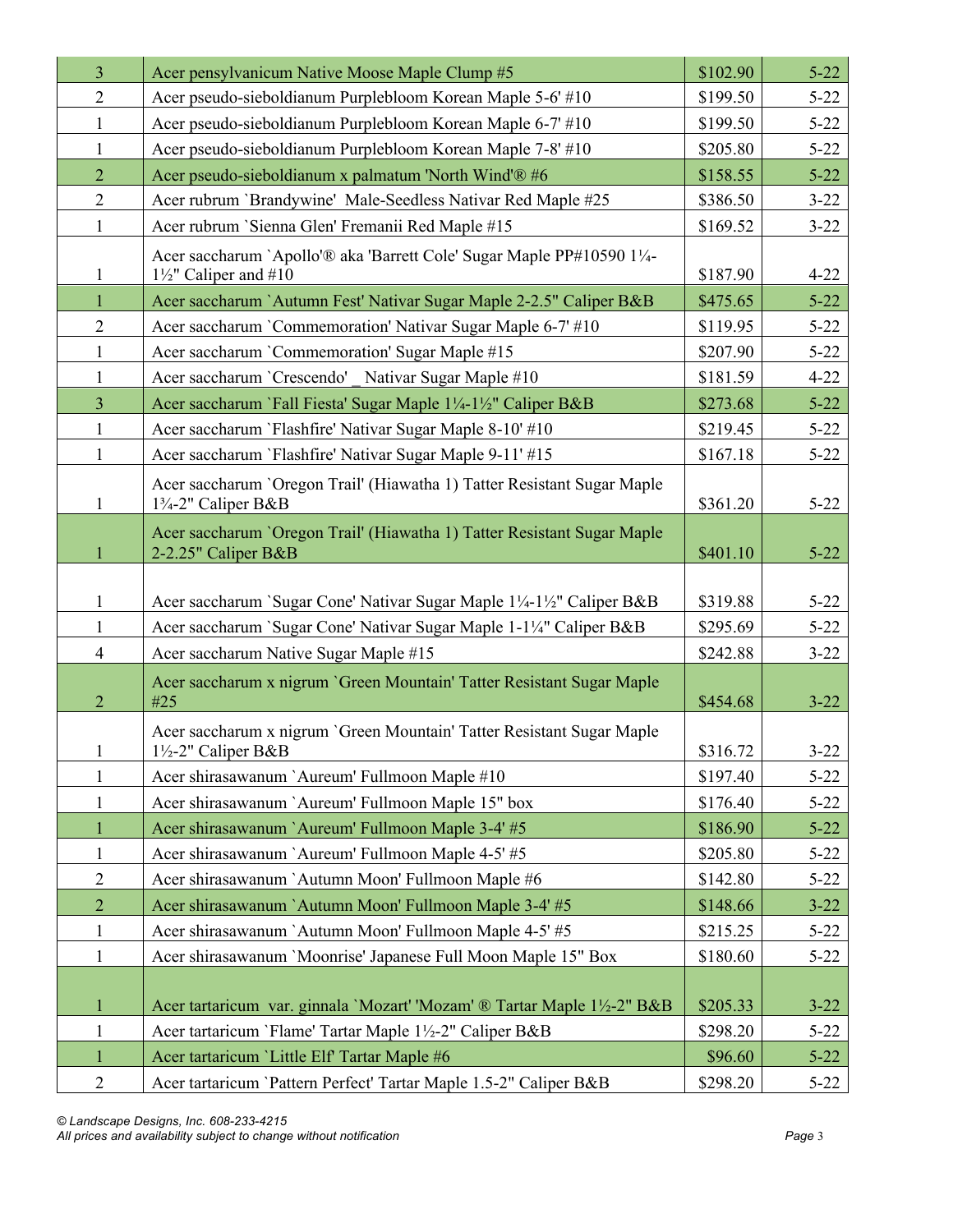| $\overline{3}$ | Acer pensylvanicum Native Moose Maple Clump #5                                                                           | \$102.90 | $5 - 22$ |
|----------------|--------------------------------------------------------------------------------------------------------------------------|----------|----------|
| $\overline{2}$ | Acer pseudo-sieboldianum Purplebloom Korean Maple 5-6' #10                                                               | \$199.50 | $5 - 22$ |
| 1              | Acer pseudo-sieboldianum Purplebloom Korean Maple 6-7' #10                                                               | \$199.50 | $5 - 22$ |
| $\mathbf{1}$   | Acer pseudo-sieboldianum Purplebloom Korean Maple 7-8' #10                                                               | \$205.80 | $5 - 22$ |
| $\overline{2}$ | Acer pseudo-sieboldianum x palmatum 'North Wind'® #6                                                                     | \$158.55 | $5 - 22$ |
| $\overline{2}$ | Acer rubrum 'Brandywine' Male-Seedless Nativar Red Maple #25                                                             | \$386.50 | $3 - 22$ |
| 1              | Acer rubrum `Sienna Glen' Fremanii Red Maple #15                                                                         | \$169.52 | $3 - 22$ |
| $\mathbf{1}$   | Acer saccharum `Apollo'® aka 'Barrett Cole' Sugar Maple PP#10590 11/4-<br>$1\frac{1}{2}$ " Caliper and #10               | \$187.90 | $4 - 22$ |
| $\mathbf{1}$   | Acer saccharum `Autumn Fest' Nativar Sugar Maple 2-2.5" Caliper B&B                                                      | \$475.65 | $5 - 22$ |
| $\overline{2}$ | Acer saccharum `Commemoration' Nativar Sugar Maple 6-7' #10                                                              | \$119.95 | $5 - 22$ |
| $\mathbf{1}$   | Acer saccharum `Commemoration' Sugar Maple #15                                                                           | \$207.90 | $5 - 22$ |
| 1              | Acer saccharum 'Crescendo' Nativar Sugar Maple #10                                                                       | \$181.59 | $4 - 22$ |
| $\overline{3}$ | Acer saccharum `Fall Fiesta' Sugar Maple 1¼-1½" Caliper B&B                                                              | \$273.68 | $5 - 22$ |
| $\mathbf{1}$   | Acer saccharum `Flashfire' Nativar Sugar Maple 8-10' #10                                                                 | \$219.45 | $5 - 22$ |
| $\mathbf{1}$   | Acer saccharum `Flashfire' Nativar Sugar Maple 9-11' #15                                                                 | \$167.18 | $5 - 22$ |
| 1              | Acer saccharum `Oregon Trail' (Hiawatha 1) Tatter Resistant Sugar Maple<br>1 <sup>3</sup> / <sub>4</sub> -2" Caliper B&B | \$361.20 | $5 - 22$ |
| 1              | Acer saccharum 'Oregon Trail' (Hiawatha 1) Tatter Resistant Sugar Maple<br>2-2.25" Caliper B&B                           | \$401.10 | $5 - 22$ |
| $\mathbf{1}$   | Acer saccharum `Sugar Cone' Nativar Sugar Maple 1¼-1½" Caliper B&B                                                       | \$319.88 | $5 - 22$ |
| 1              | Acer saccharum `Sugar Cone' Nativar Sugar Maple 1-1¼" Caliper B&B                                                        | \$295.69 | $5 - 22$ |
| $\overline{4}$ | Acer saccharum Native Sugar Maple #15                                                                                    | \$242.88 | $3 - 22$ |
| $\overline{2}$ | Acer saccharum x nigrum 'Green Mountain' Tatter Resistant Sugar Maple<br>#25                                             | \$454.68 | $3 - 22$ |
| $\mathbf{1}$   | Acer saccharum x nigrum 'Green Mountain' Tatter Resistant Sugar Maple<br>$1\frac{1}{2}$ -2" Caliper B&B                  | \$316.72 | $3 - 22$ |
| 1              | Acer shirasawanum 'Aureum' Fullmoon Maple #10                                                                            | \$197.40 | $5 - 22$ |
| 1              | Acer shirasawanum 'Aureum' Fullmoon Maple 15" box                                                                        | \$176.40 | $5 - 22$ |
| $\mathbf{1}$   | Acer shirasawanum `Aureum' Fullmoon Maple 3-4' #5                                                                        | \$186.90 | $5 - 22$ |
| $\mathbf{1}$   | Acer shirasawanum `Aureum' Fullmoon Maple 4-5' #5                                                                        | \$205.80 | $5 - 22$ |
| $\mathbf{2}$   | Acer shirasawanum `Autumn Moon' Fullmoon Maple #6                                                                        | \$142.80 | $5 - 22$ |
| $\overline{2}$ | Acer shirasawanum `Autumn Moon' Fullmoon Maple 3-4' #5                                                                   | \$148.66 | $3 - 22$ |
| $\mathbf{1}$   | Acer shirasawanum `Autumn Moon' Fullmoon Maple 4-5' #5                                                                   | \$215.25 | $5 - 22$ |
| $\mathbf{1}$   | Acer shirasawanum 'Moonrise' Japanese Full Moon Maple 15" Box                                                            | \$180.60 | $5 - 22$ |
| $\mathbf{1}$   | Acer tartaricum var. ginnala 'Mozart' 'Mozam' ® Tartar Maple 1½-2" B&B                                                   | \$205.33 | $3 - 22$ |
| $\mathbf{1}$   | Acer tartaricum 'Flame' Tartar Maple 1½-2" Caliper B&B                                                                   | \$298.20 | $5 - 22$ |
| $\mathbf{1}$   | Acer tartaricum 'Little Elf' Tartar Maple #6                                                                             | \$96.60  | $5 - 22$ |
| $\overline{2}$ | Acer tartaricum 'Pattern Perfect' Tartar Maple 1.5-2" Caliper B&B                                                        | \$298.20 | $5 - 22$ |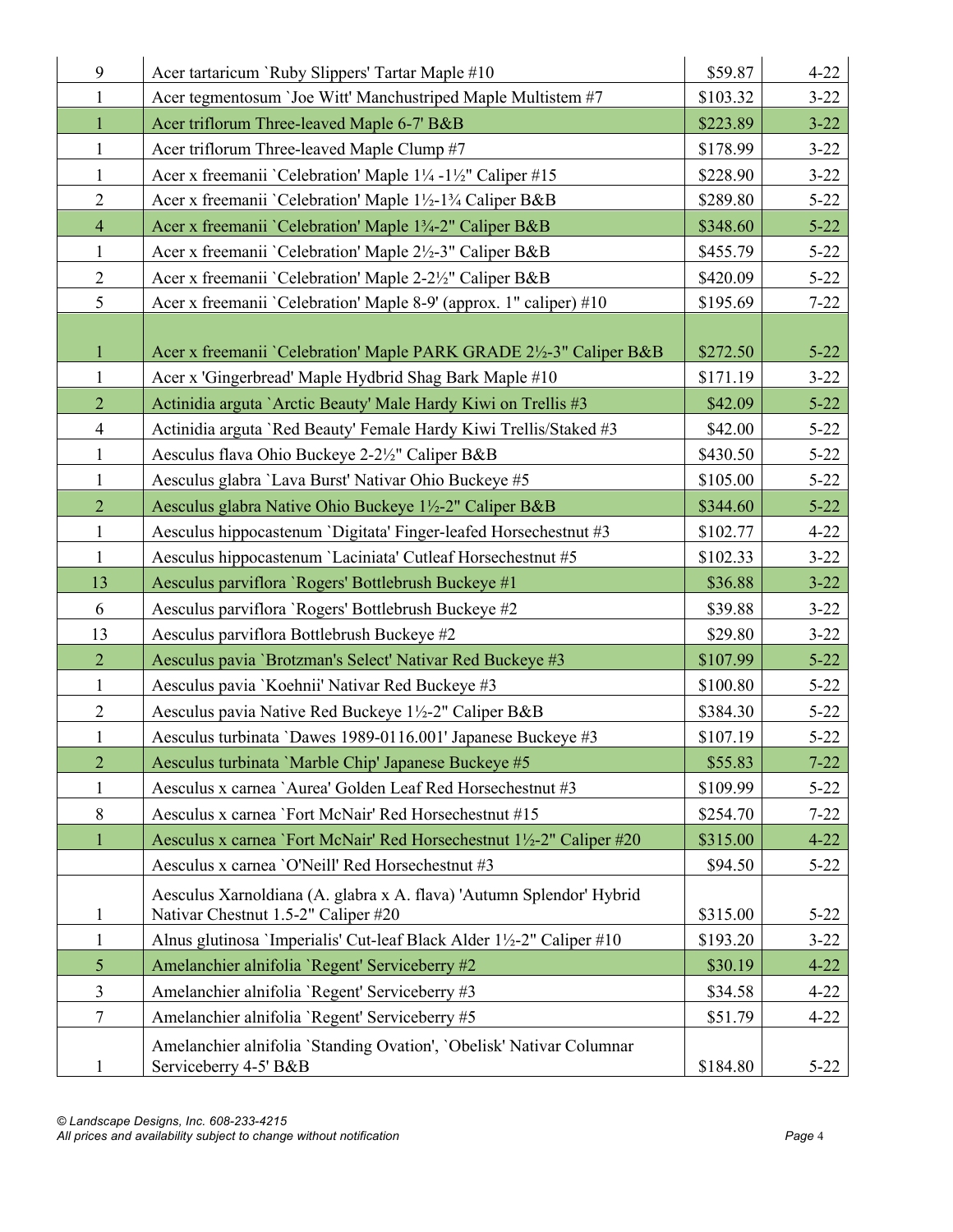| 9              | Acer tartaricum `Ruby Slippers' Tartar Maple #10                                                            | \$59.87  | $4 - 22$ |
|----------------|-------------------------------------------------------------------------------------------------------------|----------|----------|
| $\mathbf{1}$   | Acer tegmentosum 'Joe Witt' Manchustriped Maple Multistem #7                                                | \$103.32 | $3 - 22$ |
| $\mathbf{1}$   | Acer triflorum Three-leaved Maple 6-7' B&B                                                                  | \$223.89 | $3 - 22$ |
| $\mathbf{1}$   | Acer triflorum Three-leaved Maple Clump #7                                                                  | \$178.99 | $3 - 22$ |
| $\mathbf{1}$   | Acer x freemanii `Celebration' Maple 1¼ -1½" Caliper #15                                                    | \$228.90 | $3 - 22$ |
| $\overline{2}$ | Acer x freemanii `Celebration' Maple 1½-1¾ Caliper B&B                                                      | \$289.80 | $5 - 22$ |
| $\overline{4}$ | Acer x freemanii `Celebration' Maple 1 <sup>3</sup> / <sub>4</sub> -2" Caliper B&B                          | \$348.60 | $5 - 22$ |
| $\mathbf{1}$   | Acer x freemanii 'Celebration' Maple 2½-3" Caliper B&B                                                      | \$455.79 | $5 - 22$ |
| $\overline{2}$ | Acer x freemanii `Celebration' Maple 2-2½" Caliper B&B                                                      | \$420.09 | $5 - 22$ |
| 5              | Acer x freemanii `Celebration' Maple 8-9' (approx. 1" caliper) #10                                          | \$195.69 | $7 - 22$ |
| $\mathbf{1}$   | Acer x freemanii `Celebration' Maple PARK GRADE 2½-3" Caliper B&B                                           | \$272.50 | $5 - 22$ |
| $\mathbf{1}$   | Acer x 'Gingerbread' Maple Hydbrid Shag Bark Maple #10                                                      | \$171.19 | $3 - 22$ |
| $\overline{2}$ | Actinidia arguta `Arctic Beauty' Male Hardy Kiwi on Trellis #3                                              | \$42.09  | $5 - 22$ |
| $\overline{4}$ | Actinidia arguta 'Red Beauty' Female Hardy Kiwi Trellis/Staked #3                                           | \$42.00  | $5 - 22$ |
| $\mathbf{1}$   | Aesculus flava Ohio Buckeye 2-21/2" Caliper B&B                                                             | \$430.50 | $5 - 22$ |
| $\mathbf{1}$   | Aesculus glabra 'Lava Burst' Nativar Ohio Buckeye #5                                                        | \$105.00 | $5 - 22$ |
| $\overline{2}$ | Aesculus glabra Native Ohio Buckeye 1½-2" Caliper B&B                                                       | \$344.60 | $5 - 22$ |
| $\mathbf{1}$   | Aesculus hippocastenum `Digitata' Finger-leafed Horsechestnut #3                                            | \$102.77 | $4 - 22$ |
| $\mathbf{1}$   | Aesculus hippocastenum 'Laciniata' Cutleaf Horsechestnut #5                                                 | \$102.33 | $3 - 22$ |
| 13             | Aesculus parviflora 'Rogers' Bottlebrush Buckeye #1                                                         | \$36.88  |          |
|                |                                                                                                             |          | $3 - 22$ |
| 6              | Aesculus parviflora 'Rogers' Bottlebrush Buckeye #2                                                         | \$39.88  | $3 - 22$ |
| 13             | Aesculus parviflora Bottlebrush Buckeye #2                                                                  | \$29.80  | $3 - 22$ |
| $\overline{2}$ | Aesculus pavia 'Brotzman's Select' Nativar Red Buckeye #3                                                   | \$107.99 | $5 - 22$ |
| $\mathbf{1}$   | Aesculus pavia 'Koehnii' Nativar Red Buckeye #3                                                             | \$100.80 | $5 - 22$ |
| $\overline{2}$ | Aesculus pavia Native Red Buckeye 1½-2" Caliper B&B                                                         | \$384.30 | $5 - 22$ |
| $\mathbf{1}$   | Aesculus turbinata 'Dawes 1989-0116.001' Japanese Buckeye #3                                                | \$107.19 | $5 - 22$ |
| $\overline{2}$ | Aesculus turbinata 'Marble Chip' Japanese Buckeye #5                                                        | \$55.83  | $7 - 22$ |
| 1              | Aesculus x carnea `Aurea' Golden Leaf Red Horsechestnut #3                                                  | \$109.99 | $5 - 22$ |
| 8              | Aesculus x carnea `Fort McNair' Red Horsechestnut #15                                                       | \$254.70 | $7 - 22$ |
| $\mathbf{1}$   | Aesculus x carnea `Fort McNair' Red Horsechestnut 1½-2" Caliper #20                                         | \$315.00 | $4 - 22$ |
|                | Aesculus x carnea 'O'Neill' Red Horsechestnut #3                                                            | \$94.50  | $5 - 22$ |
| $\mathbf{1}$   | Aesculus Xarnoldiana (A. glabra x A. flava) 'Autumn Splendor' Hybrid<br>Nativar Chestnut 1.5-2" Caliper #20 | \$315.00 | $5 - 22$ |
| $\mathbf{1}$   | Alnus glutinosa 'Imperialis' Cut-leaf Black Alder 1½-2" Caliper #10                                         | \$193.20 | $3 - 22$ |
| 5              | Amelanchier alnifolia 'Regent' Serviceberry #2                                                              | \$30.19  | $4 - 22$ |
| 3              | Amelanchier alnifolia 'Regent' Serviceberry #3                                                              | \$34.58  | $4 - 22$ |
| $\tau$         | Amelanchier alnifolia 'Regent' Serviceberry #5                                                              | \$51.79  | $4 - 22$ |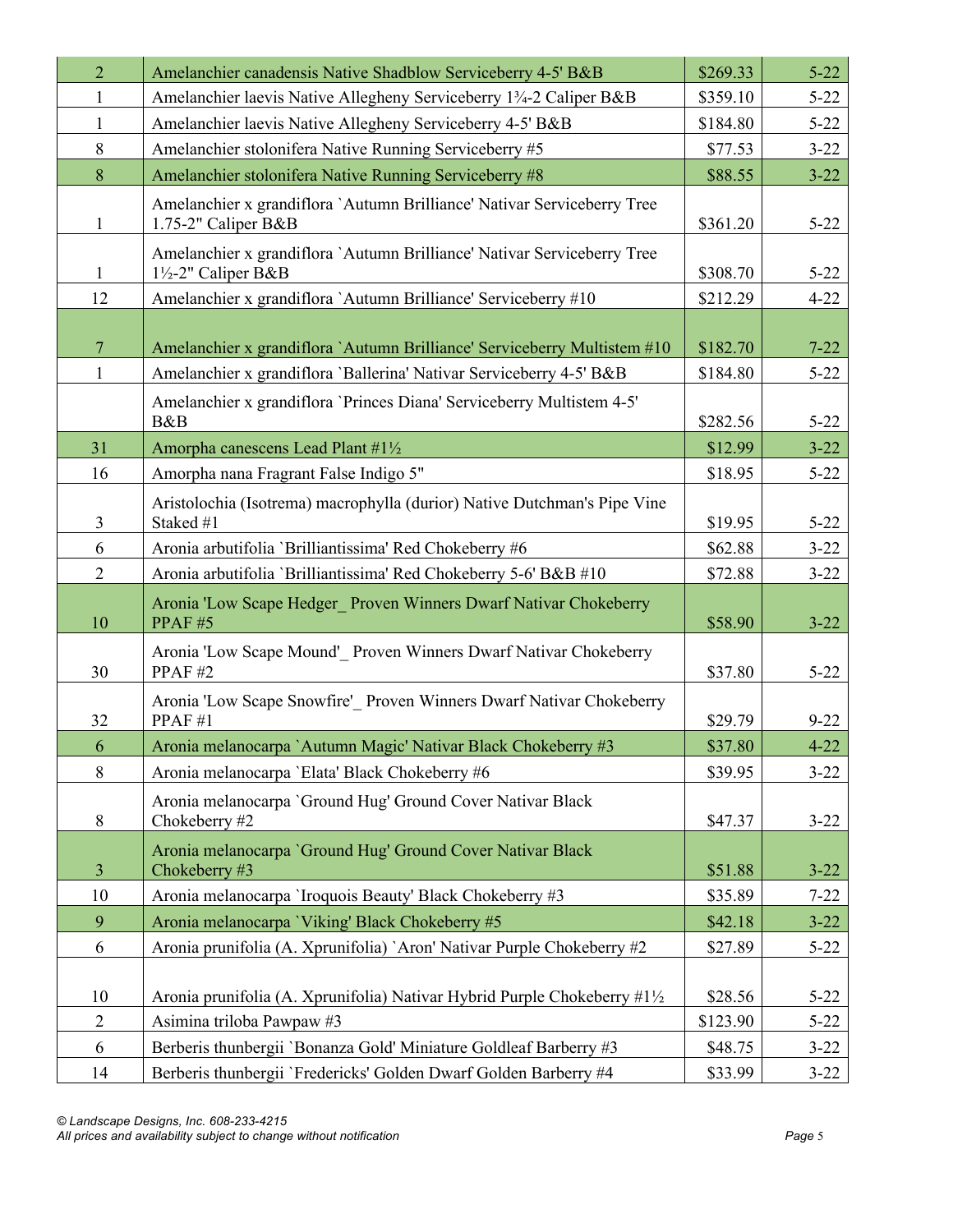| $\overline{2}$ | Amelanchier canadensis Native Shadblow Serviceberry 4-5' B&B                                   | \$269.33 | $5 - 22$ |
|----------------|------------------------------------------------------------------------------------------------|----------|----------|
| $\mathbf{1}$   | Amelanchier laevis Native Allegheny Serviceberry 13/4-2 Caliper B&B                            | \$359.10 | $5 - 22$ |
| 1              | Amelanchier laevis Native Allegheny Serviceberry 4-5' B&B                                      | \$184.80 | $5 - 22$ |
| 8              | Amelanchier stolonifera Native Running Serviceberry #5                                         | \$77.53  | $3 - 22$ |
| 8              | Amelanchier stolonifera Native Running Serviceberry #8                                         | \$88.55  | $3 - 22$ |
| 1              | Amelanchier x grandiflora `Autumn Brilliance' Nativar Serviceberry Tree<br>1.75-2" Caliper B&B | \$361.20 | $5 - 22$ |
| 1              | Amelanchier x grandiflora `Autumn Brilliance' Nativar Serviceberry Tree<br>1½-2" Caliper B&B   | \$308.70 | $5 - 22$ |
| 12             | Amelanchier x grandiflora `Autumn Brilliance' Serviceberry #10                                 | \$212.29 | $4 - 22$ |
| $\overline{7}$ | Amelanchier x grandiflora `Autumn Brilliance' Serviceberry Multistem #10                       | \$182.70 | $7 - 22$ |
| 1              | Amelanchier x grandiflora 'Ballerina' Nativar Serviceberry 4-5' B&B                            | \$184.80 | $5 - 22$ |
|                | Amelanchier x grandiflora 'Princes Diana' Serviceberry Multistem 4-5'<br>B&B                   | \$282.56 | $5 - 22$ |
| 31             | Amorpha canescens Lead Plant #1½                                                               | \$12.99  | $3 - 22$ |
| 16             | Amorpha nana Fragrant False Indigo 5"                                                          | \$18.95  | $5 - 22$ |
| $\mathfrak{Z}$ | Aristolochia (Isotrema) macrophylla (durior) Native Dutchman's Pipe Vine<br>Staked #1          | \$19.95  | $5 - 22$ |
| 6              | Aronia arbutifolia 'Brilliantissima' Red Chokeberry #6                                         | \$62.88  | $3 - 22$ |
| $\overline{2}$ | Aronia arbutifolia 'Brilliantissima' Red Chokeberry 5-6' B&B #10                               | \$72.88  | $3 - 22$ |
| 10             | Aronia 'Low Scape Hedger Proven Winners Dwarf Nativar Chokeberry<br>PPAF#5                     | \$58.90  | $3 - 22$ |
| 30             | Aronia 'Low Scape Mound' Proven Winners Dwarf Nativar Chokeberry<br>PPAF#2                     | \$37.80  | $5 - 22$ |
| 32             | Aronia 'Low Scape Snowfire' Proven Winners Dwarf Nativar Chokeberry<br>PPAF#1                  | \$29.79  | $9 - 22$ |
| 6              | Aronia melanocarpa `Autumn Magic' Nativar Black Chokeberry #3                                  | \$37.80  | $4 - 22$ |
| $\,8\,$        | Aronia melanocarpa 'Elata' Black Chokeberry #6                                                 | \$39.95  | $3 - 22$ |
| $\, 8$         | Aronia melanocarpa 'Ground Hug' Ground Cover Nativar Black<br>Chokeberry #2                    | \$47.37  | $3 - 22$ |
| $\mathfrak{Z}$ | Aronia melanocarpa 'Ground Hug' Ground Cover Nativar Black<br>Chokeberry #3                    | \$51.88  | $3 - 22$ |
| 10             | Aronia melanocarpa `Iroquois Beauty' Black Chokeberry #3                                       | \$35.89  | $7 - 22$ |
| 9              | Aronia melanocarpa 'Viking' Black Chokeberry #5                                                | \$42.18  | $3 - 22$ |
| 6              | Aronia prunifolia (A. Xprunifolia) `Aron' Nativar Purple Chokeberry #2                         | \$27.89  | $5 - 22$ |
| 10             | Aronia prunifolia (A. Xprunifolia) Nativar Hybrid Purple Chokeberry #1½                        | \$28.56  | $5 - 22$ |
| $\overline{2}$ | Asimina triloba Pawpaw #3                                                                      | \$123.90 | $5 - 22$ |
| 6              | Berberis thunbergii 'Bonanza Gold' Miniature Goldleaf Barberry #3                              | \$48.75  | $3 - 22$ |
| 14             | Berberis thunbergii 'Fredericks' Golden Dwarf Golden Barberry #4                               | \$33.99  | $3 - 22$ |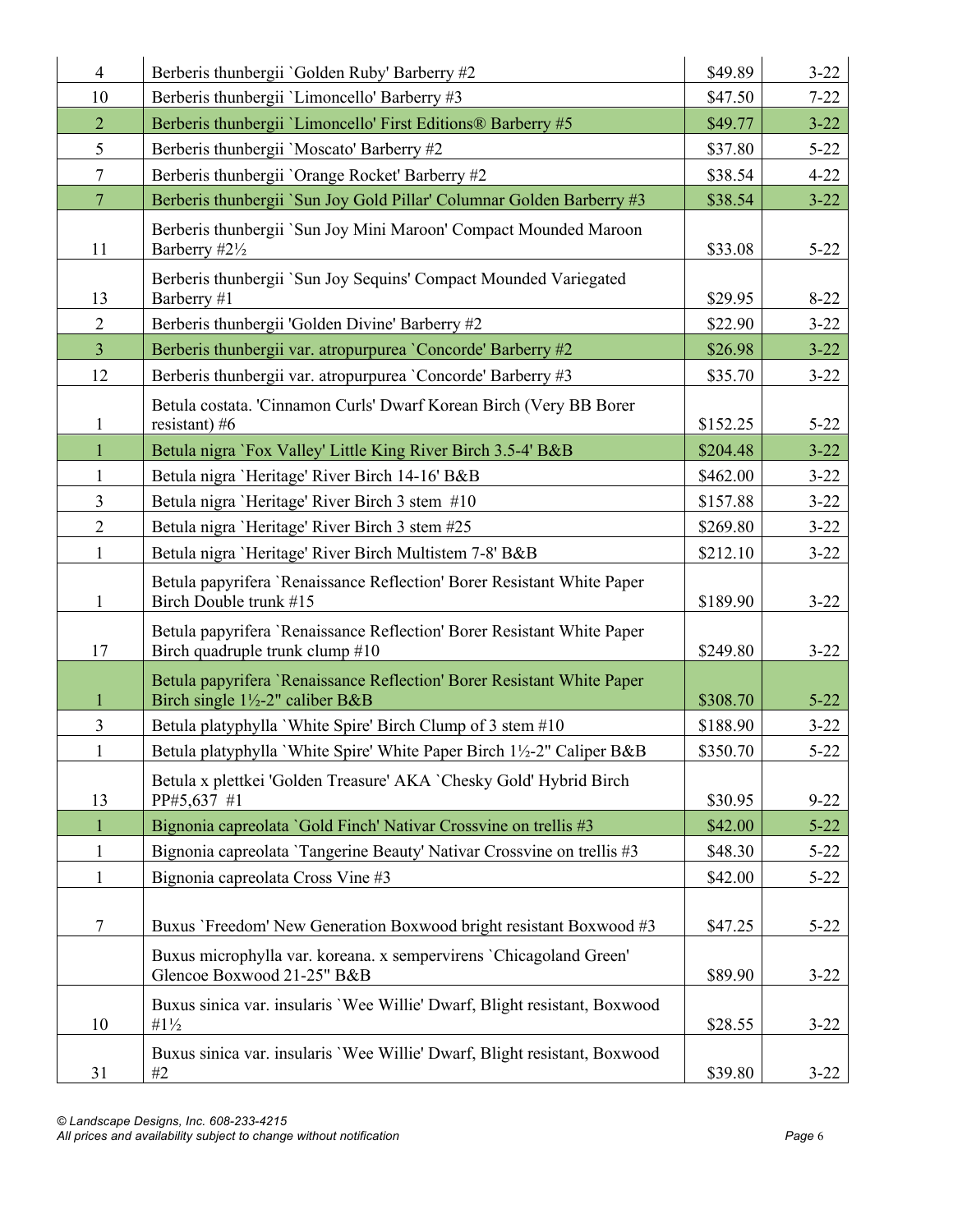| $\overline{4}$ | Berberis thunbergii 'Golden Ruby' Barberry #2                                                                         | \$49.89  | $3 - 22$ |
|----------------|-----------------------------------------------------------------------------------------------------------------------|----------|----------|
| 10             | Berberis thunbergii 'Limoncello' Barberry #3                                                                          | \$47.50  | $7 - 22$ |
| $\overline{2}$ | Berberis thunbergii 'Limoncello' First Editions® Barberry #5                                                          | \$49.77  | $3 - 22$ |
| 5              | Berberis thunbergii 'Moscato' Barberry #2                                                                             | \$37.80  | $5 - 22$ |
| $\tau$         | Berberis thunbergii 'Orange Rocket' Barberry #2                                                                       | \$38.54  | $4 - 22$ |
| $\overline{7}$ | Berberis thunbergii `Sun Joy Gold Pillar' Columnar Golden Barberry #3                                                 | \$38.54  | $3 - 22$ |
| 11             | Berberis thunbergii `Sun Joy Mini Maroon' Compact Mounded Maroon<br>Barberry #21/2                                    | \$33.08  | $5 - 22$ |
| 13             | Berberis thunbergii `Sun Joy Sequins' Compact Mounded Variegated<br>Barberry #1                                       | \$29.95  | $8 - 22$ |
| $\overline{2}$ | Berberis thunbergii 'Golden Divine' Barberry #2                                                                       | \$22.90  | $3 - 22$ |
| $\overline{3}$ | Berberis thunbergii var. atropurpurea 'Concorde' Barberry #2                                                          | \$26.98  | $3 - 22$ |
| 12             | Berberis thunbergii var. atropurpurea 'Concorde' Barberry #3                                                          | \$35.70  | $3 - 22$ |
| 1              | Betula costata. 'Cinnamon Curls' Dwarf Korean Birch (Very BB Borer<br>resistant) $#6$                                 | \$152.25 | $5 - 22$ |
| $\mathbf{1}$   | Betula nigra `Fox Valley' Little King River Birch 3.5-4' B&B                                                          | \$204.48 | $3 - 22$ |
| 1              | Betula nigra 'Heritage' River Birch 14-16' B&B                                                                        | \$462.00 | $3 - 22$ |
| $\overline{3}$ | Betula nigra 'Heritage' River Birch 3 stem #10                                                                        | \$157.88 | $3 - 22$ |
| $\overline{2}$ | Betula nigra 'Heritage' River Birch 3 stem #25                                                                        | \$269.80 | $3 - 22$ |
| $\mathbf{1}$   | Betula nigra 'Heritage' River Birch Multistem 7-8' B&B                                                                | \$212.10 | $3 - 22$ |
| 1              | Betula papyrifera 'Renaissance Reflection' Borer Resistant White Paper<br>Birch Double trunk #15                      | \$189.90 | $3 - 22$ |
| 17             | Betula papyrifera 'Renaissance Reflection' Borer Resistant White Paper<br>Birch quadruple trunk clump #10             | \$249.80 | $3 - 22$ |
| $\mathbf{1}$   | Betula papyrifera 'Renaissance Reflection' Borer Resistant White Paper<br>Birch single $1\frac{1}{2}$ -2" caliber B&B | \$308.70 | $5 - 22$ |
| $\overline{3}$ | Betula platyphylla `White Spire' Birch Clump of 3 stem #10                                                            | \$188.90 | $3 - 22$ |
| $\mathbf{1}$   | Betula platyphylla 'White Spire' White Paper Birch 1½-2" Caliper B&B                                                  | \$350.70 | $5 - 22$ |
| 13             | Betula x plettkei 'Golden Treasure' AKA `Chesky Gold' Hybrid Birch<br>PP#5,637 #1                                     | \$30.95  | $9 - 22$ |
|                | Bignonia capreolata 'Gold Finch' Nativar Crossvine on trellis #3                                                      | \$42.00  | $5 - 22$ |
| $\mathbf{1}$   | Bignonia capreolata 'Tangerine Beauty' Nativar Crossvine on trellis #3                                                | \$48.30  | $5 - 22$ |
| $\mathbf{1}$   | Bignonia capreolata Cross Vine #3                                                                                     | \$42.00  | $5 - 22$ |
| 7              | Buxus 'Freedom' New Generation Boxwood bright resistant Boxwood #3                                                    | \$47.25  | $5 - 22$ |
|                | Buxus microphylla var. koreana. x sempervirens 'Chicagoland Green'<br>Glencoe Boxwood 21-25" B&B                      | \$89.90  | $3 - 22$ |
| 10             | Buxus sinica var. insularis 'Wee Willie' Dwarf, Blight resistant, Boxwood<br>$#1\frac{1}{2}$                          | \$28.55  | $3 - 22$ |
| 31             | Buxus sinica var. insularis 'Wee Willie' Dwarf, Blight resistant, Boxwood<br>#2                                       | \$39.80  | $3 - 22$ |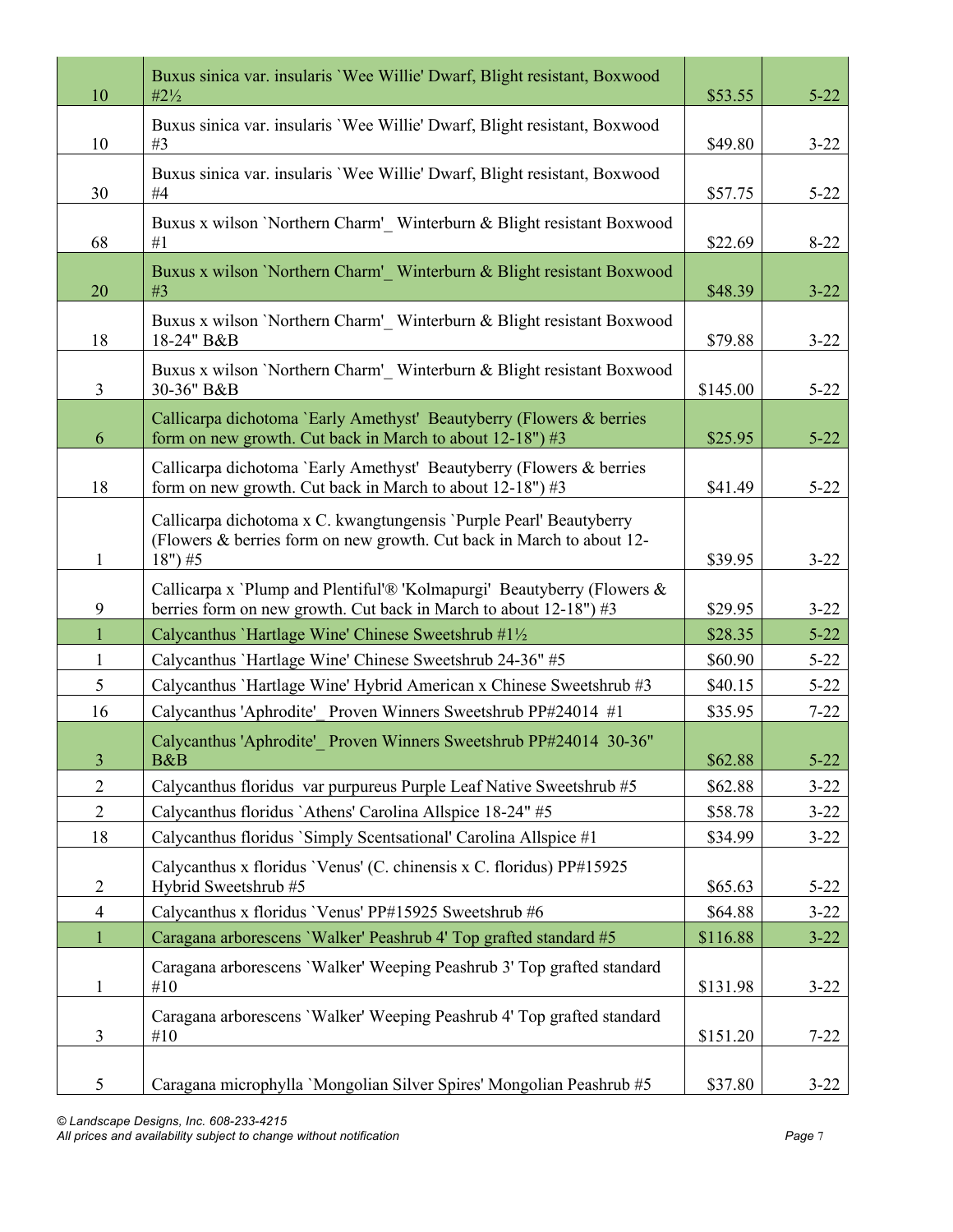| 10             | Buxus sinica var. insularis 'Wee Willie' Dwarf, Blight resistant, Boxwood<br>$#2\frac{1}{2}$                                                               | \$53.55  | $5 - 22$ |
|----------------|------------------------------------------------------------------------------------------------------------------------------------------------------------|----------|----------|
| 10             | Buxus sinica var. insularis 'Wee Willie' Dwarf, Blight resistant, Boxwood<br>#3                                                                            | \$49.80  | $3 - 22$ |
| 30             | Buxus sinica var. insularis 'Wee Willie' Dwarf, Blight resistant, Boxwood<br>#4                                                                            | \$57.75  | $5 - 22$ |
| 68             | Buxus x wilson 'Northern Charm' Winterburn & Blight resistant Boxwood<br>#1                                                                                | \$22.69  | $8 - 22$ |
| 20             | Buxus x wilson 'Northern Charm' Winterburn & Blight resistant Boxwood<br>#3                                                                                | \$48.39  | $3 - 22$ |
| 18             | Buxus x wilson 'Northern Charm' Winterburn & Blight resistant Boxwood<br>18-24" B&B                                                                        | \$79.88  | $3 - 22$ |
| $\mathfrak{Z}$ | Buxus x wilson 'Northern Charm' Winterburn & Blight resistant Boxwood<br>30-36" B&B                                                                        | \$145.00 | $5 - 22$ |
| 6              | Callicarpa dichotoma 'Early Amethyst' Beautyberry (Flowers & berries<br>form on new growth. Cut back in March to about $12-18$ ") #3                       | \$25.95  | $5 - 22$ |
| 18             | Callicarpa dichotoma 'Early Amethyst' Beautyberry (Flowers & berries<br>form on new growth. Cut back in March to about $12-18$ ") #3                       | \$41.49  | $5 - 22$ |
| $\mathbf{1}$   | Callicarpa dichotoma x C. kwangtungensis 'Purple Pearl' Beautyberry<br>(Flowers & berries form on new growth. Cut back in March to about 12-<br>$18$ ") #5 | \$39.95  | $3 - 22$ |
| 9              | Callicarpa x `Plump and Plentiful'® 'Kolmapurgi' Beautyberry (Flowers &<br>berries form on new growth. Cut back in March to about $12-18$ ") #3            | \$29.95  | $3 - 22$ |
| $\mathbf{1}$   | Calycanthus 'Hartlage Wine' Chinese Sweetshrub #1½                                                                                                         | \$28.35  | $5 - 22$ |
| $\mathbf{1}$   | Calycanthus `Hartlage Wine' Chinese Sweetshrub 24-36" #5                                                                                                   | \$60.90  | $5 - 22$ |
| 5              | Calycanthus 'Hartlage Wine' Hybrid American x Chinese Sweetshrub #3                                                                                        | \$40.15  | $5 - 22$ |
| 16             | Calycanthus 'Aphrodite' Proven Winners Sweetshrub PP#24014 #1                                                                                              | \$35.95  | $7 - 22$ |
| $\overline{3}$ | Calycanthus 'Aphrodite' Proven Winners Sweetshrub PP#24014 30-36"<br>B&B                                                                                   | \$62.88  | $5 - 22$ |
| $\overline{2}$ | Calycanthus floridus var purpureus Purple Leaf Native Sweetshrub #5                                                                                        | \$62.88  | $3 - 22$ |
| $\overline{2}$ | Calycanthus floridus `Athens' Carolina Allspice 18-24" #5                                                                                                  | \$58.78  | $3 - 22$ |
| 18             | Calycanthus floridus `Simply Scentsational' Carolina Allspice #1                                                                                           | \$34.99  | $3 - 22$ |
| $\overline{2}$ | Calycanthus x floridus 'Venus' (C. chinensis x C. floridus) PP#15925<br>Hybrid Sweetshrub #5                                                               | \$65.63  | $5 - 22$ |
| $\overline{4}$ | Calycanthus x floridus 'Venus' PP#15925 Sweetshrub #6                                                                                                      | \$64.88  | $3 - 22$ |
| $\mathbf{1}$   | Caragana arborescens 'Walker' Peashrub 4' Top grafted standard #5                                                                                          | \$116.88 | $3 - 22$ |
| $\mathbf{1}$   | Caragana arborescens 'Walker' Weeping Peashrub 3' Top grafted standard<br>#10                                                                              | \$131.98 | $3 - 22$ |
| 3              | Caragana arborescens 'Walker' Weeping Peashrub 4' Top grafted standard<br>#10                                                                              | \$151.20 | $7 - 22$ |
| 5              | Caragana microphylla 'Mongolian Silver Spires' Mongolian Peashrub #5                                                                                       | \$37.80  | $3 - 22$ |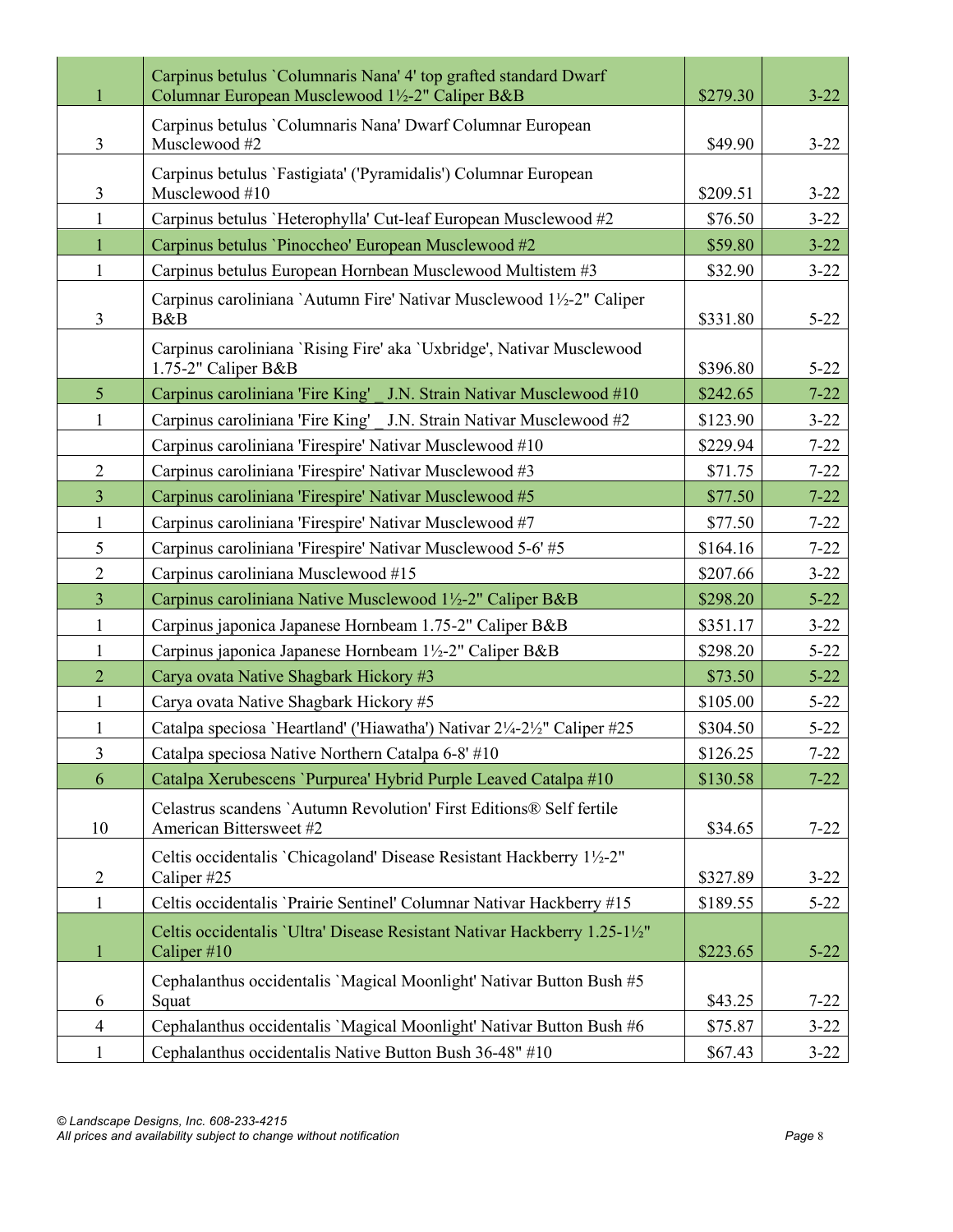|                | Carpinus betulus 'Columnaris Nana' 4' top grafted standard Dwarf<br>Columnar European Musclewood 1½-2" Caliper B&B | \$279.30 | $3 - 22$ |
|----------------|--------------------------------------------------------------------------------------------------------------------|----------|----------|
| $\overline{3}$ | Carpinus betulus 'Columnaris Nana' Dwarf Columnar European<br>Musclewood #2                                        | \$49.90  | $3 - 22$ |
| 3              | Carpinus betulus 'Fastigiata' ('Pyramidalis') Columnar European<br>Musclewood #10                                  | \$209.51 | $3 - 22$ |
| 1              | Carpinus betulus `Heterophylla' Cut-leaf European Musclewood #2                                                    | \$76.50  | $3 - 22$ |
| $\mathbf{1}$   | Carpinus betulus 'Pinoccheo' European Musclewood #2                                                                | \$59.80  | $3 - 22$ |
| $\mathbf{1}$   | Carpinus betulus European Hornbean Musclewood Multistem #3                                                         | \$32.90  | $3 - 22$ |
| 3              | Carpinus caroliniana `Autumn Fire' Nativar Musclewood 1½-2" Caliper<br>B&B                                         | \$331.80 | $5 - 22$ |
|                | Carpinus caroliniana 'Rising Fire' aka 'Uxbridge', Nativar Musclewood<br>1.75-2" Caliper B&B                       | \$396.80 | $5 - 22$ |
| 5 <sup>5</sup> | Carpinus caroliniana 'Fire King' J.N. Strain Nativar Musclewood #10                                                | \$242.65 | $7 - 22$ |
| 1              | Carpinus caroliniana 'Fire King' J.N. Strain Nativar Musclewood #2                                                 | \$123.90 | $3 - 22$ |
|                | Carpinus caroliniana 'Firespire' Nativar Musclewood #10                                                            | \$229.94 | $7 - 22$ |
| $\overline{2}$ | Carpinus caroliniana 'Firespire' Nativar Musclewood #3                                                             | \$71.75  | $7 - 22$ |
| 3              | Carpinus caroliniana 'Firespire' Nativar Musclewood #5                                                             | \$77.50  | $7 - 22$ |
| 1              | Carpinus caroliniana 'Firespire' Nativar Musclewood #7                                                             | \$77.50  | $7 - 22$ |
| 5              | Carpinus caroliniana 'Firespire' Nativar Musclewood 5-6' #5                                                        | \$164.16 | $7 - 22$ |
| $\overline{2}$ | Carpinus caroliniana Musclewood #15                                                                                | \$207.66 | $3 - 22$ |
| $\overline{3}$ | Carpinus caroliniana Native Musclewood 1½-2" Caliper B&B                                                           | \$298.20 | $5 - 22$ |
| $\mathbf{1}$   | Carpinus japonica Japanese Hornbeam 1.75-2" Caliper B&B                                                            | \$351.17 | $3 - 22$ |
| 1              | Carpinus japonica Japanese Hornbeam 1½-2" Caliper B&B                                                              | \$298.20 | $5 - 22$ |
| $\overline{2}$ | Carya ovata Native Shagbark Hickory #3                                                                             | \$73.50  | $5 - 22$ |
| $\mathbf{1}$   | Carya ovata Native Shagbark Hickory #5                                                                             | \$105.00 | $5 - 22$ |
| 1              | Catalpa speciosa 'Heartland' ('Hiawatha') Nativar 2¼-2½" Caliper #25                                               | \$304.50 | $5 - 22$ |
| $\overline{3}$ | Catalpa speciosa Native Northern Catalpa 6-8' #10                                                                  | \$126.25 | $7 - 22$ |
| 6              | Catalpa Xerubescens 'Purpurea' Hybrid Purple Leaved Catalpa #10                                                    | \$130.58 | $7 - 22$ |
| 10             | Celastrus scandens `Autumn Revolution' First Editions® Self fertile<br>American Bittersweet #2                     | \$34.65  | $7 - 22$ |
| $\overline{2}$ | Celtis occidentalis 'Chicagoland' Disease Resistant Hackberry 1½-2"<br>Caliper #25                                 | \$327.89 | $3 - 22$ |
| 1              | Celtis occidentalis 'Prairie Sentinel' Columnar Nativar Hackberry #15                                              | \$189.55 | $5 - 22$ |
| $\mathbf{1}$   | Celtis occidentalis 'Ultra' Disease Resistant Nativar Hackberry 1.25-11/2"<br>Caliper $#10$                        | \$223.65 | $5 - 22$ |
| 6              | Cephalanthus occidentalis 'Magical Moonlight' Nativar Button Bush #5<br>Squat                                      | \$43.25  | $7 - 22$ |
| $\overline{4}$ | Cephalanthus occidentalis 'Magical Moonlight' Nativar Button Bush #6                                               | \$75.87  | $3 - 22$ |
| $\mathbf{1}$   | Cephalanthus occidentalis Native Button Bush 36-48" #10                                                            | \$67.43  | $3 - 22$ |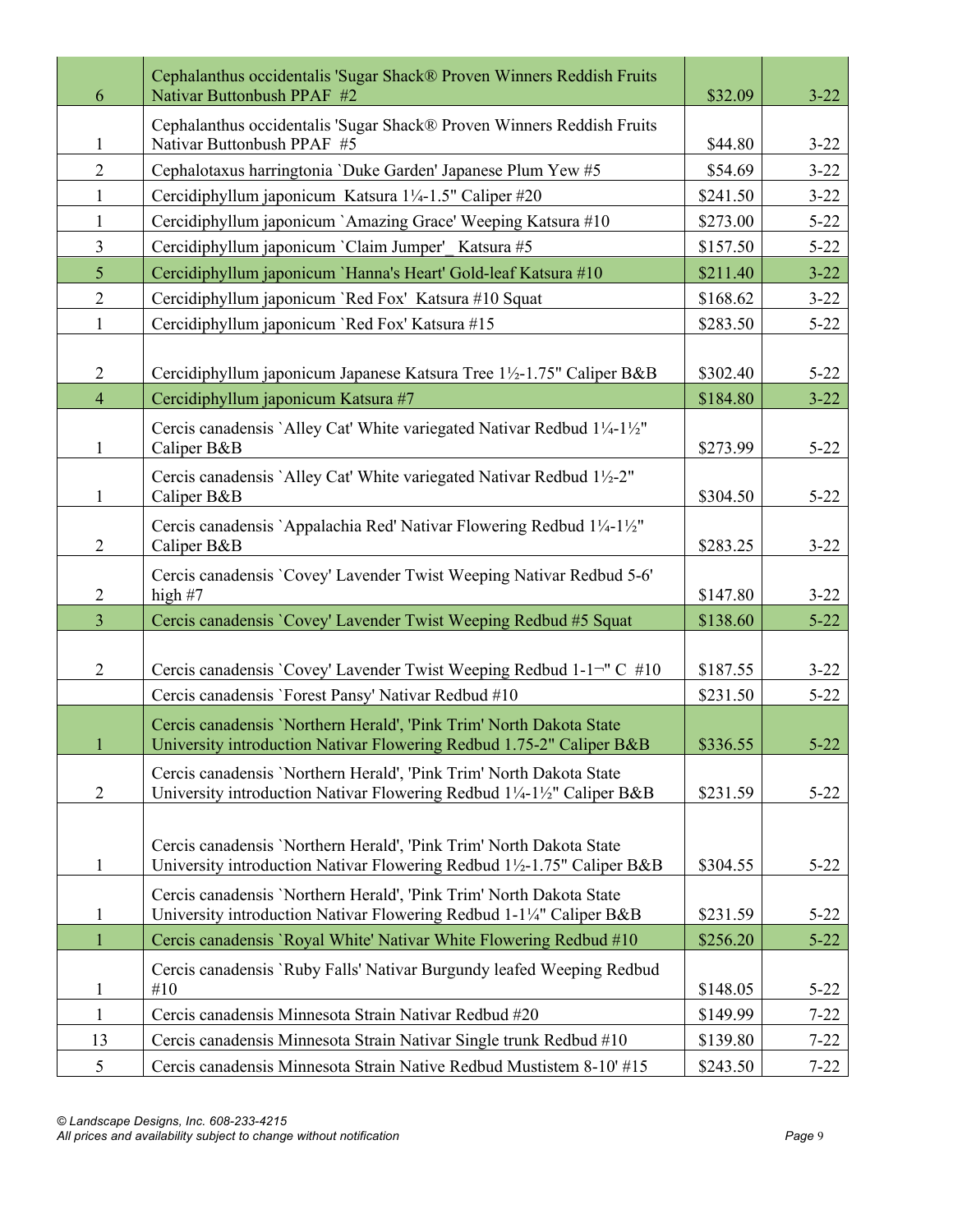| 6              | Cephalanthus occidentalis 'Sugar Shack® Proven Winners Reddish Fruits<br>Nativar Buttonbush PPAF #2                                          | \$32.09  | $3 - 22$ |
|----------------|----------------------------------------------------------------------------------------------------------------------------------------------|----------|----------|
| 1              | Cephalanthus occidentalis 'Sugar Shack® Proven Winners Reddish Fruits<br>Nativar Buttonbush PPAF #5                                          | \$44.80  | $3 - 22$ |
| $\overline{2}$ | Cephalotaxus harringtonia 'Duke Garden' Japanese Plum Yew #5                                                                                 | \$54.69  | $3 - 22$ |
| $\mathbf{1}$   | Cercidiphyllum japonicum Katsura 1¼-1.5" Caliper #20                                                                                         | \$241.50 | $3 - 22$ |
| $\mathbf{1}$   | Cercidiphyllum japonicum `Amazing Grace' Weeping Katsura #10                                                                                 | \$273.00 | $5 - 22$ |
| $\overline{3}$ | Cercidiphyllum japonicum `Claim Jumper' Katsura #5                                                                                           | \$157.50 | $5 - 22$ |
| 5 <sup>5</sup> | Cercidiphyllum japonicum `Hanna's Heart' Gold-leaf Katsura #10                                                                               | \$211.40 | $3 - 22$ |
| $\overline{2}$ | Cercidiphyllum japonicum 'Red Fox' Katsura #10 Squat                                                                                         | \$168.62 | $3 - 22$ |
| $\mathbf{1}$   | Cercidiphyllum japonicum `Red Fox' Katsura #15                                                                                               | \$283.50 | $5 - 22$ |
| $\overline{2}$ | Cercidiphyllum japonicum Japanese Katsura Tree 1½-1.75" Caliper B&B                                                                          | \$302.40 | $5 - 22$ |
| $\overline{4}$ | Cercidiphyllum japonicum Katsura #7                                                                                                          | \$184.80 | $3 - 22$ |
| $\mathbf{1}$   | Cercis canadensis `Alley Cat' White variegated Nativar Redbud 1¼-1½"<br>Caliper B&B                                                          | \$273.99 | $5 - 22$ |
| $\mathbf{1}$   | Cercis canadensis `Alley Cat' White variegated Nativar Redbud 1½-2"<br>Caliper B&B                                                           | \$304.50 | $5 - 22$ |
| $\overline{2}$ | Cercis canadensis `Appalachia Red' Nativar Flowering Redbud 1¼-1½"<br>Caliper B&B                                                            | \$283.25 | $3 - 22$ |
| $\overline{2}$ | Cercis canadensis 'Covey' Lavender Twist Weeping Nativar Redbud 5-6'<br>high $#7$                                                            | \$147.80 | $3 - 22$ |
| $\overline{3}$ | Cercis canadensis 'Covey' Lavender Twist Weeping Redbud #5 Squat                                                                             | \$138.60 | $5 - 22$ |
|                |                                                                                                                                              |          |          |
| $\overline{2}$ | Cercis canadensis `Covey' Lavender Twist Weeping Redbud 1-1 <sup>-</sup> " C #10                                                             | \$187.55 | $3 - 22$ |
|                | Cercis canadensis 'Forest Pansy' Nativar Redbud #10                                                                                          | \$231.50 | $5 - 22$ |
| $\mathbf{1}$   | Cercis canadensis 'Northern Herald', 'Pink Trim' North Dakota State<br>University introduction Nativar Flowering Redbud 1.75-2" Caliper B&B  | \$336.55 | $5 - 22$ |
| $\overline{2}$ | Cercis canadensis 'Northern Herald', 'Pink Trim' North Dakota State<br>University introduction Nativar Flowering Redbud 1¼-1½" Caliper B&B   | \$231.59 | $5 - 22$ |
|                |                                                                                                                                              |          |          |
| $\mathbf{1}$   | Cercis canadensis 'Northern Herald', 'Pink Trim' North Dakota State<br>University introduction Nativar Flowering Redbud 1½-1.75" Caliper B&B | \$304.55 | $5 - 22$ |
| $\mathbf{1}$   | Cercis canadensis 'Northern Herald', 'Pink Trim' North Dakota State<br>University introduction Nativar Flowering Redbud 1-1¼" Caliper B&B    | \$231.59 | $5 - 22$ |
| $\mathbf{1}$   | Cercis canadensis 'Royal White' Nativar White Flowering Redbud #10                                                                           | \$256.20 | $5 - 22$ |
| $\mathbf{1}$   | Cercis canadensis `Ruby Falls' Nativar Burgundy leafed Weeping Redbud<br>#10                                                                 | \$148.05 | $5 - 22$ |
| $\mathbf{1}$   | Cercis canadensis Minnesota Strain Nativar Redbud #20                                                                                        | \$149.99 | $7 - 22$ |
| 13             | Cercis canadensis Minnesota Strain Nativar Single trunk Redbud #10                                                                           | \$139.80 | $7 - 22$ |
| 5              | Cercis canadensis Minnesota Strain Native Redbud Mustistem 8-10' #15                                                                         | \$243.50 | $7 - 22$ |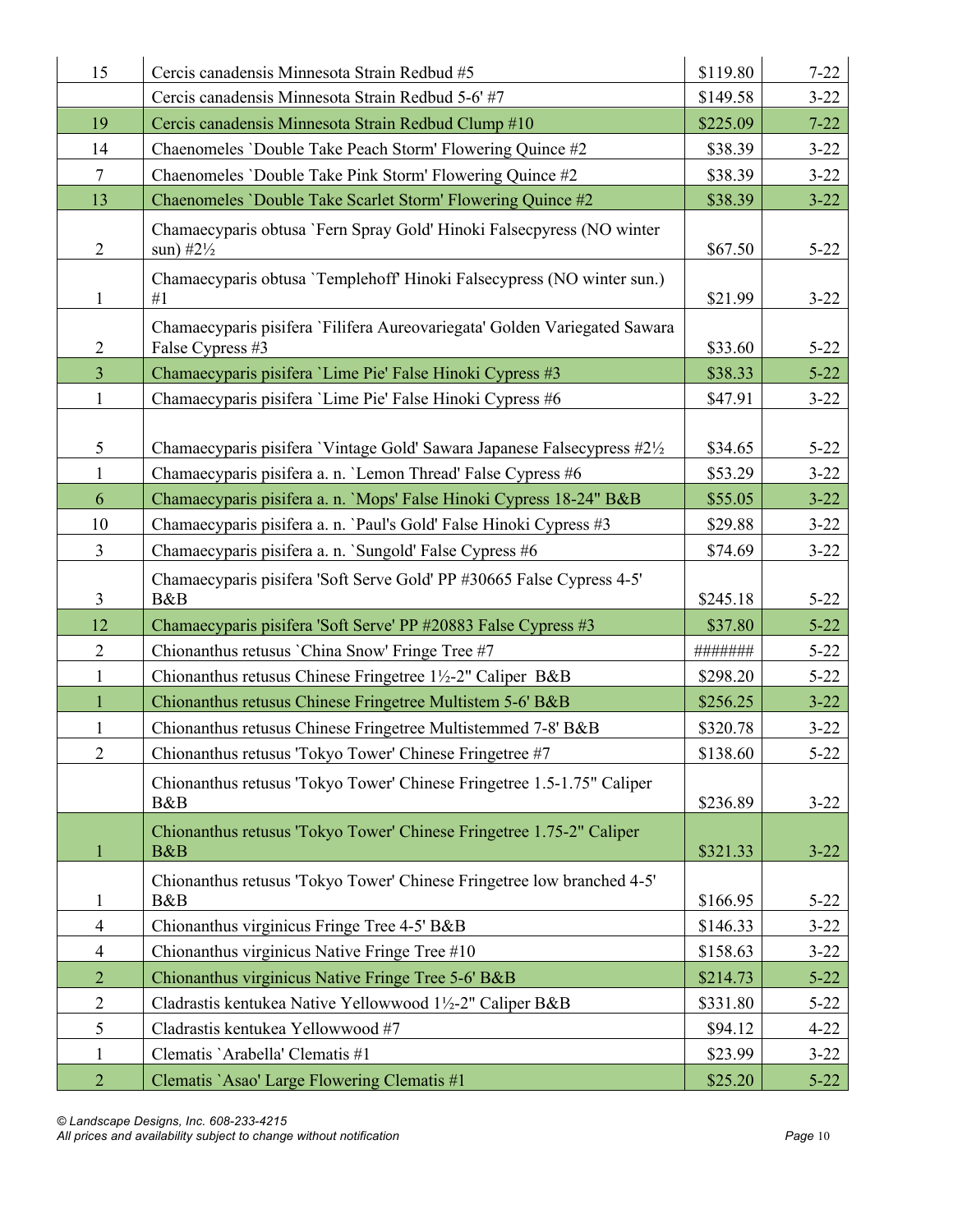| 15                | Cercis canadensis Minnesota Strain Redbud #5                                                                                              | \$119.80           | $7 - 22$             |
|-------------------|-------------------------------------------------------------------------------------------------------------------------------------------|--------------------|----------------------|
|                   | Cercis canadensis Minnesota Strain Redbud 5-6' #7                                                                                         | \$149.58           | $3 - 22$             |
| 19                | Cercis canadensis Minnesota Strain Redbud Clump #10                                                                                       | \$225.09           | $7 - 22$             |
| 14                | Chaenomeles 'Double Take Peach Storm' Flowering Quince #2                                                                                 | \$38.39            | $3 - 22$             |
| $\tau$            | Chaenomeles 'Double Take Pink Storm' Flowering Quince #2                                                                                  | \$38.39            | $3 - 22$             |
| 13                | Chaenomeles 'Double Take Scarlet Storm' Flowering Quince #2                                                                               | \$38.39            | $3 - 22$             |
| $\overline{2}$    | Chamaecyparis obtusa 'Fern Spray Gold' Hinoki Falsecpyress (NO winter<br>sun) $#2\frac{1}{2}$                                             | \$67.50            | $5 - 22$             |
| $\mathbf{1}$      | Chamaecyparis obtusa 'Templehoff' Hinoki Falsecypress (NO winter sun.)<br>#1                                                              | \$21.99            | $3 - 22$             |
| $\overline{2}$    | Chamaecyparis pisifera 'Filifera Aureovariegata' Golden Variegated Sawara<br>False Cypress #3                                             | \$33.60            | $5 - 22$             |
| $\overline{3}$    | Chamaecyparis pisifera 'Lime Pie' False Hinoki Cypress #3                                                                                 | \$38.33            | $5 - 22$             |
| $\mathbf{1}$      | Chamaecyparis pisifera 'Lime Pie' False Hinoki Cypress #6                                                                                 | \$47.91            | $3 - 22$             |
| 5<br>$\mathbf{1}$ | Chamaecyparis pisifera 'Vintage Gold' Sawara Japanese Falsecypress #21/2                                                                  | \$34.65            | $5 - 22$             |
| 6                 | Chamaecyparis pisifera a. n. 'Lemon Thread' False Cypress #6                                                                              | \$53.29            | $3 - 22$<br>$3 - 22$ |
| 10                | Chamaecyparis pisifera a. n. 'Mops' False Hinoki Cypress 18-24" B&B<br>Chamaecyparis pisifera a. n. 'Paul's Gold' False Hinoki Cypress #3 | \$55.05<br>\$29.88 | $3 - 22$             |
| $\overline{3}$    | Chamaecyparis pisifera a. n. `Sungold' False Cypress #6                                                                                   | \$74.69            | $3 - 22$             |
|                   |                                                                                                                                           |                    |                      |
| 3                 | Chamaecyparis pisifera 'Soft Serve Gold' PP #30665 False Cypress 4-5'<br>B&B                                                              | \$245.18           | $5 - 22$             |
| 12                | Chamaecyparis pisifera 'Soft Serve' PP #20883 False Cypress #3                                                                            | \$37.80            | $5 - 22$             |
| $\overline{2}$    | Chionanthus retusus 'China Snow' Fringe Tree #7                                                                                           | #######            | $5 - 22$             |
| $\mathbf{1}$      | Chionanthus retusus Chinese Fringetree 1½-2" Caliper B&B                                                                                  | \$298.20           | $5 - 22$             |
| $\mathbf{1}$      | Chionanthus retusus Chinese Fringetree Multistem 5-6' B&B                                                                                 | \$256.25           | $3 - 22$             |
| $\mathbf{1}$      | Chionanthus retusus Chinese Fringetree Multistemmed 7-8' B&B                                                                              | \$320.78           | $3 - 22$             |
| $\overline{2}$    | Chionanthus retusus 'Tokyo Tower' Chinese Fringetree #7                                                                                   | \$138.60           | $5 - 22$             |
|                   | Chionanthus retusus 'Tokyo Tower' Chinese Fringetree 1.5-1.75" Caliper<br>B&B                                                             | \$236.89           | $3 - 22$             |
| 1                 | Chionanthus retusus 'Tokyo Tower' Chinese Fringetree 1.75-2" Caliper<br>B&B                                                               | \$321.33           | $3 - 22$             |
| 1                 | Chionanthus retusus 'Tokyo Tower' Chinese Fringetree low branched 4-5'<br>B&B                                                             | \$166.95           | $5 - 22$             |
| $\overline{4}$    | Chionanthus virginicus Fringe Tree 4-5' B&B                                                                                               | \$146.33           | $3 - 22$             |
| $\overline{4}$    | Chionanthus virginicus Native Fringe Tree #10                                                                                             | \$158.63           | $3 - 22$             |
| $\overline{2}$    | Chionanthus virginicus Native Fringe Tree 5-6' B&B                                                                                        | \$214.73           | $5 - 22$             |
| $\overline{2}$    | Cladrastis kentukea Native Yellowwood 1½-2" Caliper B&B                                                                                   | \$331.80           | $5 - 22$             |
| 5                 | Cladrastis kentukea Yellowwood #7                                                                                                         | \$94.12            | $4 - 22$             |
| $\mathbf{1}$      | Clematis `Arabella' Clematis #1                                                                                                           | \$23.99            | $3 - 22$             |
|                   |                                                                                                                                           |                    |                      |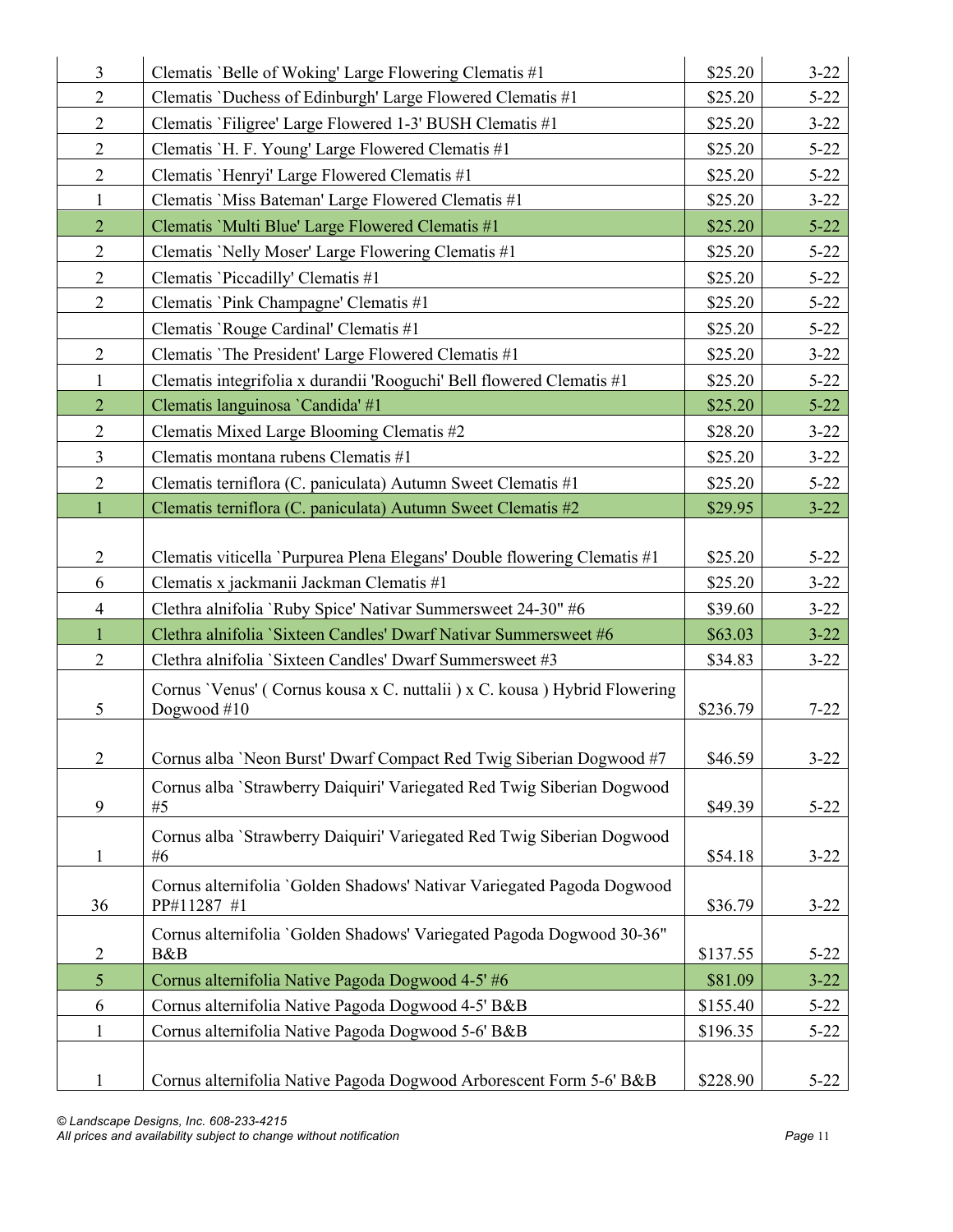| $\overline{3}$ | Clematis 'Belle of Woking' Large Flowering Clematis #1                                  | \$25.20  | $3 - 22$ |
|----------------|-----------------------------------------------------------------------------------------|----------|----------|
| $\overline{2}$ | Clematis 'Duchess of Edinburgh' Large Flowered Clematis #1                              | \$25.20  | $5 - 22$ |
| $\mathbf{2}$   | Clematis 'Filigree' Large Flowered 1-3' BUSH Clematis #1                                | \$25.20  | $3 - 22$ |
| $\mathbf{2}$   | Clematis 'H. F. Young' Large Flowered Clematis #1                                       | \$25.20  | $5 - 22$ |
| $\overline{2}$ | Clematis 'Henryi' Large Flowered Clematis #1                                            | \$25.20  | $5 - 22$ |
| $\mathbf{1}$   | Clematis 'Miss Bateman' Large Flowered Clematis #1                                      | \$25.20  | $3 - 22$ |
| $\overline{2}$ | Clematis 'Multi Blue' Large Flowered Clematis #1                                        | \$25.20  | $5 - 22$ |
| $\overline{2}$ | Clematis 'Nelly Moser' Large Flowering Clematis #1                                      | \$25.20  | $5 - 22$ |
| $\mathbf{2}$   | Clematis 'Piccadilly' Clematis #1                                                       | \$25.20  | $5 - 22$ |
| $\overline{2}$ | Clematis 'Pink Champagne' Clematis #1                                                   | \$25.20  | $5 - 22$ |
|                | Clematis 'Rouge Cardinal' Clematis #1                                                   | \$25.20  | $5 - 22$ |
| $\sqrt{2}$     | Clematis 'The President' Large Flowered Clematis #1                                     | \$25.20  | $3 - 22$ |
| $\mathbf{1}$   | Clematis integrifolia x durandii 'Rooguchi' Bell flowered Clematis #1                   | \$25.20  | $5 - 22$ |
| $\overline{2}$ | Clematis languinosa 'Candida' #1                                                        | \$25.20  | $5 - 22$ |
| $\mathbf{2}$   | Clematis Mixed Large Blooming Clematis #2                                               | \$28.20  | $3 - 22$ |
| 3              | Clematis montana rubens Clematis #1                                                     | \$25.20  | $3 - 22$ |
| $\overline{2}$ | Clematis terniflora (C. paniculata) Autumn Sweet Clematis #1                            | \$25.20  | $5 - 22$ |
| $\mathbf{1}$   | Clematis terniflora (C. paniculata) Autumn Sweet Clematis #2                            | \$29.95  | $3 - 22$ |
|                |                                                                                         |          |          |
| $\overline{2}$ | Clematis viticella 'Purpurea Plena Elegans' Double flowering Clematis #1                | \$25.20  | $5 - 22$ |
| 6              | Clematis x jackmanii Jackman Clematis #1                                                | \$25.20  | $3 - 22$ |
| $\overline{4}$ | Clethra alnifolia 'Ruby Spice' Nativar Summersweet 24-30" #6                            | \$39.60  | $3 - 22$ |
| $\mathbf{1}$   | Clethra alnifolia 'Sixteen Candles' Dwarf Nativar Summersweet #6                        | \$63.03  | $3 - 22$ |
| $\overline{2}$ | Clethra alnifolia 'Sixteen Candles' Dwarf Summersweet #3                                | \$34.83  | $3 - 22$ |
| 5              | Cornus 'Venus' (Cornus kousa x C. nuttalii) x C. kousa) Hybrid Flowering<br>Dogwood #10 | \$236.79 | $7 - 22$ |
|                |                                                                                         |          |          |
| 2              | Cornus alba 'Neon Burst' Dwarf Compact Red Twig Siberian Dogwood #7                     | \$46.59  | $3 - 22$ |
| 9              | Cornus alba `Strawberry Daiquiri' Variegated Red Twig Siberian Dogwood<br>#5            | \$49.39  | $5 - 22$ |
| $\mathbf{1}$   | Cornus alba 'Strawberry Daiquiri' Variegated Red Twig Siberian Dogwood<br>#6            | \$54.18  | $3 - 22$ |
| 36             | Cornus alternifolia 'Golden Shadows' Nativar Variegated Pagoda Dogwood<br>PP#11287 #1   | \$36.79  | $3 - 22$ |
| $\overline{2}$ | Cornus alternifolia 'Golden Shadows' Variegated Pagoda Dogwood 30-36"<br>B&B            | \$137.55 | $5 - 22$ |
| 5              | Cornus alternifolia Native Pagoda Dogwood 4-5' #6                                       | \$81.09  | $3 - 22$ |
| 6              | Cornus alternifolia Native Pagoda Dogwood 4-5' B&B                                      | \$155.40 | $5 - 22$ |
| $\mathbf{1}$   | Cornus alternifolia Native Pagoda Dogwood 5-6' B&B                                      | \$196.35 | $5 - 22$ |
|                |                                                                                         |          |          |
| 1              | Cornus alternifolia Native Pagoda Dogwood Arborescent Form 5-6' B&B                     | \$228.90 | $5 - 22$ |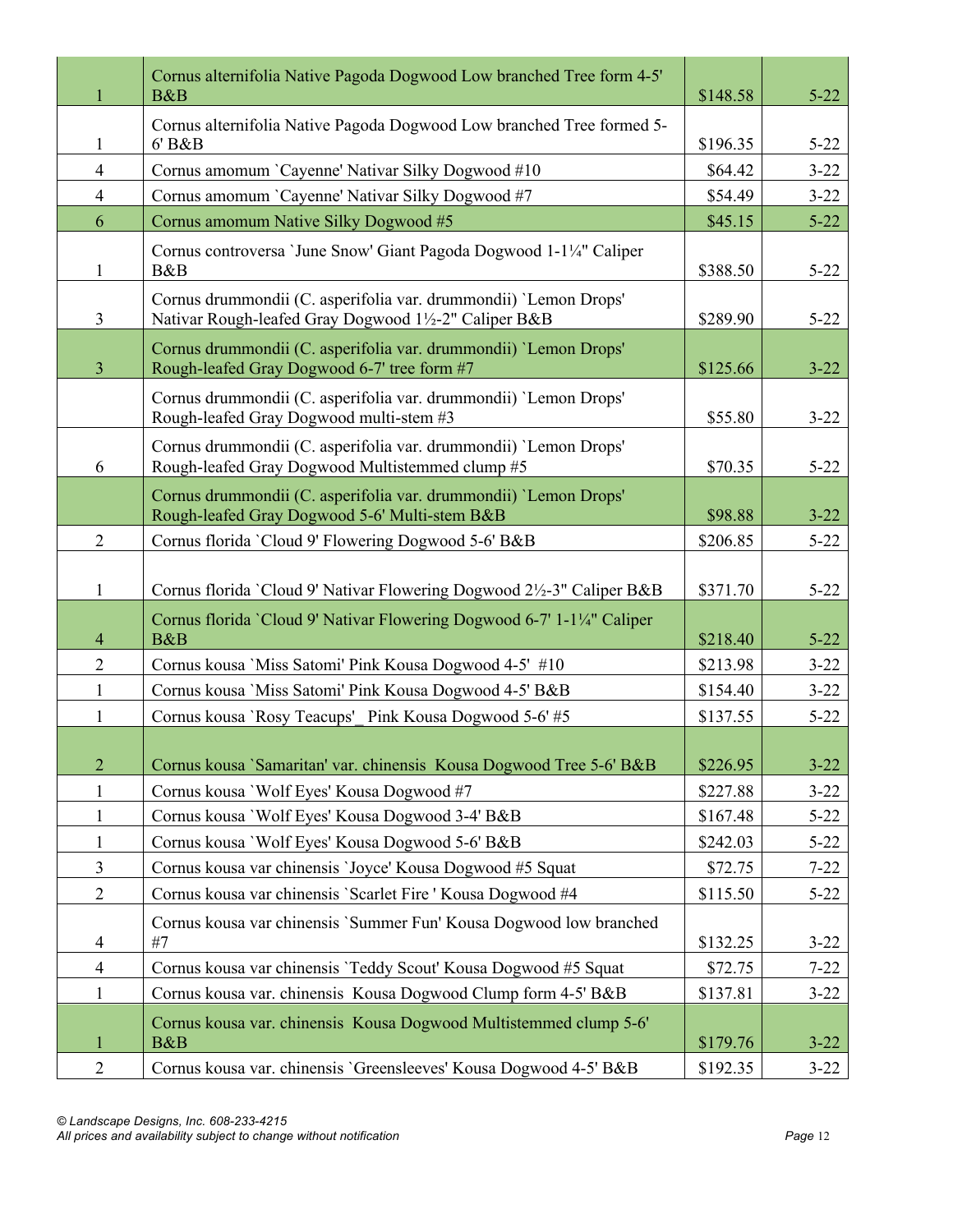|                | Cornus alternifolia Native Pagoda Dogwood Low branched Tree form 4-5'<br>B&B                                            | \$148.58 | $5 - 22$ |
|----------------|-------------------------------------------------------------------------------------------------------------------------|----------|----------|
| 1              | Cornus alternifolia Native Pagoda Dogwood Low branched Tree formed 5-<br>6' B&B                                         | \$196.35 | $5 - 22$ |
| $\overline{4}$ | Cornus amomum 'Cayenne' Nativar Silky Dogwood #10                                                                       | \$64.42  | $3 - 22$ |
| $\overline{4}$ | Cornus amomum 'Cayenne' Nativar Silky Dogwood #7                                                                        | \$54.49  | $3 - 22$ |
| 6              | Cornus amomum Native Silky Dogwood #5                                                                                   | \$45.15  | $5 - 22$ |
| $\mathbf{1}$   | Cornus controversa 'June Snow' Giant Pagoda Dogwood 1-1¼" Caliper<br>B&B                                                | \$388.50 | $5 - 22$ |
| $\overline{3}$ | Cornus drummondii (C. asperifolia var. drummondii) 'Lemon Drops'<br>Nativar Rough-leafed Gray Dogwood 1½-2" Caliper B&B | \$289.90 | $5 - 22$ |
| $\overline{3}$ | Cornus drummondii (C. asperifolia var. drummondii) 'Lemon Drops'<br>Rough-leafed Gray Dogwood 6-7' tree form #7         | \$125.66 | $3 - 22$ |
|                | Cornus drummondii (C. asperifolia var. drummondii) 'Lemon Drops'<br>Rough-leafed Gray Dogwood multi-stem #3             | \$55.80  | $3 - 22$ |
| 6              | Cornus drummondii (C. asperifolia var. drummondii) 'Lemon Drops'<br>Rough-leafed Gray Dogwood Multistemmed clump #5     | \$70.35  | $5 - 22$ |
|                | Cornus drummondii (C. asperifolia var. drummondii) 'Lemon Drops'<br>Rough-leafed Gray Dogwood 5-6' Multi-stem B&B       | \$98.88  | $3 - 22$ |
| $\overline{2}$ | Cornus florida 'Cloud 9' Flowering Dogwood 5-6' B&B                                                                     | \$206.85 | $5 - 22$ |
| $\mathbf{1}$   | Cornus florida 'Cloud 9' Nativar Flowering Dogwood 2½-3" Caliper B&B                                                    | \$371.70 | $5 - 22$ |
| $\overline{4}$ | Cornus florida 'Cloud 9' Nativar Flowering Dogwood 6-7' 1-1¼" Caliper<br>B&B                                            | \$218.40 | $5 - 22$ |
| $\overline{2}$ | Cornus kousa 'Miss Satomi' Pink Kousa Dogwood 4-5' #10                                                                  | \$213.98 | $3 - 22$ |
| $\mathbf{1}$   | Cornus kousa 'Miss Satomi' Pink Kousa Dogwood 4-5' B&B                                                                  | \$154.40 | $3 - 22$ |
| $\mathbf{1}$   | Cornus kousa 'Rosy Teacups' Pink Kousa Dogwood 5-6' #5                                                                  | \$137.55 | $5 - 22$ |
| $\overline{2}$ | Cornus kousa 'Samaritan' var. chinensis Kousa Dogwood Tree 5-6' B&B                                                     | \$226.95 | $3 - 22$ |
| $\mathbf{1}$   | Cornus kousa 'Wolf Eyes' Kousa Dogwood #7                                                                               | \$227.88 | $3 - 22$ |
| $\mathbf{1}$   | Cornus kousa 'Wolf Eyes' Kousa Dogwood 3-4' B&B                                                                         | \$167.48 | $5 - 22$ |
| $\mathbf{1}$   | Cornus kousa 'Wolf Eyes' Kousa Dogwood 5-6' B&B                                                                         | \$242.03 | $5 - 22$ |
| $\mathfrak{Z}$ | Cornus kousa var chinensis 'Joyce' Kousa Dogwood #5 Squat                                                               | \$72.75  | $7 - 22$ |
| $\overline{2}$ | Cornus kousa var chinensis 'Scarlet Fire ' Kousa Dogwood #4                                                             | \$115.50 | $5 - 22$ |
| 4              | Cornus kousa var chinensis 'Summer Fun' Kousa Dogwood low branched<br>#7                                                | \$132.25 | $3 - 22$ |
| $\overline{4}$ | Cornus kousa var chinensis 'Teddy Scout' Kousa Dogwood #5 Squat                                                         | \$72.75  | $7 - 22$ |
| $\mathbf{1}$   | Cornus kousa var. chinensis Kousa Dogwood Clump form 4-5' B&B                                                           | \$137.81 | $3 - 22$ |
| $\mathbf{1}$   | Cornus kousa var. chinensis Kousa Dogwood Multistemmed clump 5-6'<br>B&B                                                | \$179.76 | $3 - 22$ |
| $\overline{2}$ | Cornus kousa var. chinensis 'Greensleeves' Kousa Dogwood 4-5' B&B                                                       | \$192.35 | $3 - 22$ |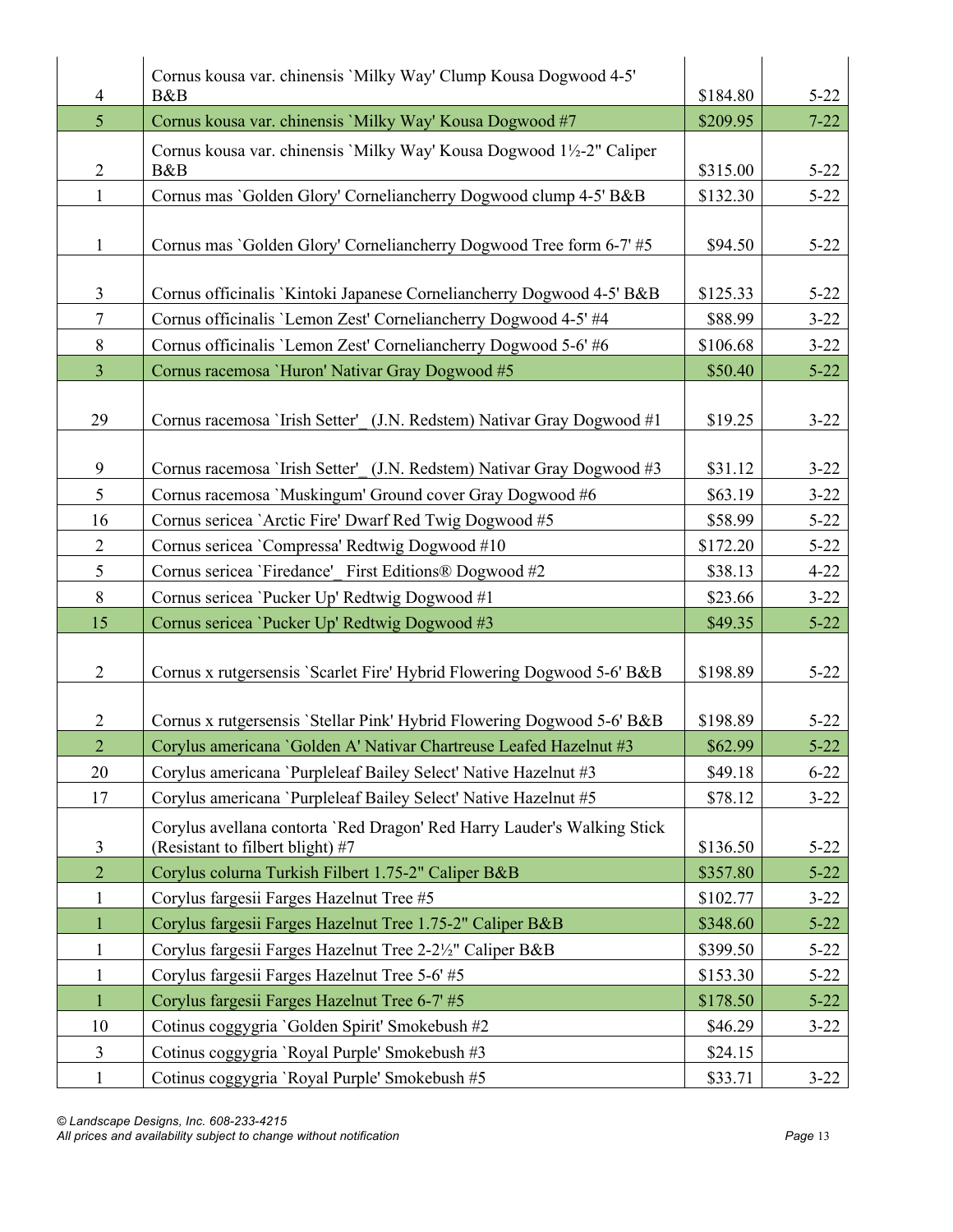|                | Cornus kousa var. chinensis 'Milky Way' Clump Kousa Dogwood 4-5'        |          |          |
|----------------|-------------------------------------------------------------------------|----------|----------|
| 4              | B&B                                                                     | \$184.80 | $5 - 22$ |
| 5 <sup>5</sup> | Cornus kousa var. chinensis 'Milky Way' Kousa Dogwood #7                | \$209.95 | $7 - 22$ |
|                | Cornus kousa var. chinensis `Milky Way' Kousa Dogwood 1½-2" Caliper     |          |          |
| $\overline{c}$ | B&B                                                                     | \$315.00 | $5 - 22$ |
| $\mathbf{1}$   | Cornus mas 'Golden Glory' Corneliancherry Dogwood clump 4-5' B&B        | \$132.30 | $5 - 22$ |
|                |                                                                         |          |          |
| $\mathbf{1}$   | Cornus mas 'Golden Glory' Corneliancherry Dogwood Tree form 6-7' #5     | \$94.50  | $5 - 22$ |
|                |                                                                         |          |          |
| $\mathfrak{Z}$ | Cornus officinalis `Kintoki Japanese Corneliancherry Dogwood 4-5' B&B   | \$125.33 | $5 - 22$ |
| $\tau$         | Cornus officinalis 'Lemon Zest' Corneliancherry Dogwood 4-5' #4         | \$88.99  | $3 - 22$ |
| 8              | Cornus officinalis 'Lemon Zest' Corneliancherry Dogwood 5-6' #6         | \$106.68 | $3 - 22$ |
| $\overline{3}$ | Cornus racemosa 'Huron' Nativar Gray Dogwood #5                         | \$50.40  | $5 - 22$ |
|                |                                                                         |          |          |
| 29             | Cornus racemosa 'Irish Setter' (J.N. Redstem) Nativar Gray Dogwood #1   | \$19.25  | $3 - 22$ |
|                |                                                                         |          |          |
| 9              | Cornus racemosa 'Irish Setter' (J.N. Redstem) Nativar Gray Dogwood #3   | \$31.12  | $3 - 22$ |
| 5              | Cornus racemosa 'Muskingum' Ground cover Gray Dogwood #6                | \$63.19  | $3 - 22$ |
| 16             | Cornus sericea 'Arctic Fire' Dwarf Red Twig Dogwood #5                  | \$58.99  | $5 - 22$ |
| $\overline{2}$ | Cornus sericea 'Compressa' Redtwig Dogwood #10                          | \$172.20 | $5 - 22$ |
| 5              | Cornus sericea 'Firedance' First Editions® Dogwood #2                   | \$38.13  | $4 - 22$ |
| 8              | Cornus sericea 'Pucker Up' Redtwig Dogwood #1                           | \$23.66  | $3 - 22$ |
| 15             | Cornus sericea 'Pucker Up' Redtwig Dogwood #3                           | \$49.35  | $5 - 22$ |
| $\overline{2}$ | Cornus x rutgersensis 'Scarlet Fire' Hybrid Flowering Dogwood 5-6' B&B  | \$198.89 | $5 - 22$ |
| $\overline{2}$ | Cornus x rutgersensis 'Stellar Pink' Hybrid Flowering Dogwood 5-6' B&B  | \$198.89 | $5 - 22$ |
| $\overline{2}$ | Corylus americana 'Golden A' Nativar Chartreuse Leafed Hazelnut #3      | \$62.99  | $5 - 22$ |
| 20             | Corylus americana 'Purpleleaf Bailey Select' Native Hazelnut #3         | \$49.18  | $6 - 22$ |
| 17             | Corylus americana 'Purpleleaf Bailey Select' Native Hazelnut #5         | \$78.12  | $3 - 22$ |
|                | Corylus avellana contorta 'Red Dragon' Red Harry Lauder's Walking Stick |          |          |
| 3              | (Resistant to filbert blight) #7                                        | \$136.50 | $5 - 22$ |
| $\overline{2}$ | Corylus colurna Turkish Filbert 1.75-2" Caliper B&B                     | \$357.80 | $5 - 22$ |
| $\mathbf{1}$   | Corylus fargesii Farges Hazelnut Tree #5                                | \$102.77 | $3 - 22$ |
| $\mathbf{1}$   | Corylus fargesii Farges Hazelnut Tree 1.75-2" Caliper B&B               | \$348.60 | $5 - 22$ |
| $\mathbf{1}$   | Corylus fargesii Farges Hazelnut Tree 2-2½" Caliper B&B                 | \$399.50 | $5 - 22$ |
| $\mathbf{1}$   | Corylus fargesii Farges Hazelnut Tree 5-6' #5                           | \$153.30 | $5 - 22$ |
| $\mathbf{1}$   | Corylus fargesii Farges Hazelnut Tree 6-7' #5                           | \$178.50 | $5 - 22$ |
| 10             |                                                                         |          |          |
|                | Cotinus coggygria 'Golden Spirit' Smokebush #2                          | \$46.29  | $3 - 22$ |
| $\overline{3}$ | Cotinus coggygria 'Royal Purple' Smokebush #3                           | \$24.15  |          |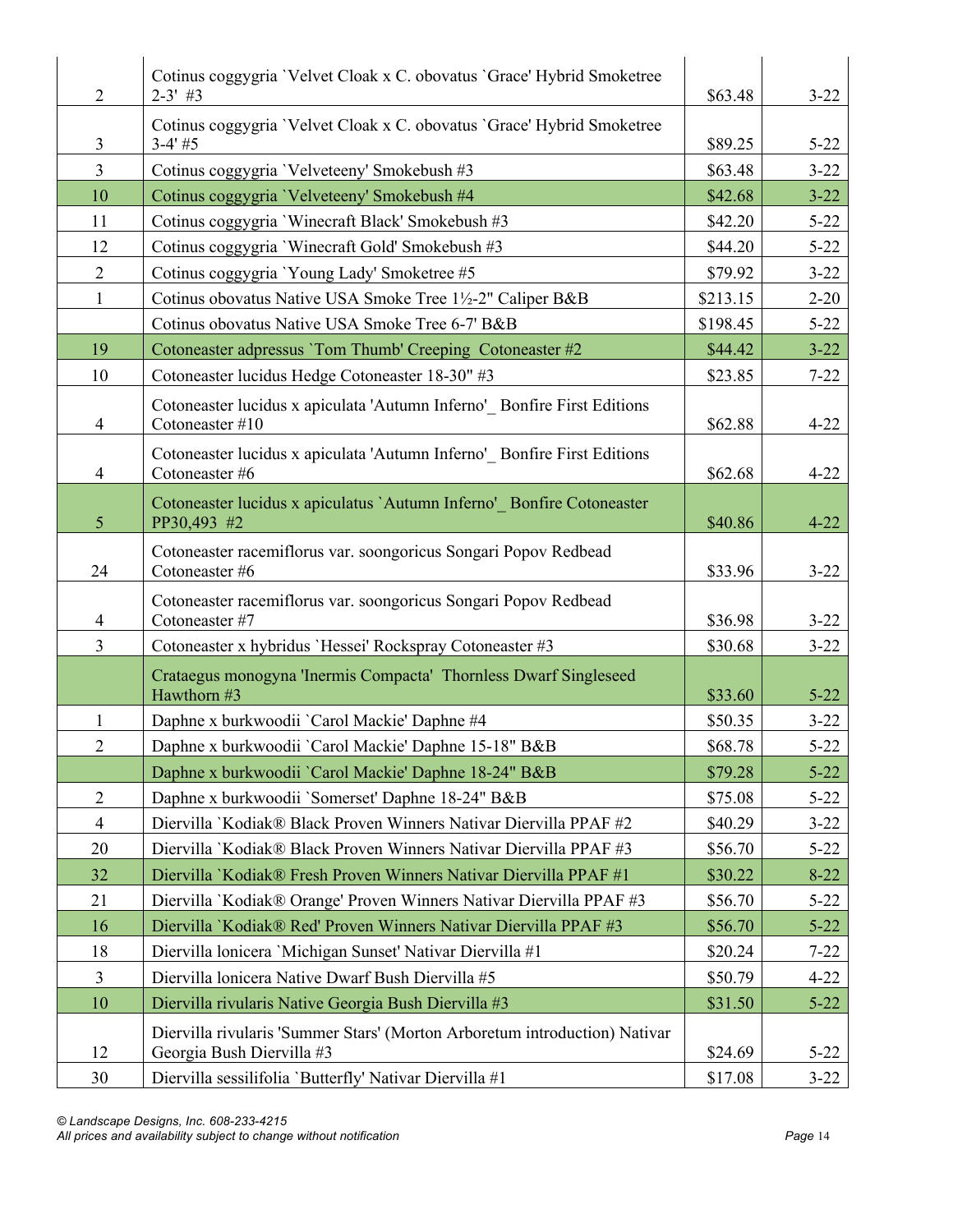| $\overline{2}$ | Cotinus coggygria 'Velvet Cloak x C. obovatus 'Grace' Hybrid Smoketree<br>$2 - 3'$ #3                   | \$63.48  | $3 - 22$ |
|----------------|---------------------------------------------------------------------------------------------------------|----------|----------|
| 3              | Cotinus coggygria 'Velvet Cloak x C. obovatus 'Grace' Hybrid Smoketree<br>$3-4'$ #5                     | \$89.25  | $5 - 22$ |
| $\overline{3}$ | Cotinus coggygria 'Velveteeny' Smokebush #3                                                             | \$63.48  | $3 - 22$ |
| 10             | Cotinus coggygria 'Velveteeny' Smokebush #4                                                             | \$42.68  | $3 - 22$ |
| 11             | Cotinus coggygria 'Winecraft Black' Smokebush #3                                                        | \$42.20  | $5 - 22$ |
| 12             | Cotinus coggygria 'Winecraft Gold' Smokebush #3                                                         | \$44.20  | $5 - 22$ |
| $\overline{2}$ | Cotinus coggygria 'Young Lady' Smoketree #5                                                             | \$79.92  | $3 - 22$ |
| $\mathbf{1}$   | Cotinus obovatus Native USA Smoke Tree 1½-2" Caliper B&B                                                | \$213.15 | $2 - 20$ |
|                | Cotinus obovatus Native USA Smoke Tree 6-7' B&B                                                         | \$198.45 | $5 - 22$ |
| 19             | Cotoneaster adpressus 'Tom Thumb' Creeping Cotoneaster #2                                               | \$44.42  | $3 - 22$ |
| 10             | Cotoneaster lucidus Hedge Cotoneaster 18-30" #3                                                         | \$23.85  | $7 - 22$ |
| 4              | Cotoneaster lucidus x apiculata 'Autumn Inferno' Bonfire First Editions<br>Cotoneaster #10              | \$62.88  | $4 - 22$ |
| $\overline{4}$ | Cotoneaster lucidus x apiculata 'Autumn Inferno' Bonfire First Editions<br>Cotoneaster #6               | \$62.68  | $4 - 22$ |
| 5              | Cotoneaster lucidus x apiculatus `Autumn Inferno' Bonfire Cotoneaster<br>PP30,493 #2                    | \$40.86  | $4 - 22$ |
| 24             | Cotoneaster racemiflorus var. soongoricus Songari Popov Redbead<br>Cotoneaster #6                       | \$33.96  | $3 - 22$ |
| 4              | Cotoneaster racemiflorus var. soongoricus Songari Popov Redbead<br>Cotoneaster #7                       | \$36.98  | $3 - 22$ |
| $\overline{3}$ | Cotoneaster x hybridus 'Hessei' Rockspray Cotoneaster #3                                                | \$30.68  | $3 - 22$ |
|                | Crataegus monogyna 'Inermis Compacta' Thornless Dwarf Singleseed<br>Hawthorn #3                         | \$33.60  | $5 - 22$ |
| 1              | Daphne x burkwoodii `Carol Mackie' Daphne #4                                                            | \$50.35  | $3 - 22$ |
| 2              | Daphne x burkwoodii `Carol Mackie' Daphne 15-18" B&B                                                    | \$68.78  | $5 - 22$ |
|                | Daphne x burkwoodii `Carol Mackie' Daphne 18-24" B&B                                                    | \$79.28  | $5 - 22$ |
| $\overline{2}$ | Daphne x burkwoodii 'Somerset' Daphne 18-24" B&B                                                        | \$75.08  | $5 - 22$ |
| $\overline{4}$ | Diervilla `Kodiak® Black Proven Winners Nativar Diervilla PPAF #2                                       | \$40.29  | $3 - 22$ |
| 20             | Diervilla `Kodiak® Black Proven Winners Nativar Diervilla PPAF #3                                       | \$56.70  | $5 - 22$ |
| 32             | Diervilla `Kodiak® Fresh Proven Winners Nativar Diervilla PPAF #1                                       | \$30.22  | $8 - 22$ |
| 21             | Diervilla `Kodiak® Orange' Proven Winners Nativar Diervilla PPAF #3                                     | \$56.70  | $5 - 22$ |
| 16             | Diervilla `Kodiak® Red' Proven Winners Nativar Diervilla PPAF #3                                        | \$56.70  | $5 - 22$ |
| 18             | Diervilla lonicera 'Michigan Sunset' Nativar Diervilla #1                                               | \$20.24  | $7 - 22$ |
| $\overline{3}$ | Diervilla lonicera Native Dwarf Bush Diervilla #5                                                       | \$50.79  | $4 - 22$ |
| 10             | Diervilla rivularis Native Georgia Bush Diervilla #3                                                    | \$31.50  | $5 - 22$ |
| 12             | Diervilla rivularis 'Summer Stars' (Morton Arboretum introduction) Nativar<br>Georgia Bush Diervilla #3 | \$24.69  | $5 - 22$ |
| 30             | Diervilla sessilifolia 'Butterfly' Nativar Diervilla #1                                                 | \$17.08  | $3 - 22$ |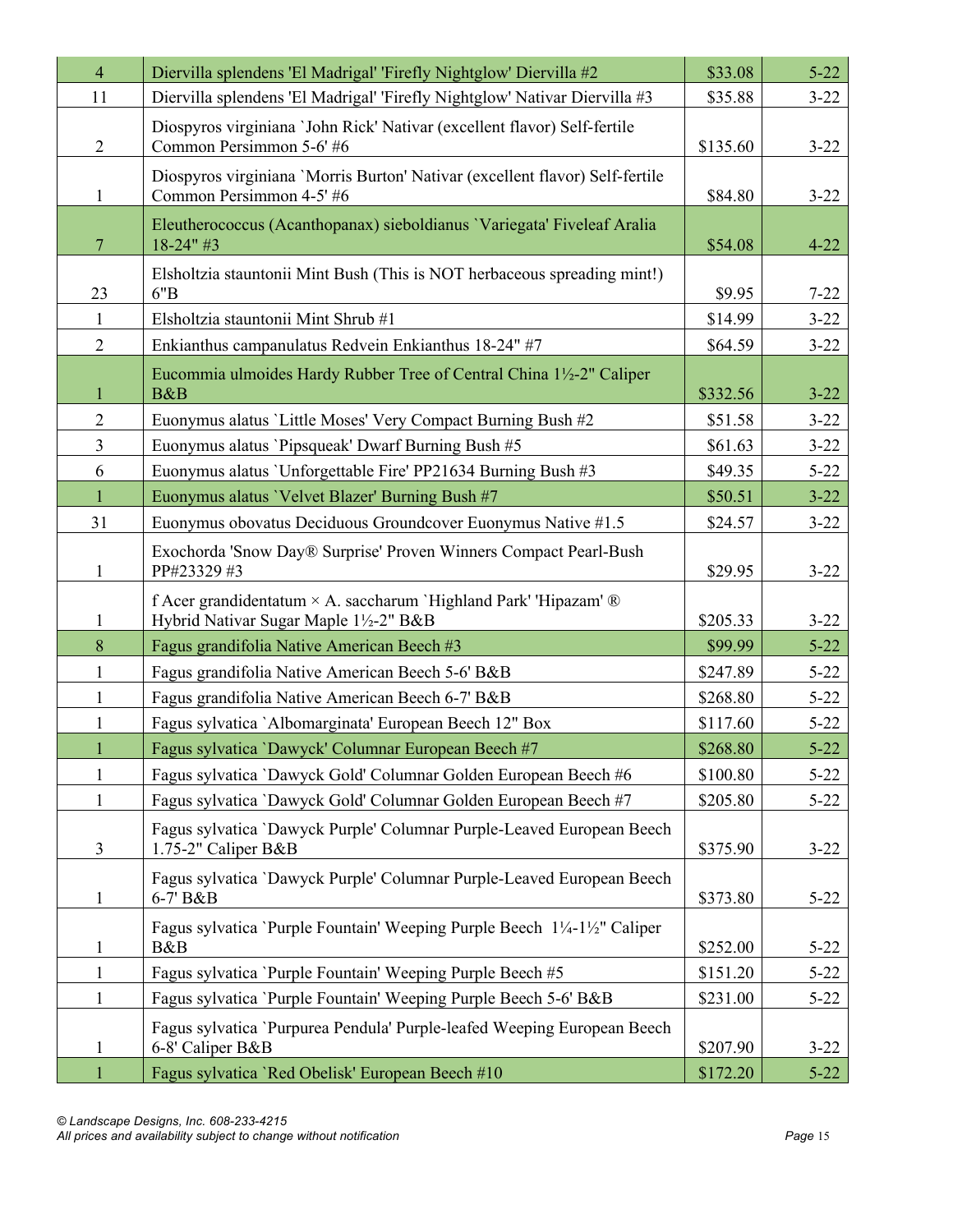| $\overline{4}$ | Diervilla splendens 'El Madrigal' 'Firefly Nightglow' Diervilla #2                                       | \$33.08  | $5 - 22$ |
|----------------|----------------------------------------------------------------------------------------------------------|----------|----------|
| 11             | Diervilla splendens 'El Madrigal' 'Firefly Nightglow' Nativar Diervilla #3                               | \$35.88  | $3 - 22$ |
| $\overline{2}$ | Diospyros virginiana 'John Rick' Nativar (excellent flavor) Self-fertile<br>Common Persimmon 5-6' #6     | \$135.60 | $3 - 22$ |
| $\mathbf{1}$   | Diospyros virginiana 'Morris Burton' Nativar (excellent flavor) Self-fertile<br>Common Persimmon 4-5' #6 | \$84.80  | $3 - 22$ |
| 7              | Eleutherococcus (Acanthopanax) sieboldianus 'Variegata' Fiveleaf Aralia<br>$18 - 24" #3$                 | \$54.08  | $4 - 22$ |
| 23             | Elsholtzia stauntonii Mint Bush (This is NOT herbaceous spreading mint!)<br>6"B                          | \$9.95   | $7 - 22$ |
| $\mathbf{1}$   | Elsholtzia stauntonii Mint Shrub #1                                                                      | \$14.99  | $3 - 22$ |
| $\overline{2}$ | Enkianthus campanulatus Redvein Enkianthus 18-24" #7                                                     | \$64.59  | $3 - 22$ |
| 1              | Eucommia ulmoides Hardy Rubber Tree of Central China 1½-2" Caliper<br>B&B                                | \$332.56 | $3 - 22$ |
| $\overline{2}$ | Euonymus alatus 'Little Moses' Very Compact Burning Bush #2                                              | \$51.58  | $3 - 22$ |
| $\overline{3}$ | Euonymus alatus 'Pipsqueak' Dwarf Burning Bush #5                                                        | \$61.63  | $3 - 22$ |
| 6              | Euonymus alatus 'Unforgettable Fire' PP21634 Burning Bush #3                                             | \$49.35  | $5 - 22$ |
| $\mathbf{1}$   | Euonymus alatus 'Velvet Blazer' Burning Bush #7                                                          | \$50.51  | $3 - 22$ |
| 31             | Euonymus obovatus Deciduous Groundcover Euonymus Native #1.5                                             | \$24.57  | $3 - 22$ |
| $\mathbf{1}$   | Exochorda 'Snow Day® Surprise' Proven Winners Compact Pearl-Bush<br>PP#23329 #3                          | \$29.95  | $3 - 22$ |
| 1              | f Acer grandidentatum × A. saccharum 'Highland Park' 'Hipazam' ®<br>Hybrid Nativar Sugar Maple 1½-2" B&B | \$205.33 | $3 - 22$ |
| 8              | Fagus grandifolia Native American Beech #3                                                               | \$99.99  | $5 - 22$ |
| $\mathbf{1}$   | Fagus grandifolia Native American Beech 5-6' B&B                                                         | \$247.89 | $5 - 22$ |
| $\mathbf{1}$   | Fagus grandifolia Native American Beech 6-7' B&B                                                         | \$268.80 | $5 - 22$ |
| $\mathbf{1}$   | Fagus sylvatica `Albomarginata' European Beech 12" Box                                                   | \$117.60 | $5 - 22$ |
|                | Fagus sylvatica 'Dawyck' Columnar European Beech #7                                                      | \$268.80 | $5 - 22$ |
| $\mathbf{1}$   | Fagus sylvatica 'Dawyck Gold' Columnar Golden European Beech #6                                          | \$100.80 | $5 - 22$ |
| $\mathbf{1}$   | Fagus sylvatica 'Dawyck Gold' Columnar Golden European Beech #7                                          | \$205.80 | $5 - 22$ |
| 3              | Fagus sylvatica 'Dawyck Purple' Columnar Purple-Leaved European Beech<br>1.75-2" Caliper B&B             | \$375.90 | $3 - 22$ |
| $\mathbf{1}$   | Fagus sylvatica 'Dawyck Purple' Columnar Purple-Leaved European Beech<br>6-7' B&B                        | \$373.80 | $5 - 22$ |
| $\mathbf{1}$   | Fagus sylvatica 'Purple Fountain' Weeping Purple Beech 1¼-1½" Caliper<br>B&B                             | \$252.00 | $5 - 22$ |
| $\mathbf{1}$   | Fagus sylvatica `Purple Fountain' Weeping Purple Beech #5                                                | \$151.20 | $5 - 22$ |
| $\mathbf{1}$   | Fagus sylvatica 'Purple Fountain' Weeping Purple Beech 5-6' B&B                                          | \$231.00 | $5 - 22$ |
| 1              | Fagus sylvatica 'Purpurea Pendula' Purple-leafed Weeping European Beech<br>6-8' Caliper B&B              | \$207.90 | $3 - 22$ |
| $\mathbf{1}$   | Fagus sylvatica 'Red Obelisk' European Beech #10                                                         | \$172.20 | $5 - 22$ |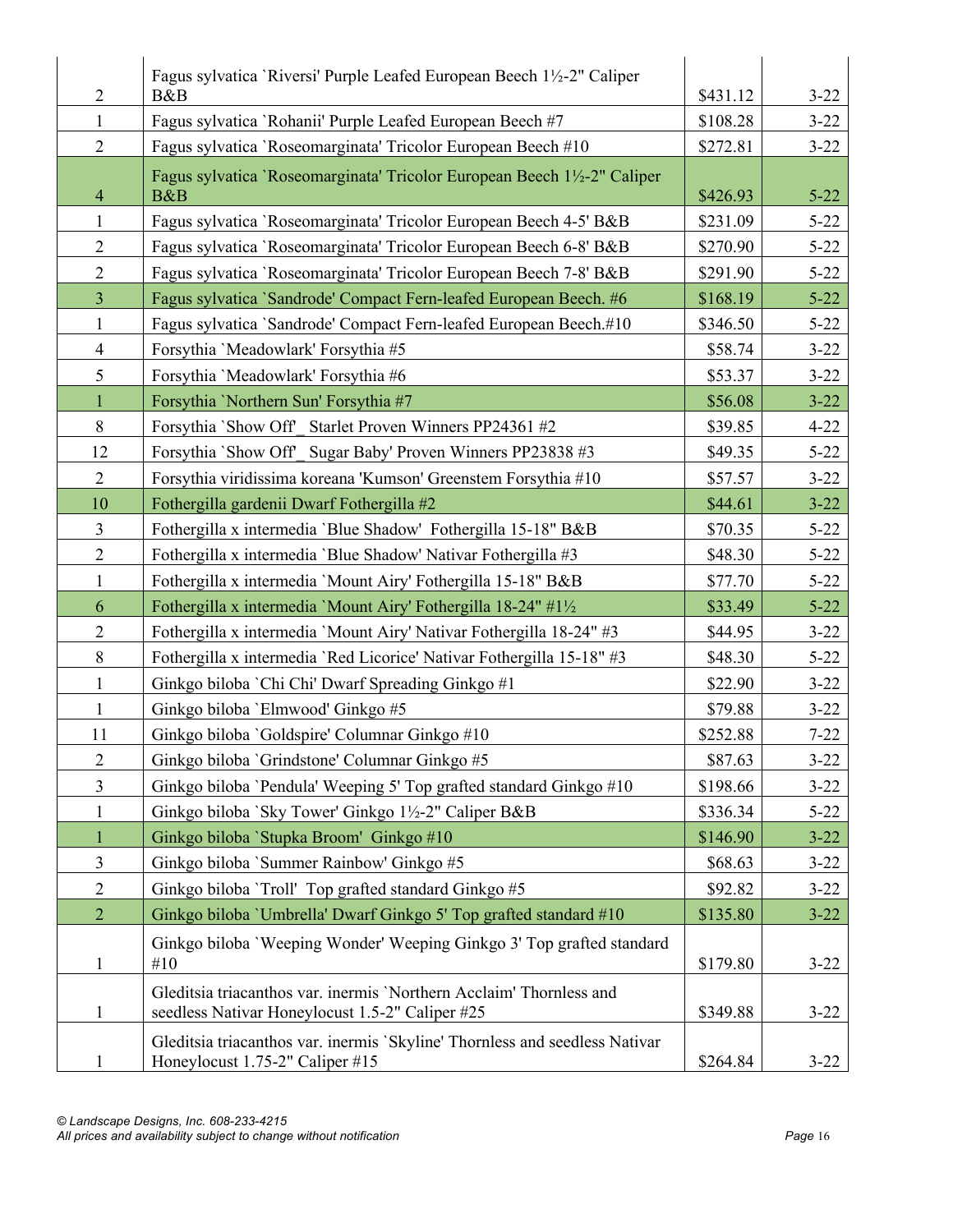| $\overline{2}$ | Fagus sylvatica 'Riversi' Purple Leafed European Beech 1½-2" Caliper<br>B&B                                            | \$431.12 | $3 - 22$ |
|----------------|------------------------------------------------------------------------------------------------------------------------|----------|----------|
| $\mathbf{1}$   | Fagus sylvatica 'Rohanii' Purple Leafed European Beech #7                                                              | \$108.28 | $3 - 22$ |
| $\overline{2}$ | Fagus sylvatica 'Roseomarginata' Tricolor European Beech #10                                                           | \$272.81 | $3 - 22$ |
| $\overline{4}$ | Fagus sylvatica 'Roseomarginata' Tricolor European Beech 1½-2" Caliper<br>B&B                                          | \$426.93 | $5 - 22$ |
| $\mathbf{1}$   | Fagus sylvatica 'Roseomarginata' Tricolor European Beech 4-5' B&B                                                      | \$231.09 | $5 - 22$ |
| $\overline{2}$ | Fagus sylvatica 'Roseomarginata' Tricolor European Beech 6-8' B&B                                                      | \$270.90 | $5 - 22$ |
| $\overline{2}$ | Fagus sylvatica 'Roseomarginata' Tricolor European Beech 7-8' B&B                                                      | \$291.90 | $5 - 22$ |
| $\overline{3}$ | Fagus sylvatica 'Sandrode' Compact Fern-leafed European Beech. #6                                                      | \$168.19 | $5 - 22$ |
| $\mathbf{1}$   | Fagus sylvatica 'Sandrode' Compact Fern-leafed European Beech.#10                                                      | \$346.50 | $5 - 22$ |
| $\overline{4}$ | Forsythia 'Meadowlark' Forsythia #5                                                                                    | \$58.74  | $3 - 22$ |
| 5              | Forsythia 'Meadowlark' Forsythia #6                                                                                    | \$53.37  | $3 - 22$ |
| $\mathbf{1}$   | Forsythia 'Northern Sun' Forsythia #7                                                                                  | \$56.08  | $3 - 22$ |
| 8              | Forsythia `Show Off' Starlet Proven Winners PP24361 #2                                                                 | \$39.85  | $4 - 22$ |
| 12             | Forsythia `Show Off' Sugar Baby' Proven Winners PP23838 #3                                                             | \$49.35  | $5 - 22$ |
| $\overline{2}$ | Forsythia viridissima koreana 'Kumson' Greenstem Forsythia #10                                                         | \$57.57  | $3 - 22$ |
| 10             | Fothergilla gardenii Dwarf Fothergilla #2                                                                              | \$44.61  | $3 - 22$ |
| $\overline{3}$ | Fothergilla x intermedia 'Blue Shadow' Fothergilla 15-18" B&B                                                          | \$70.35  | $5 - 22$ |
| $\overline{2}$ | Fothergilla x intermedia 'Blue Shadow' Nativar Fothergilla #3                                                          | \$48.30  | $5 - 22$ |
| $\mathbf{1}$   | Fothergilla x intermedia 'Mount Airy' Fothergilla 15-18" B&B                                                           | \$77.70  | $5 - 22$ |
| 6              | Fothergilla x intermedia 'Mount Airy' Fothergilla 18-24" #1½                                                           | \$33.49  | $5 - 22$ |
| $\overline{2}$ | Fothergilla x intermedia 'Mount Airy' Nativar Fothergilla 18-24" #3                                                    | \$44.95  | $3 - 22$ |
| 8              | Fothergilla x intermedia 'Red Licorice' Nativar Fothergilla 15-18" #3                                                  | \$48.30  | $5 - 22$ |
| $\mathbf{1}$   | Ginkgo biloba 'Chi Chi' Dwarf Spreading Ginkgo #1                                                                      | \$22.90  | $3 - 22$ |
| $\mathbf{1}$   | Ginkgo biloba 'Elmwood' Ginkgo #5                                                                                      | \$79.88  | $3 - 22$ |
| 11             | Ginkgo biloba 'Goldspire' Columnar Ginkgo #10                                                                          | \$252.88 | $7 - 22$ |
| $\overline{2}$ | Ginkgo biloba 'Grindstone' Columnar Ginkgo #5                                                                          | \$87.63  | $3 - 22$ |
| $\overline{3}$ | Ginkgo biloba 'Pendula' Weeping 5' Top grafted standard Ginkgo #10                                                     | \$198.66 | $3 - 22$ |
| 1              | Ginkgo biloba `Sky Tower' Ginkgo 1½-2" Caliper B&B                                                                     | \$336.34 | $5 - 22$ |
| $\mathbf{1}$   | Ginkgo biloba `Stupka Broom' Ginkgo #10                                                                                | \$146.90 | $3 - 22$ |
| $\overline{3}$ | Ginkgo biloba 'Summer Rainbow' Ginkgo #5                                                                               | \$68.63  | $3 - 22$ |
| $\mathbf{2}$   | Ginkgo biloba `Troll' Top grafted standard Ginkgo #5                                                                   | \$92.82  | $3 - 22$ |
| $\overline{2}$ | Ginkgo biloba 'Umbrella' Dwarf Ginkgo 5' Top grafted standard #10                                                      | \$135.80 | $3 - 22$ |
| 1              | Ginkgo biloba 'Weeping Wonder' Weeping Ginkgo 3' Top grafted standard<br>#10                                           | \$179.80 | $3 - 22$ |
| $\mathbf{1}$   | Gleditsia triacanthos var. inermis 'Northern Acclaim' Thornless and<br>seedless Nativar Honeylocust 1.5-2" Caliper #25 | \$349.88 | $3 - 22$ |
|                | Gleditsia triacanthos var. inermis 'Skyline' Thornless and seedless Nativar<br>Honeylocust 1.75-2" Caliper #15         | \$264.84 | $3 - 22$ |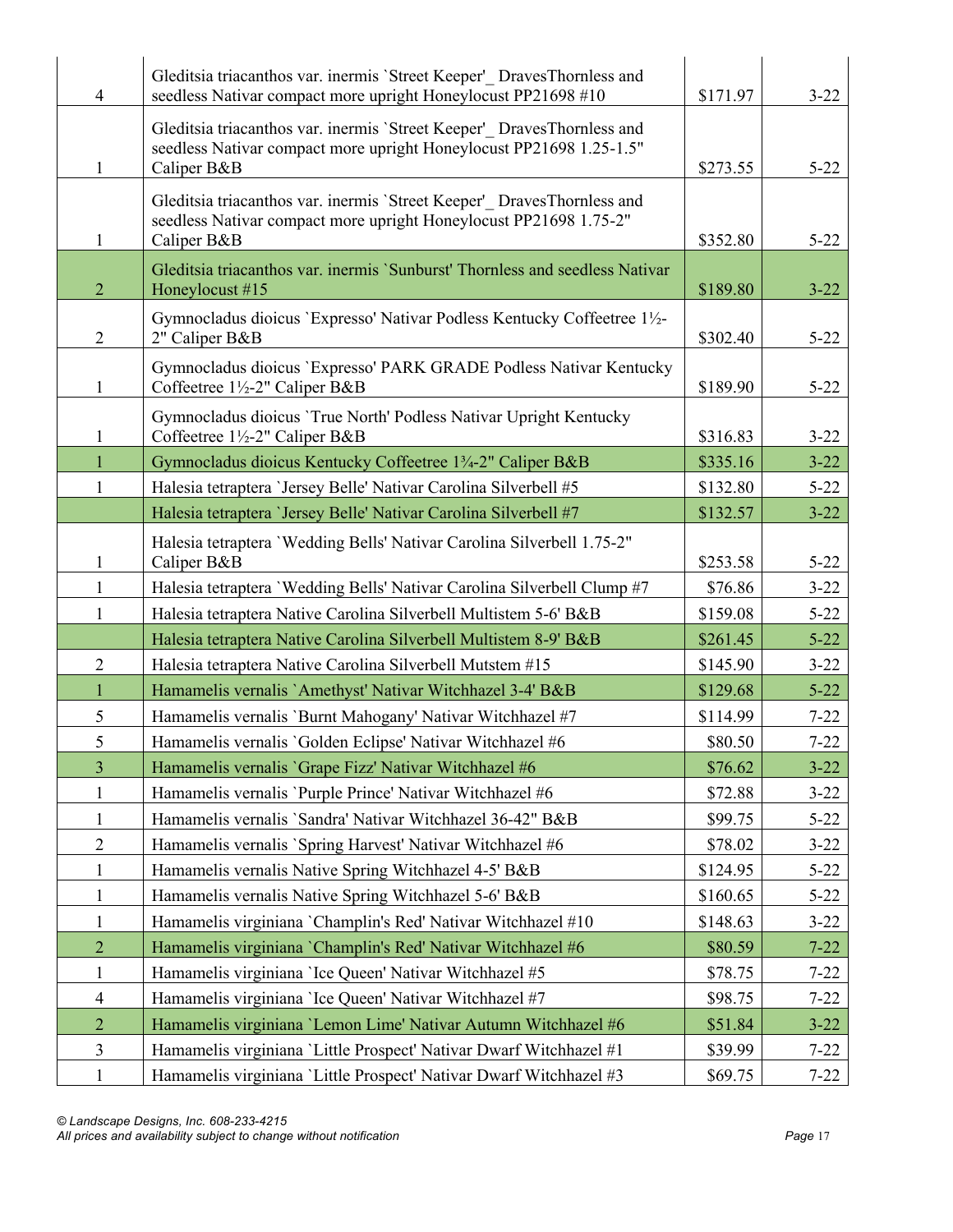| $\overline{4}$ | Gleditsia triacanthos var. inermis 'Street Keeper' DravesThornless and<br>seedless Nativar compact more upright Honeylocust PP21698 #10                      | \$171.97 | $3 - 22$ |
|----------------|--------------------------------------------------------------------------------------------------------------------------------------------------------------|----------|----------|
| 1              | Gleditsia triacanthos var. inermis 'Street Keeper' DravesThornless and<br>seedless Nativar compact more upright Honeylocust PP21698 1.25-1.5"<br>Caliper B&B | \$273.55 | $5 - 22$ |
| 1              | Gleditsia triacanthos var. inermis 'Street Keeper' DravesThornless and<br>seedless Nativar compact more upright Honeylocust PP21698 1.75-2"<br>Caliper B&B   | \$352.80 | $5 - 22$ |
| $\overline{2}$ | Gleditsia triacanthos var. inermis 'Sunburst' Thornless and seedless Nativar<br>Honeylocust #15                                                              | \$189.80 | $3 - 22$ |
| $\overline{2}$ | Gymnocladus dioicus 'Expresso' Nativar Podless Kentucky Coffeetree 1½-<br>2" Caliper B&B                                                                     | \$302.40 | $5 - 22$ |
| $\mathbf{1}$   | Gymnocladus dioicus 'Expresso' PARK GRADE Podless Nativar Kentucky<br>Coffeetree 1½-2" Caliper B&B                                                           | \$189.90 | $5 - 22$ |
| $\mathbf{1}$   | Gymnocladus dioicus 'True North' Podless Nativar Upright Kentucky<br>Coffeetree 1½-2" Caliper B&B                                                            | \$316.83 | $3 - 22$ |
| $\mathbf{1}$   | Gymnocladus dioicus Kentucky Coffeetree 13/4-2" Caliper B&B                                                                                                  | \$335.16 | $3 - 22$ |
| 1              | Halesia tetraptera 'Jersey Belle' Nativar Carolina Silverbell #5                                                                                             | \$132.80 | $5 - 22$ |
|                | Halesia tetraptera 'Jersey Belle' Nativar Carolina Silverbell #7                                                                                             | \$132.57 | $3 - 22$ |
| $\mathbf{1}$   | Halesia tetraptera 'Wedding Bells' Nativar Carolina Silverbell 1.75-2"<br>Caliper B&B                                                                        | \$253.58 | $5 - 22$ |
| $\mathbf{1}$   | Halesia tetraptera 'Wedding Bells' Nativar Carolina Silverbell Clump #7                                                                                      | \$76.86  | $3 - 22$ |
| $\mathbf{1}$   | Halesia tetraptera Native Carolina Silverbell Multistem 5-6' B&B                                                                                             | \$159.08 | $5 - 22$ |
|                | Halesia tetraptera Native Carolina Silverbell Multistem 8-9' B&B                                                                                             | \$261.45 | $5 - 22$ |
| $\overline{2}$ | Halesia tetraptera Native Carolina Silverbell Mutstem #15                                                                                                    | \$145.90 | $3 - 22$ |
| $\mathbf{1}$   | Hamamelis vernalis `Amethyst' Nativar Witchhazel 3-4' B&B                                                                                                    | \$129.68 | $5 - 22$ |
| 5              | Hamamelis vernalis 'Burnt Mahogany' Nativar Witchhazel #7                                                                                                    | \$114.99 | $7 - 22$ |
| 5              | Hamamelis vernalis 'Golden Eclipse' Nativar Witchhazel #6                                                                                                    | \$80.50  | $7 - 22$ |
| $\overline{3}$ | Hamamelis vernalis 'Grape Fizz' Nativar Witchhazel #6                                                                                                        | \$76.62  | $3 - 22$ |
| $\mathbf{1}$   | Hamamelis vernalis 'Purple Prince' Nativar Witchhazel #6                                                                                                     | \$72.88  | $3 - 22$ |
| $\mathbf{1}$   | Hamamelis vernalis 'Sandra' Nativar Witchhazel 36-42" B&B                                                                                                    | \$99.75  | $5 - 22$ |
| $\mathbf{2}$   | Hamamelis vernalis 'Spring Harvest' Nativar Witchhazel #6                                                                                                    | \$78.02  | $3 - 22$ |
| $\mathbf{1}$   | Hamamelis vernalis Native Spring Witchhazel 4-5' B&B                                                                                                         | \$124.95 | $5 - 22$ |
| $\mathbf{1}$   | Hamamelis vernalis Native Spring Witchhazel 5-6' B&B                                                                                                         | \$160.65 | $5 - 22$ |
| $\mathbf{1}$   | Hamamelis virginiana 'Champlin's Red' Nativar Witchhazel #10                                                                                                 | \$148.63 | $3 - 22$ |
| $\sqrt{2}$     | Hamamelis virginiana `Champlin's Red' Nativar Witchhazel #6                                                                                                  | \$80.59  | $7 - 22$ |
| $\mathbf{1}$   | Hamamelis virginiana 'Ice Queen' Nativar Witchhazel #5                                                                                                       | \$78.75  | $7 - 22$ |
| $\overline{4}$ | Hamamelis virginiana 'Ice Queen' Nativar Witchhazel #7                                                                                                       | \$98.75  | $7 - 22$ |
| $\overline{2}$ | Hamamelis virginiana 'Lemon Lime' Nativar Autumn Witchhazel #6                                                                                               | \$51.84  | $3 - 22$ |
| $\mathfrak{Z}$ | Hamamelis virginiana 'Little Prospect' Nativar Dwarf Witchhazel #1                                                                                           | \$39.99  | $7 - 22$ |
| $\mathbf{1}$   | Hamamelis virginiana 'Little Prospect' Nativar Dwarf Witchhazel #3                                                                                           | \$69.75  | $7 - 22$ |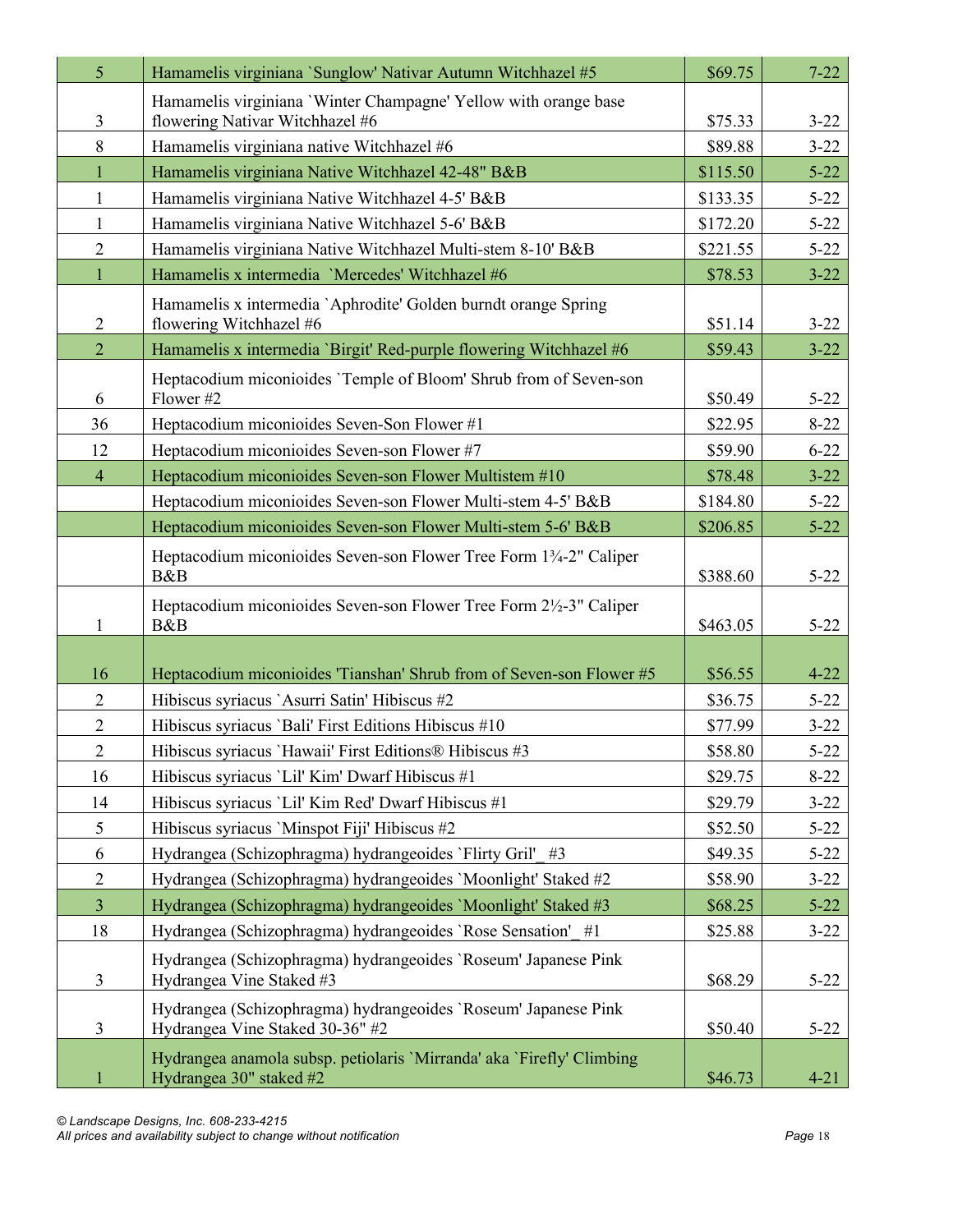| $\overline{5}$ | Hamamelis virginiana `Sunglow' Nativar Autumn Witchhazel #5                                       | \$69.75  | $7 - 22$ |
|----------------|---------------------------------------------------------------------------------------------------|----------|----------|
|                | Hamamelis virginiana 'Winter Champagne' Yellow with orange base                                   |          |          |
| $\mathfrak{Z}$ | flowering Nativar Witchhazel #6                                                                   | \$75.33  | $3 - 22$ |
| 8              | Hamamelis virginiana native Witchhazel #6                                                         | \$89.88  | $3 - 22$ |
| $\mathbf{1}$   | Hamamelis virginiana Native Witchhazel 42-48" B&B                                                 | \$115.50 | $5 - 22$ |
| $\mathbf{1}$   | Hamamelis virginiana Native Witchhazel 4-5' B&B                                                   | \$133.35 | $5 - 22$ |
| $\mathbf{1}$   | Hamamelis virginiana Native Witchhazel 5-6' B&B                                                   | \$172.20 | $5 - 22$ |
| $\overline{2}$ | Hamamelis virginiana Native Witchhazel Multi-stem 8-10' B&B                                       | \$221.55 | $5 - 22$ |
| $\mathbf{1}$   | Hamamelis x intermedia 'Mercedes' Witchhazel #6                                                   | \$78.53  | $3 - 22$ |
| $\overline{2}$ | Hamamelis x intermedia `Aphrodite' Golden burndt orange Spring<br>flowering Witchhazel #6         | \$51.14  | $3 - 22$ |
| $\overline{2}$ | Hamamelis x intermedia 'Birgit' Red-purple flowering Witchhazel #6                                | \$59.43  | $3 - 22$ |
| 6              | Heptacodium miconioides 'Temple of Bloom' Shrub from of Seven-son<br>Flower #2                    | \$50.49  | $5 - 22$ |
| 36             | Heptacodium miconioides Seven-Son Flower #1                                                       | \$22.95  | $8 - 22$ |
| 12             | Heptacodium miconioides Seven-son Flower #7                                                       | \$59.90  | $6 - 22$ |
| $\overline{4}$ | Heptacodium miconioides Seven-son Flower Multistem #10                                            | \$78.48  | $3 - 22$ |
|                | Heptacodium miconioides Seven-son Flower Multi-stem 4-5' B&B                                      | \$184.80 | $5 - 22$ |
|                | Heptacodium miconioides Seven-son Flower Multi-stem 5-6' B&B                                      | \$206.85 | $5 - 22$ |
|                | Heptacodium miconioides Seven-son Flower Tree Form 13/4-2" Caliper<br>B&B                         | \$388.60 | $5 - 22$ |
|                | Heptacodium miconioides Seven-son Flower Tree Form 2½-3" Caliper                                  |          |          |
| $\mathbf{1}$   | B&B                                                                                               | \$463.05 | $5 - 22$ |
|                |                                                                                                   |          |          |
| 16             | Heptacodium miconioides 'Tianshan' Shrub from of Seven-son Flower #5                              | \$56.55  | $4 - 22$ |
| $\overline{2}$ | Hibiscus syriacus 'Asurri Satin' Hibiscus #2                                                      | \$36.75  | $5 - 22$ |
| $\overline{2}$ | Hibiscus syriacus 'Bali' First Editions Hibiscus #10                                              | \$77.99  | $3 - 22$ |
| $\overline{2}$ | Hibiscus syriacus 'Hawaii' First Editions® Hibiscus #3                                            | \$58.80  | $5 - 22$ |
| 16             | Hibiscus syriacus 'Lil' Kim' Dwarf Hibiscus #1                                                    | \$29.75  | $8 - 22$ |
| 14             | Hibiscus syriacus 'Lil' Kim Red' Dwarf Hibiscus #1                                                | \$29.79  | $3 - 22$ |
| 5              | Hibiscus syriacus 'Minspot Fiji' Hibiscus #2                                                      | \$52.50  | $5 - 22$ |
| 6              | Hydrangea (Schizophragma) hydrangeoides `Flirty Gril' #3                                          | \$49.35  | $5 - 22$ |
| $\overline{2}$ | Hydrangea (Schizophragma) hydrangeoides 'Moonlight' Staked #2                                     | \$58.90  | $3 - 22$ |
| 3              | Hydrangea (Schizophragma) hydrangeoides 'Moonlight' Staked #3                                     | \$68.25  | $5 - 22$ |
| 18             | Hydrangea (Schizophragma) hydrangeoides 'Rose Sensation' #1                                       | \$25.88  | $3 - 22$ |
| 3              | Hydrangea (Schizophragma) hydrangeoides 'Roseum' Japanese Pink<br>Hydrangea Vine Staked #3        | \$68.29  | $5 - 22$ |
| 3              | Hydrangea (Schizophragma) hydrangeoides 'Roseum' Japanese Pink<br>Hydrangea Vine Staked 30-36" #2 | \$50.40  | $5 - 22$ |
| $\mathbf{1}$   | Hydrangea anamola subsp. petiolaris 'Mirranda' aka 'Firefly' Climbing<br>Hydrangea 30" staked #2  | \$46.73  | $4 - 21$ |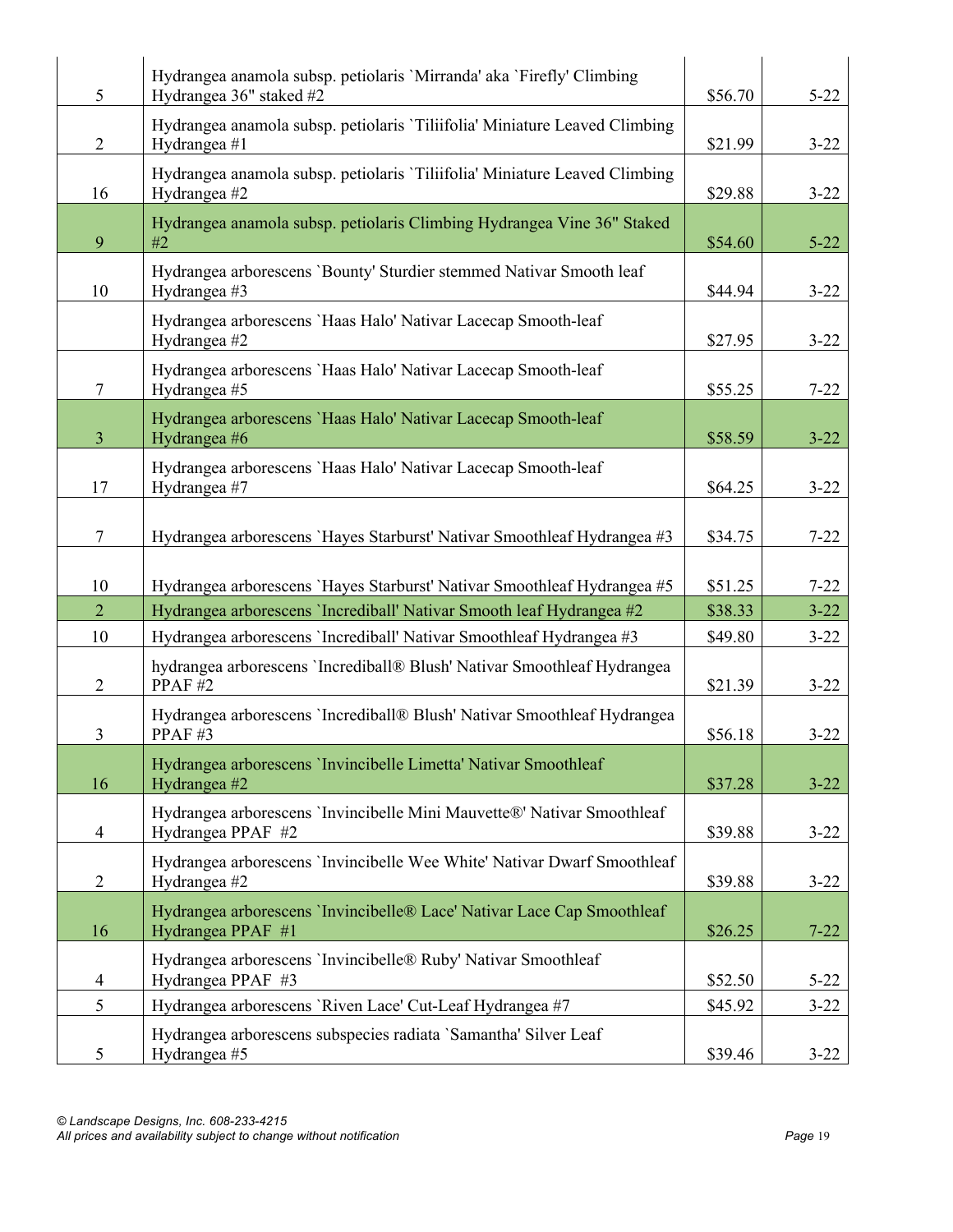| 5              | Hydrangea anamola subsp. petiolaris 'Mirranda' aka 'Firefly' Climbing<br>Hydrangea 36" staked #2 | \$56.70 | $5 - 22$ |
|----------------|--------------------------------------------------------------------------------------------------|---------|----------|
| $\overline{2}$ | Hydrangea anamola subsp. petiolaris 'Tiliifolia' Miniature Leaved Climbing<br>Hydrangea #1       | \$21.99 | $3 - 22$ |
| 16             | Hydrangea anamola subsp. petiolaris 'Tiliifolia' Miniature Leaved Climbing<br>Hydrangea #2       | \$29.88 | $3 - 22$ |
| 9              | Hydrangea anamola subsp. petiolaris Climbing Hydrangea Vine 36" Staked<br>#2                     | \$54.60 | $5 - 22$ |
| 10             | Hydrangea arborescens 'Bounty' Sturdier stemmed Nativar Smooth leaf<br>Hydrangea #3              | \$44.94 | $3 - 22$ |
|                | Hydrangea arborescens 'Haas Halo' Nativar Lacecap Smooth-leaf<br>Hydrangea #2                    | \$27.95 | $3 - 22$ |
| $\tau$         | Hydrangea arborescens 'Haas Halo' Nativar Lacecap Smooth-leaf<br>Hydrangea #5                    | \$55.25 | $7 - 22$ |
| $\overline{3}$ | Hydrangea arborescens 'Haas Halo' Nativar Lacecap Smooth-leaf<br>Hydrangea #6                    | \$58.59 | $3 - 22$ |
| 17             | Hydrangea arborescens 'Haas Halo' Nativar Lacecap Smooth-leaf<br>Hydrangea #7                    | \$64.25 | $3 - 22$ |
| $\overline{7}$ | Hydrangea arborescens 'Hayes Starburst' Nativar Smoothleaf Hydrangea #3                          | \$34.75 | $7 - 22$ |
| 10             | Hydrangea arborescens 'Hayes Starburst' Nativar Smoothleaf Hydrangea #5                          | \$51.25 | $7 - 22$ |
| $\overline{2}$ | Hydrangea arborescens 'Incrediball' Nativar Smooth leaf Hydrangea #2                             | \$38.33 | $3 - 22$ |
| 10             | Hydrangea arborescens 'Incrediball' Nativar Smoothleaf Hydrangea #3                              | \$49.80 | $3 - 22$ |
| $\overline{2}$ | hydrangea arborescens 'Incrediball® Blush' Nativar Smoothleaf Hydrangea<br>PPAF#2                | \$21.39 | $3 - 22$ |
| 3              | Hydrangea arborescens 'Incrediball® Blush' Nativar Smoothleaf Hydrangea<br>PPAF#3                | \$56.18 | $3 - 22$ |
| 16             | Hydrangea arborescens 'Invincibelle Limetta' Nativar Smoothleaf<br>Hydrangea #2                  | \$37.28 | $3 - 22$ |
| 4              | Hydrangea arborescens 'Invincibelle Mini Mauvette®' Nativar Smoothleaf<br>Hydrangea PPAF #2      | \$39.88 | $3 - 22$ |
| $\overline{2}$ | Hydrangea arborescens 'Invincibelle Wee White' Nativar Dwarf Smoothleaf<br>Hydrangea #2          | \$39.88 | $3 - 22$ |
| 16             | Hydrangea arborescens `Invincibelle® Lace' Nativar Lace Cap Smoothleaf<br>Hydrangea PPAF #1      | \$26.25 | $7 - 22$ |
| 4              | Hydrangea arborescens 'Invincibelle® Ruby' Nativar Smoothleaf<br>Hydrangea PPAF #3               | \$52.50 | $5 - 22$ |
| 5              | Hydrangea arborescens 'Riven Lace' Cut-Leaf Hydrangea #7                                         | \$45.92 | $3 - 22$ |
| 5              | Hydrangea arborescens subspecies radiata 'Samantha' Silver Leaf<br>Hydrangea #5                  | \$39.46 | $3 - 22$ |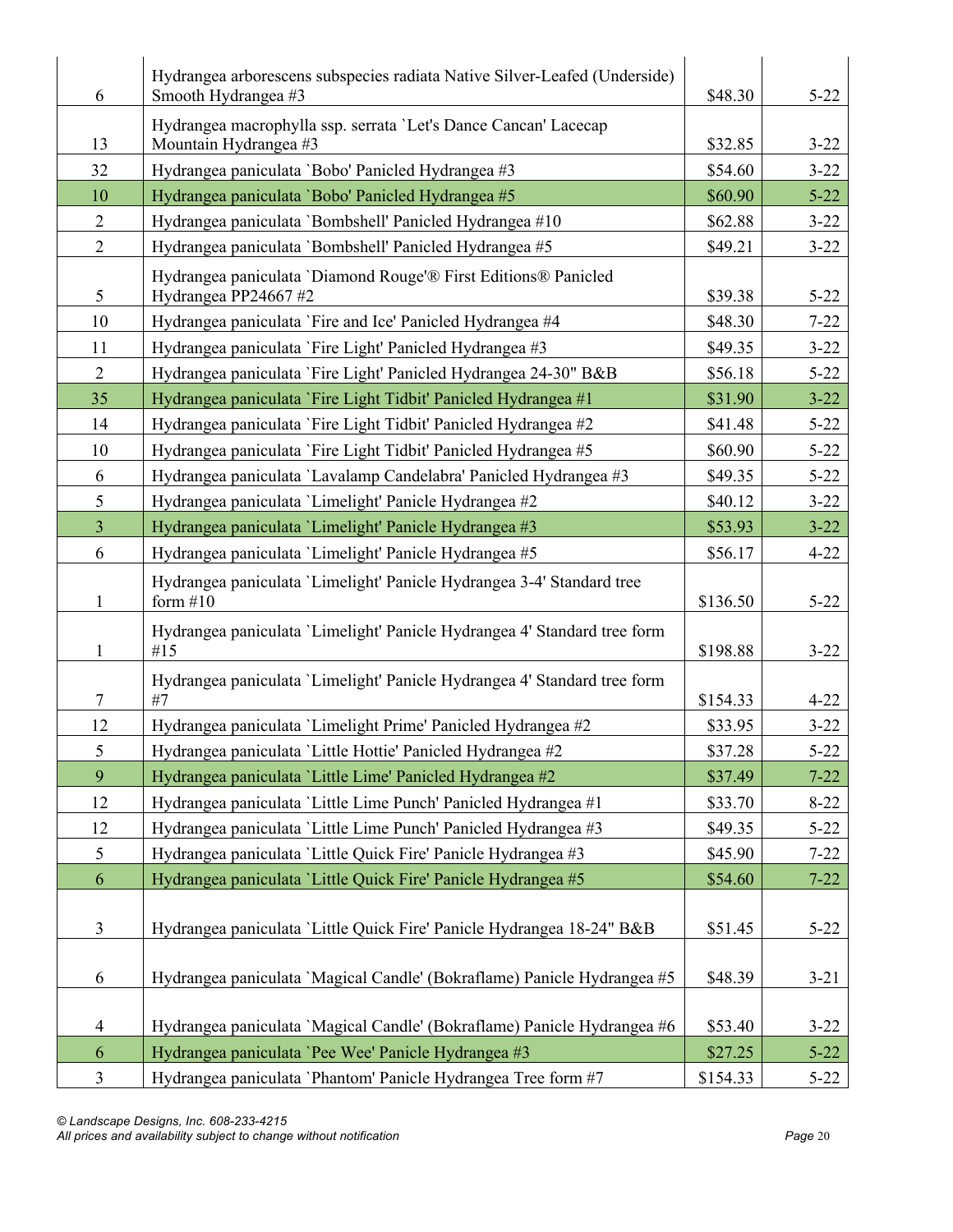| 6              | Hydrangea arborescens subspecies radiata Native Silver-Leafed (Underside)<br>Smooth Hydrangea #3 | \$48.30  | $5 - 22$ |
|----------------|--------------------------------------------------------------------------------------------------|----------|----------|
| 13             | Hydrangea macrophylla ssp. serrata 'Let's Dance Cancan' Lacecap<br>Mountain Hydrangea #3         | \$32.85  | $3 - 22$ |
| 32             | Hydrangea paniculata 'Bobo' Panicled Hydrangea #3                                                | \$54.60  | $3 - 22$ |
| 10             | Hydrangea paniculata 'Bobo' Panicled Hydrangea #5                                                | \$60.90  | $5 - 22$ |
| $\overline{2}$ | Hydrangea paniculata 'Bombshell' Panicled Hydrangea #10                                          | \$62.88  | $3 - 22$ |
| $\overline{2}$ | Hydrangea paniculata 'Bombshell' Panicled Hydrangea #5                                           | \$49.21  | $3 - 22$ |
| 5              | Hydrangea paniculata 'Diamond Rouge'® First Editions® Panicled<br>Hydrangea PP24667#2            | \$39.38  | $5 - 22$ |
| 10             | Hydrangea paniculata `Fire and Ice' Panicled Hydrangea #4                                        | \$48.30  | $7 - 22$ |
| 11             | Hydrangea paniculata `Fire Light' Panicled Hydrangea #3                                          | \$49.35  | $3 - 22$ |
| $\overline{2}$ | Hydrangea paniculata 'Fire Light' Panicled Hydrangea 24-30" B&B                                  | \$56.18  | $5 - 22$ |
| 35             | Hydrangea paniculata 'Fire Light Tidbit' Panicled Hydrangea #1                                   | \$31.90  | $3 - 22$ |
| 14             | Hydrangea paniculata `Fire Light Tidbit' Panicled Hydrangea #2                                   | \$41.48  | $5 - 22$ |
| 10             | Hydrangea paniculata `Fire Light Tidbit' Panicled Hydrangea #5                                   | \$60.90  | $5 - 22$ |
| 6              | Hydrangea paniculata 'Lavalamp Candelabra' Panicled Hydrangea #3                                 | \$49.35  | $5 - 22$ |
| 5              | Hydrangea paniculata 'Limelight' Panicle Hydrangea #2                                            | \$40.12  | $3 - 22$ |
| $\overline{3}$ | Hydrangea paniculata 'Limelight' Panicle Hydrangea #3                                            | \$53.93  | $3 - 22$ |
| 6              | Hydrangea paniculata 'Limelight' Panicle Hydrangea #5                                            | \$56.17  | $4 - 22$ |
| 1              | Hydrangea paniculata 'Limelight' Panicle Hydrangea 3-4' Standard tree<br>form $#10$              | \$136.50 | $5 - 22$ |
| 1              | Hydrangea paniculata 'Limelight' Panicle Hydrangea 4' Standard tree form<br>#15                  | \$198.88 | $3 - 22$ |
| $\tau$         | Hydrangea paniculata 'Limelight' Panicle Hydrangea 4' Standard tree form<br>#7                   | \$154.33 | $4 - 22$ |
| 12             | Hydrangea paniculata 'Limelight Prime' Panicled Hydrangea #2                                     | \$33.95  | $3 - 22$ |
| 5              | Hydrangea paniculata 'Little Hottie' Panicled Hydrangea #2                                       | \$37.28  | $5 - 22$ |
| 9              | Hydrangea paniculata 'Little Lime' Panicled Hydrangea #2                                         | \$37.49  | $7 - 22$ |
| 12             | Hydrangea paniculata 'Little Lime Punch' Panicled Hydrangea #1                                   | \$33.70  | $8 - 22$ |
| 12             | Hydrangea paniculata 'Little Lime Punch' Panicled Hydrangea #3                                   | \$49.35  | $5 - 22$ |
| 5              | Hydrangea paniculata 'Little Quick Fire' Panicle Hydrangea #3                                    | \$45.90  | $7 - 22$ |
| 6              | Hydrangea paniculata 'Little Quick Fire' Panicle Hydrangea #5                                    | \$54.60  | $7 - 22$ |
| $\mathfrak{Z}$ | Hydrangea paniculata 'Little Quick Fire' Panicle Hydrangea 18-24" B&B                            | \$51.45  | $5 - 22$ |
| 6              | Hydrangea paniculata 'Magical Candle' (Bokraflame) Panicle Hydrangea #5                          | \$48.39  | $3 - 21$ |
| $\overline{4}$ | Hydrangea paniculata 'Magical Candle' (Bokraflame) Panicle Hydrangea #6                          | \$53.40  | $3 - 22$ |
| 6              | Hydrangea paniculata 'Pee Wee' Panicle Hydrangea #3                                              | \$27.25  | $5 - 22$ |
| $\mathfrak{Z}$ | Hydrangea paniculata 'Phantom' Panicle Hydrangea Tree form #7                                    | \$154.33 | $5 - 22$ |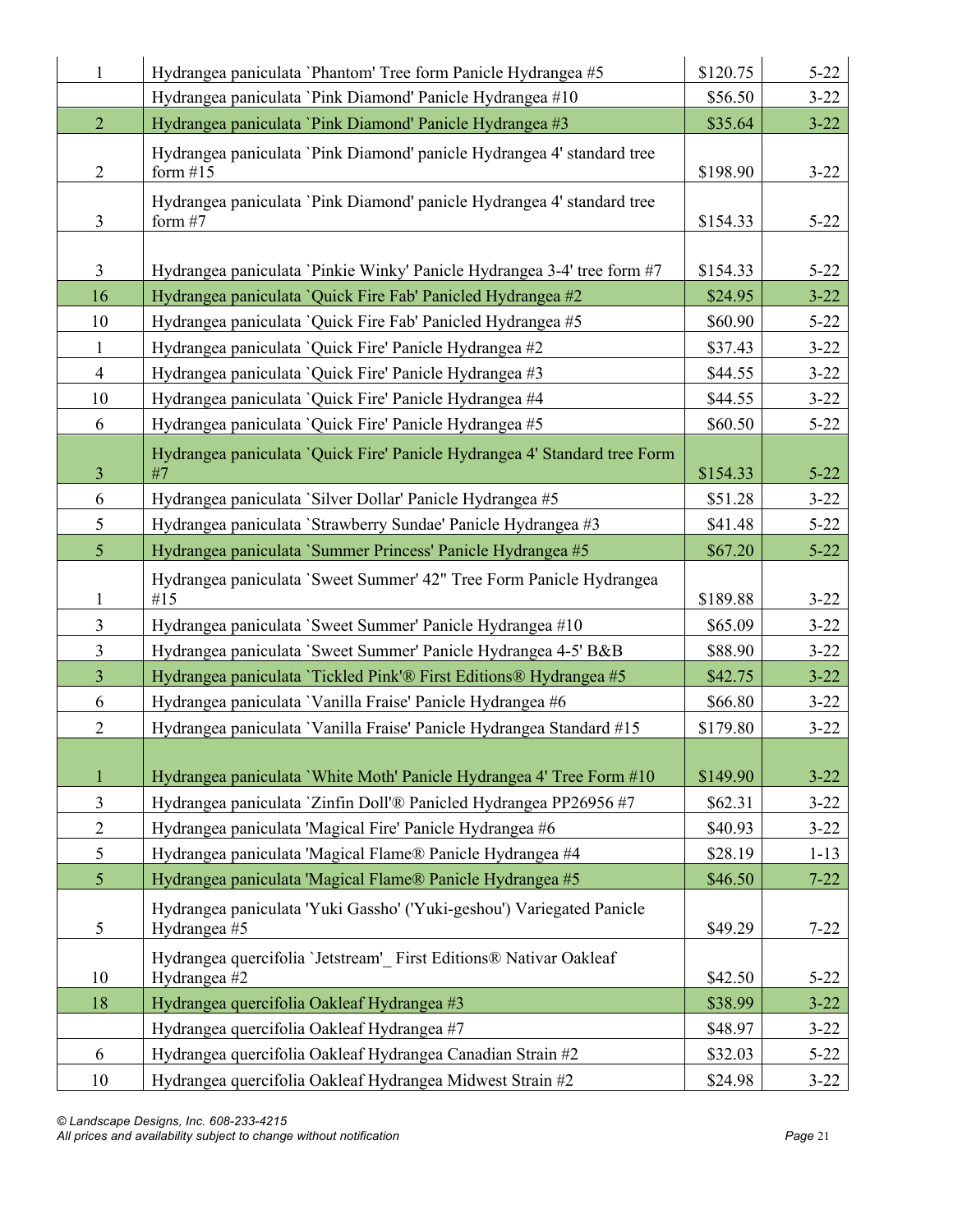| $\mathbf{1}$   | Hydrangea paniculata 'Phantom' Tree form Panicle Hydrangea #5                         | \$120.75 | $5 - 22$ |
|----------------|---------------------------------------------------------------------------------------|----------|----------|
|                | Hydrangea paniculata 'Pink Diamond' Panicle Hydrangea #10                             | \$56.50  | $3 - 22$ |
| $\overline{2}$ | Hydrangea paniculata 'Pink Diamond' Panicle Hydrangea #3                              | \$35.64  | $3 - 22$ |
| $\overline{2}$ | Hydrangea paniculata 'Pink Diamond' panicle Hydrangea 4' standard tree<br>form $#15$  | \$198.90 | $3 - 22$ |
| $\overline{3}$ | Hydrangea paniculata 'Pink Diamond' panicle Hydrangea 4' standard tree<br>form $#7$   | \$154.33 | $5 - 22$ |
| $\mathfrak{Z}$ | Hydrangea paniculata `Pinkie Winky' Panicle Hydrangea 3-4' tree form #7               | \$154.33 | $5 - 22$ |
| 16             | Hydrangea paniculata 'Quick Fire Fab' Panicled Hydrangea #2                           | \$24.95  | $3 - 22$ |
| 10             | Hydrangea paniculata `Quick Fire Fab' Panicled Hydrangea #5                           | \$60.90  | $5 - 22$ |
| $\mathbf{1}$   | Hydrangea paniculata `Quick Fire' Panicle Hydrangea #2                                | \$37.43  | $3 - 22$ |
| $\overline{4}$ | Hydrangea paniculata `Quick Fire' Panicle Hydrangea #3                                | \$44.55  | $3 - 22$ |
| 10             | Hydrangea paniculata `Quick Fire' Panicle Hydrangea #4                                | \$44.55  | $3 - 22$ |
| 6              | Hydrangea paniculata `Quick Fire' Panicle Hydrangea #5                                | \$60.50  | $5 - 22$ |
|                | Hydrangea paniculata `Quick Fire' Panicle Hydrangea 4' Standard tree Form             |          |          |
| $\overline{3}$ | #7                                                                                    | \$154.33 | $5 - 22$ |
| 6              | Hydrangea paniculata 'Silver Dollar' Panicle Hydrangea #5                             | \$51.28  | $3 - 22$ |
| 5              | Hydrangea paniculata `Strawberry Sundae' Panicle Hydrangea #3                         | \$41.48  | $5 - 22$ |
| $\mathfrak{S}$ | Hydrangea paniculata 'Summer Princess' Panicle Hydrangea #5                           | \$67.20  | $5 - 22$ |
| $\mathbf{1}$   | Hydrangea paniculata 'Sweet Summer' 42" Tree Form Panicle Hydrangea<br>#15            | \$189.88 | $3 - 22$ |
| $\mathfrak{Z}$ | Hydrangea paniculata 'Sweet Summer' Panicle Hydrangea #10                             | \$65.09  | $3 - 22$ |
| $\overline{3}$ | Hydrangea paniculata 'Sweet Summer' Panicle Hydrangea 4-5' B&B                        | \$88.90  | $3 - 22$ |
| $\overline{3}$ | Hydrangea paniculata 'Tickled Pink'® First Editions® Hydrangea #5                     | \$42.75  | $3 - 22$ |
| 6              | Hydrangea paniculata 'Vanilla Fraise' Panicle Hydrangea #6                            | \$66.80  | $3 - 22$ |
| $\overline{2}$ | Hydrangea paniculata 'Vanilla Fraise' Panicle Hydrangea Standard #15                  | \$179.80 | $3 - 22$ |
|                |                                                                                       |          |          |
| $\mathbf{1}$   | Hydrangea paniculata 'White Moth' Panicle Hydrangea 4' Tree Form #10                  | \$149.90 | $3 - 22$ |
| $\mathfrak{Z}$ | Hydrangea paniculata `Zinfin Doll'® Panicled Hydrangea PP26956 #7                     | \$62.31  | $3 - 22$ |
| $\overline{2}$ | Hydrangea paniculata 'Magical Fire' Panicle Hydrangea #6                              | \$40.93  | $3 - 22$ |
| 5              | Hydrangea paniculata 'Magical Flame® Panicle Hydrangea #4                             | \$28.19  | $1 - 13$ |
| 5              | Hydrangea paniculata 'Magical Flame® Panicle Hydrangea #5                             | \$46.50  | $7 - 22$ |
| 5              | Hydrangea paniculata 'Yuki Gassho' ('Yuki-geshou') Variegated Panicle<br>Hydrangea #5 | \$49.29  | $7 - 22$ |
| 10             | Hydrangea quercifolia 'Jetstream' First Editions® Nativar Oakleaf<br>Hydrangea #2     | \$42.50  | $5 - 22$ |
| 18             | Hydrangea quercifolia Oakleaf Hydrangea #3                                            | \$38.99  | $3 - 22$ |
|                | Hydrangea quercifolia Oakleaf Hydrangea #7                                            | \$48.97  | $3 - 22$ |
| 6              | Hydrangea quercifolia Oakleaf Hydrangea Canadian Strain #2                            | \$32.03  | $5 - 22$ |
| 10             | Hydrangea quercifolia Oakleaf Hydrangea Midwest Strain #2                             | \$24.98  | $3 - 22$ |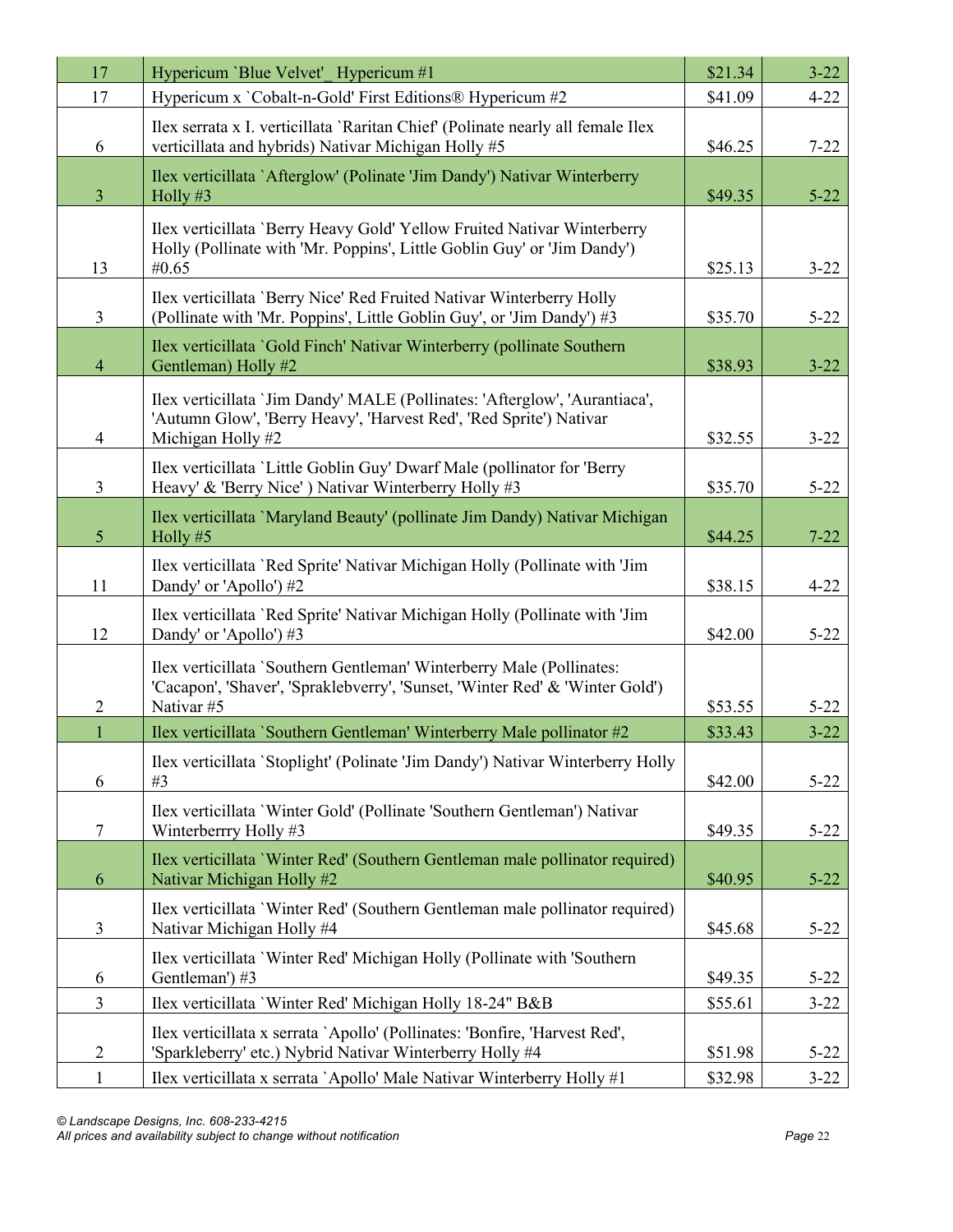| 17             | Hypericum 'Blue Velvet' Hypericum #1                                                                                                                                  | \$21.34 | $3 - 22$ |
|----------------|-----------------------------------------------------------------------------------------------------------------------------------------------------------------------|---------|----------|
| 17             | Hypericum x 'Cobalt-n-Gold' First Editions® Hypericum #2                                                                                                              | \$41.09 | $4 - 22$ |
| 6              | Ilex serrata x I. verticillata 'Raritan Chief' (Polinate nearly all female Ilex<br>verticillata and hybrids) Nativar Michigan Holly #5                                | \$46.25 | $7 - 22$ |
| $\overline{3}$ | Ilex verticillata `Afterglow' (Polinate 'Jim Dandy') Nativar Winterberry<br>Holly #3                                                                                  | \$49.35 | $5 - 22$ |
| 13             | Ilex verticillata 'Berry Heavy Gold' Yellow Fruited Nativar Winterberry<br>Holly (Pollinate with 'Mr. Poppins', Little Goblin Guy' or 'Jim Dandy')<br>#0.65           | \$25.13 | $3 - 22$ |
| $\overline{3}$ | Ilex verticillata 'Berry Nice' Red Fruited Nativar Winterberry Holly<br>(Pollinate with 'Mr. Poppins', Little Goblin Guy', or 'Jim Dandy') #3                         | \$35.70 | $5 - 22$ |
| $\overline{4}$ | Ilex verticillata `Gold Finch' Nativar Winterberry (pollinate Southern<br>Gentleman) Holly #2                                                                         | \$38.93 | $3 - 22$ |
| $\overline{4}$ | Ilex verticillata 'Jim Dandy' MALE (Pollinates: 'Afterglow', 'Aurantiaca',<br>'Autumn Glow', 'Berry Heavy', 'Harvest Red', 'Red Sprite') Nativar<br>Michigan Holly #2 | \$32.55 | $3 - 22$ |
| $\mathfrak{Z}$ | Ilex verticillata 'Little Goblin Guy' Dwarf Male (pollinator for 'Berry<br>Heavy' & 'Berry Nice') Nativar Winterberry Holly #3                                        | \$35.70 | $5 - 22$ |
| 5 <sup>5</sup> | Ilex verticillata 'Maryland Beauty' (pollinate Jim Dandy) Nativar Michigan<br>Holly #5                                                                                | \$44.25 | $7 - 22$ |
| 11             | Ilex verticillata 'Red Sprite' Nativar Michigan Holly (Pollinate with 'Jim<br>Dandy' or 'Apollo') #2                                                                  | \$38.15 | $4 - 22$ |
| 12             | Ilex verticillata 'Red Sprite' Nativar Michigan Holly (Pollinate with 'Jim<br>Dandy' or 'Apollo') #3                                                                  | \$42.00 | $5 - 22$ |
| $\overline{2}$ | Ilex verticillata `Southern Gentleman' Winterberry Male (Pollinates:<br>'Cacapon', 'Shaver', 'Spraklebverry', 'Sunset, 'Winter Red' & 'Winter Gold')<br>Nativar #5    | \$53.55 | $5 - 22$ |
| $\mathbf{1}$   | Ilex verticillata `Southern Gentleman' Winterberry Male pollinator #2                                                                                                 | \$33.43 | $3 - 22$ |
| 6              | Ilex verticillata 'Stoplight' (Polinate 'Jim Dandy') Nativar Winterberry Holly<br>#3                                                                                  | \$42.00 | $5 - 22$ |
| $\tau$         | Ilex verticillata 'Winter Gold' (Pollinate 'Southern Gentleman') Nativar<br>Winterberrry Holly #3                                                                     | \$49.35 | $5 - 22$ |
| 6              | Ilex verticillata 'Winter Red' (Southern Gentleman male pollinator required)<br>Nativar Michigan Holly #2                                                             | \$40.95 | $5 - 22$ |
| 3              | Ilex verticillata 'Winter Red' (Southern Gentleman male pollinator required)<br>Nativar Michigan Holly #4                                                             | \$45.68 | $5 - 22$ |
| 6              | Ilex verticillata 'Winter Red' Michigan Holly (Pollinate with 'Southern<br>Gentleman') #3                                                                             | \$49.35 | $5 - 22$ |
| $\mathfrak{Z}$ | Ilex verticillata 'Winter Red' Michigan Holly 18-24" B&B                                                                                                              | \$55.61 | $3 - 22$ |
| $\overline{2}$ | Ilex verticillata x serrata `Apollo' (Pollinates: 'Bonfire, 'Harvest Red',<br>'Sparkleberry' etc.) Nybrid Nativar Winterberry Holly #4                                | \$51.98 | $5 - 22$ |
| $\mathbf{1}$   | Ilex verticillata x serrata `Apollo' Male Nativar Winterberry Holly #1                                                                                                | \$32.98 | $3 - 22$ |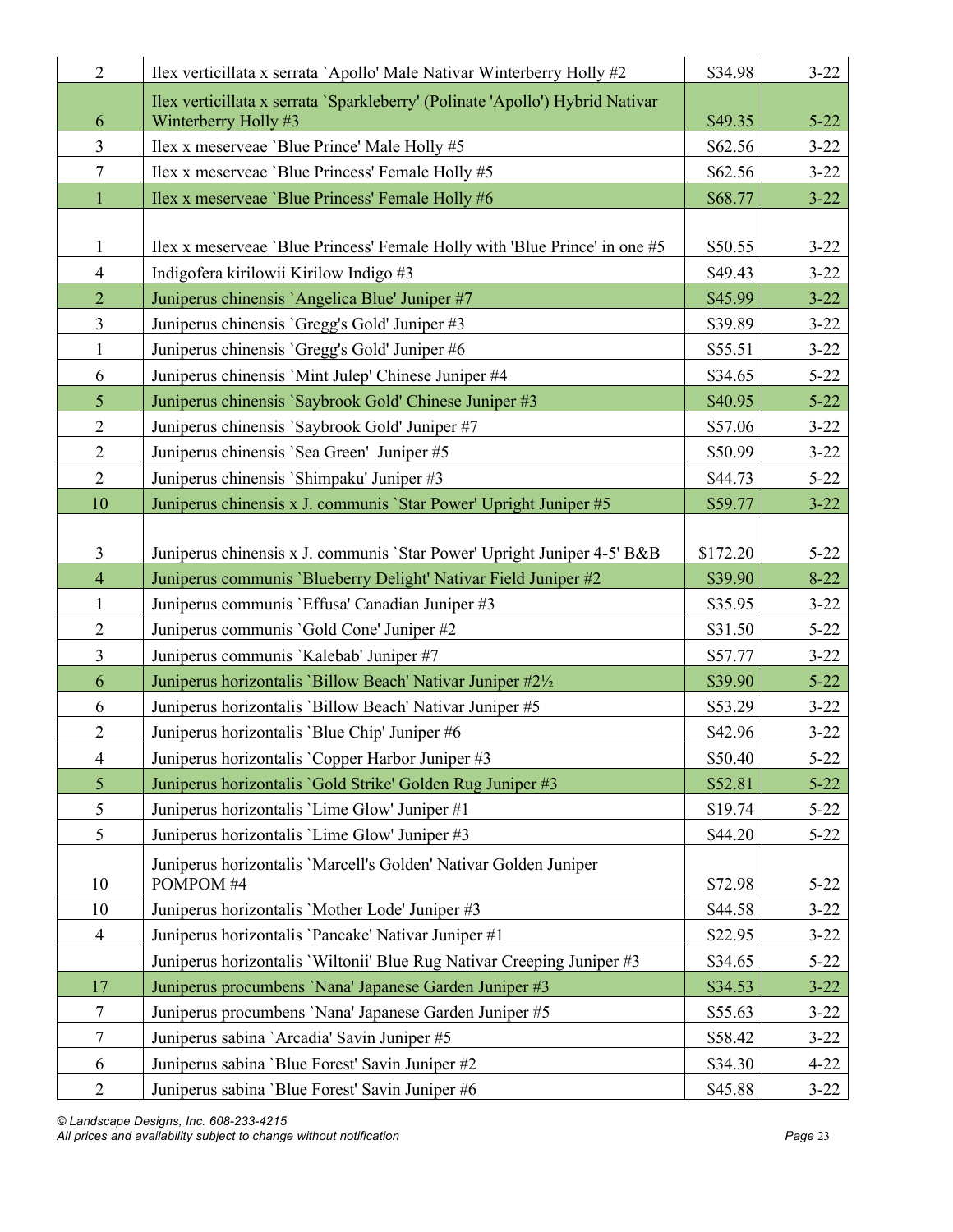| $\overline{2}$          | Ilex verticillata x serrata `Apollo' Male Nativar Winterberry Holly #2                                | \$34.98  | $3 - 22$ |
|-------------------------|-------------------------------------------------------------------------------------------------------|----------|----------|
| 6                       | Ilex verticillata x serrata 'Sparkleberry' (Polinate 'Apollo') Hybrid Nativar<br>Winterberry Holly #3 | \$49.35  | $5 - 22$ |
| $\overline{3}$          | Ilex x meserveae 'Blue Prince' Male Holly #5                                                          | \$62.56  | $3 - 22$ |
| $\tau$                  | Ilex x meserveae 'Blue Princess' Female Holly #5                                                      | \$62.56  | $3 - 22$ |
| $\mathbf{1}$            | Ilex x meserveae 'Blue Princess' Female Holly #6                                                      | \$68.77  | $3 - 22$ |
|                         |                                                                                                       |          |          |
| 1                       | Ilex x meserveae 'Blue Princess' Female Holly with 'Blue Prince' in one #5                            | \$50.55  | $3 - 22$ |
| $\overline{4}$          | Indigofera kirilowii Kirilow Indigo #3                                                                | \$49.43  | $3 - 22$ |
| $\overline{2}$          | Juniperus chinensis `Angelica Blue' Juniper #7                                                        | \$45.99  | $3 - 22$ |
| $\overline{3}$          | Juniperus chinensis 'Gregg's Gold' Juniper #3                                                         | \$39.89  | $3 - 22$ |
| $\mathbf{1}$            | Juniperus chinensis 'Gregg's Gold' Juniper #6                                                         | \$55.51  | $3 - 22$ |
| 6                       | Juniperus chinensis 'Mint Julep' Chinese Juniper #4                                                   | \$34.65  | $5 - 22$ |
| 5 <sup>5</sup>          | Juniperus chinensis `Saybrook Gold' Chinese Juniper #3                                                | \$40.95  | $5 - 22$ |
| $\overline{2}$          | Juniperus chinensis 'Saybrook Gold' Juniper #7                                                        | \$57.06  | $3 - 22$ |
| $\overline{2}$          | Juniperus chinensis 'Sea Green' Juniper #5                                                            | \$50.99  | $3 - 22$ |
| $\overline{2}$          | Juniperus chinensis 'Shimpaku' Juniper #3                                                             | \$44.73  | $5 - 22$ |
| 10                      | Juniperus chinensis x J. communis 'Star Power' Upright Juniper #5                                     | \$59.77  | $3 - 22$ |
|                         |                                                                                                       |          |          |
| $\overline{3}$          | Juniperus chinensis x J. communis 'Star Power' Upright Juniper 4-5' B&B                               | \$172.20 | $5 - 22$ |
| $\overline{4}$          | Juniperus communis 'Blueberry Delight' Nativar Field Juniper #2                                       | \$39.90  | $8 - 22$ |
| $\mathbf{1}$            | Juniperus communis 'Effusa' Canadian Juniper #3                                                       | \$35.95  | $3 - 22$ |
| $\overline{2}$          | Juniperus communis 'Gold Cone' Juniper #2                                                             | \$31.50  | $5 - 22$ |
| $\overline{\mathbf{3}}$ | Juniperus communis 'Kalebab' Juniper #7                                                               | \$57.77  | $3 - 22$ |
| 6                       | Juniperus horizontalis 'Billow Beach' Nativar Juniper #21/2                                           | \$39.90  | $5 - 22$ |
| 6                       | Juniperus horizontalis 'Billow Beach' Nativar Juniper #5                                              | \$53.29  | $3 - 22$ |
| $\overline{2}$          | Juniperus horizontalis 'Blue Chip' Juniper #6                                                         | \$42.96  | $3 - 22$ |
| $\overline{\mathbf{4}}$ | Juniperus horizontalis 'Copper Harbor Juniper #3                                                      | \$50.40  | $5 - 22$ |
| 5                       | Juniperus horizontalis 'Gold Strike' Golden Rug Juniper #3                                            | \$52.81  | $5 - 22$ |
| 5                       | Juniperus horizontalis 'Lime Glow' Juniper #1                                                         | \$19.74  | $5 - 22$ |
| 5                       | Juniperus horizontalis 'Lime Glow' Juniper #3                                                         | \$44.20  | $5 - 22$ |
| 10                      | Juniperus horizontalis 'Marcell's Golden' Nativar Golden Juniper<br>POMPOM #4                         | \$72.98  | $5 - 22$ |
| 10                      | Juniperus horizontalis 'Mother Lode' Juniper #3                                                       | \$44.58  | $3 - 22$ |
| $\overline{4}$          | Juniperus horizontalis 'Pancake' Nativar Juniper #1                                                   | \$22.95  | $3 - 22$ |
|                         | Juniperus horizontalis 'Wiltonii' Blue Rug Nativar Creeping Juniper #3                                | \$34.65  | $5 - 22$ |
| 17                      | Juniperus procumbens 'Nana' Japanese Garden Juniper #3                                                | \$34.53  | $3 - 22$ |
| $\tau$                  | Juniperus procumbens 'Nana' Japanese Garden Juniper #5                                                | \$55.63  | $3 - 22$ |
| 7                       | Juniperus sabina `Arcadia' Savin Juniper #5                                                           | \$58.42  | $3 - 22$ |
| 6                       | Juniperus sabina 'Blue Forest' Savin Juniper #2                                                       | \$34.30  | $4 - 22$ |
| $\overline{2}$          | Juniperus sabina 'Blue Forest' Savin Juniper #6                                                       | \$45.88  | $3 - 22$ |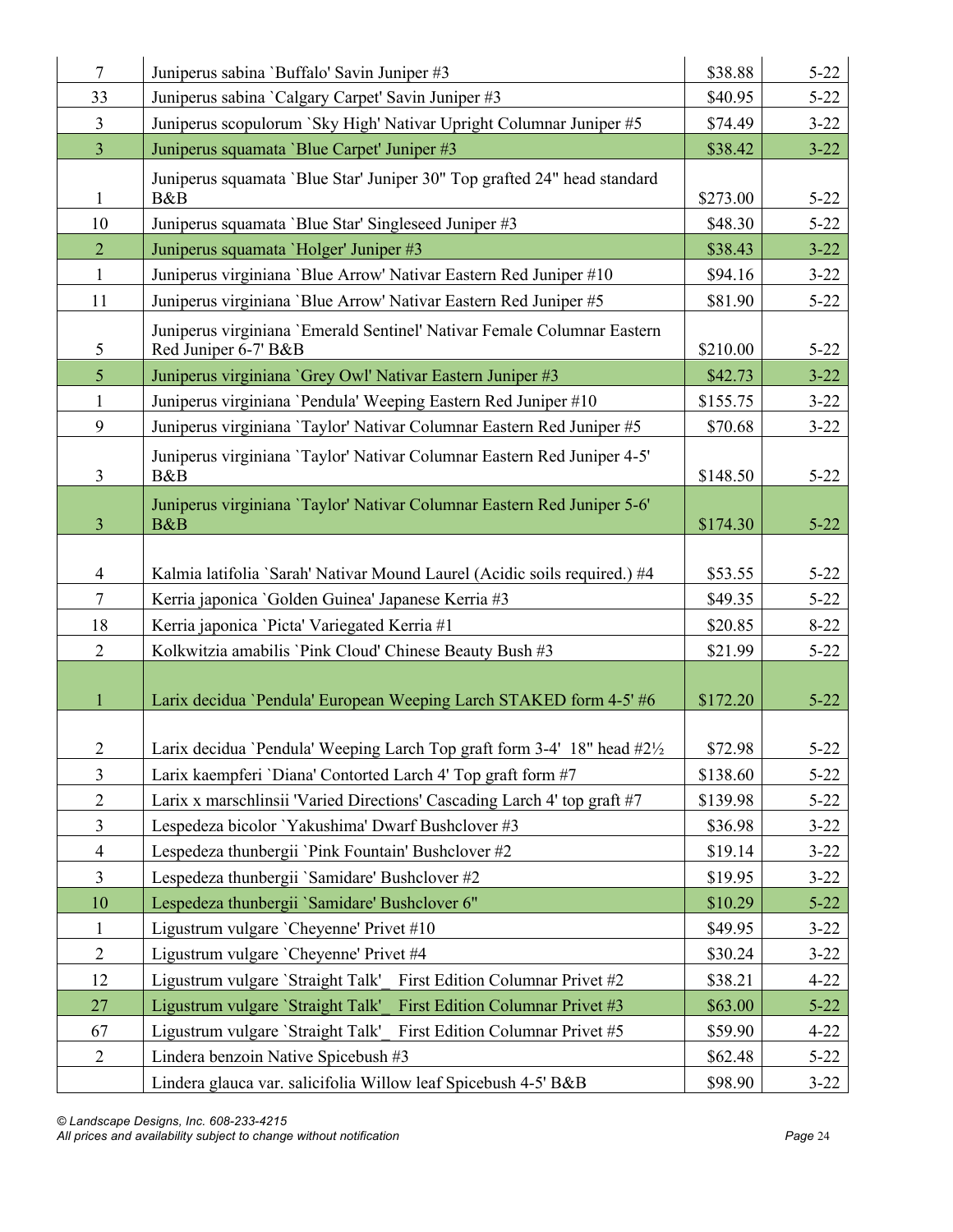| $\overline{7}$          | Juniperus sabina 'Buffalo' Savin Juniper #3                                                     | \$38.88  | $5 - 22$ |
|-------------------------|-------------------------------------------------------------------------------------------------|----------|----------|
| 33                      | Juniperus sabina `Calgary Carpet' Savin Juniper #3                                              | \$40.95  | $5 - 22$ |
| $\mathfrak{Z}$          | Juniperus scopulorum `Sky High' Nativar Upright Columnar Juniper #5                             | \$74.49  | $3 - 22$ |
| $\overline{3}$          | Juniperus squamata 'Blue Carpet' Juniper #3                                                     | \$38.42  | $3 - 22$ |
|                         | Juniperus squamata 'Blue Star' Juniper 30" Top grafted 24" head standard                        |          |          |
| $\mathbf{1}$            | B&B                                                                                             | \$273.00 | $5 - 22$ |
| 10                      | Juniperus squamata 'Blue Star' Singleseed Juniper #3                                            | \$48.30  | $5 - 22$ |
| $\overline{2}$          | Juniperus squamata 'Holger' Juniper #3                                                          | \$38.43  | $3 - 22$ |
| $\mathbf{1}$            | Juniperus virginiana 'Blue Arrow' Nativar Eastern Red Juniper #10                               | \$94.16  | $3 - 22$ |
| 11                      | Juniperus virginiana 'Blue Arrow' Nativar Eastern Red Juniper #5                                | \$81.90  | $5 - 22$ |
| 5                       | Juniperus virginiana 'Emerald Sentinel' Nativar Female Columnar Eastern<br>Red Juniper 6-7' B&B | \$210.00 | $5 - 22$ |
| $\mathfrak{S}$          | Juniperus virginiana `Grey Owl' Nativar Eastern Juniper #3                                      | \$42.73  | $3 - 22$ |
| $\mathbf{1}$            | Juniperus virginiana 'Pendula' Weeping Eastern Red Juniper #10                                  | \$155.75 | $3 - 22$ |
| 9                       | Juniperus virginiana 'Taylor' Nativar Columnar Eastern Red Juniper #5                           | \$70.68  | $3 - 22$ |
| $\overline{3}$          | Juniperus virginiana 'Taylor' Nativar Columnar Eastern Red Juniper 4-5'<br>B&B                  | \$148.50 | $5 - 22$ |
| $\overline{3}$          | Juniperus virginiana 'Taylor' Nativar Columnar Eastern Red Juniper 5-6'<br>B&B                  | \$174.30 | $5 - 22$ |
|                         |                                                                                                 |          |          |
| $\overline{4}$          | Kalmia latifolia `Sarah' Nativar Mound Laurel (Acidic soils required.) #4                       | \$53.55  | $5 - 22$ |
| $\tau$                  | Kerria japonica 'Golden Guinea' Japanese Kerria #3                                              | \$49.35  | $5 - 22$ |
| 18                      | Kerria japonica 'Picta' Variegated Kerria #1                                                    | \$20.85  | $8 - 22$ |
| $\overline{2}$          | Kolkwitzia amabilis 'Pink Cloud' Chinese Beauty Bush #3                                         | \$21.99  | $5 - 22$ |
| $\mathbf{1}$            | Larix decidua 'Pendula' European Weeping Larch STAKED form 4-5' #6                              | \$172.20 | $5 - 22$ |
| $\overline{2}$          | Larix decidua 'Pendula' Weeping Larch Top graft form 3-4' 18" head #2½                          | \$72.98  | $5 - 22$ |
| $\mathfrak{Z}$          | Larix kaempferi 'Diana' Contorted Larch 4' Top graft form #7                                    | \$138.60 | $5 - 22$ |
| $\overline{2}$          | Larix x marschlinsii 'Varied Directions' Cascading Larch 4' top graft #7                        | \$139.98 | $5 - 22$ |
| $\overline{\mathbf{3}}$ | Lespedeza bicolor 'Yakushima' Dwarf Bushclover #3                                               | \$36.98  | $3 - 22$ |
| $\overline{4}$          | Lespedeza thunbergii 'Pink Fountain' Bushclover #2                                              | \$19.14  | $3 - 22$ |
| $\overline{3}$          | Lespedeza thunbergii 'Samidare' Bushclover #2                                                   | \$19.95  | $3 - 22$ |
| 10                      | Lespedeza thunbergii 'Samidare' Bushclover 6"                                                   | \$10.29  | $5 - 22$ |
| $\mathbf{1}$            | Ligustrum vulgare 'Cheyenne' Privet #10                                                         | \$49.95  | $3 - 22$ |
| $\overline{2}$          | Ligustrum vulgare 'Cheyenne' Privet #4                                                          | \$30.24  | $3 - 22$ |
| 12                      | Ligustrum vulgare 'Straight Talk'<br>First Edition Columnar Privet #2                           | \$38.21  | $4 - 22$ |
| 27                      | Ligustrum vulgare 'Straight Talk'<br><b>First Edition Columnar Privet #3</b>                    | \$63.00  | $5 - 22$ |
| 67                      | First Edition Columnar Privet #5<br>Ligustrum vulgare 'Straight Talk'                           | \$59.90  | $4 - 22$ |
| $\overline{2}$          | Lindera benzoin Native Spicebush #3                                                             | \$62.48  | $5 - 22$ |
|                         | Lindera glauca var. salicifolia Willow leaf Spicebush 4-5' B&B                                  | \$98.90  | $3 - 22$ |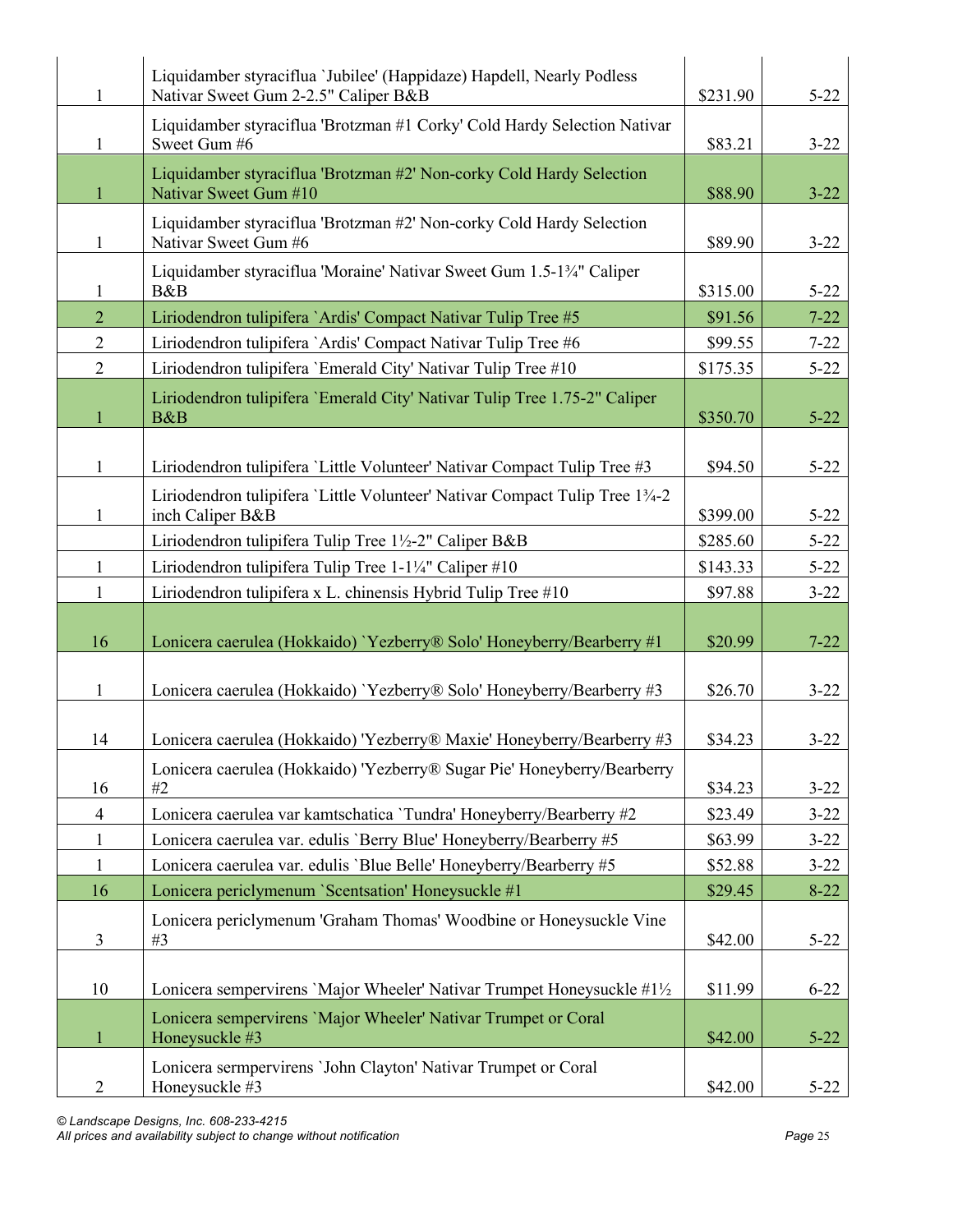| 1              | Liquidamber styraciflua 'Jubilee' (Happidaze) Hapdell, Nearly Podless<br>Nativar Sweet Gum 2-2.5" Caliper B&B | \$231.90 | $5 - 22$ |
|----------------|---------------------------------------------------------------------------------------------------------------|----------|----------|
| 1              | Liquidamber styraciflua 'Brotzman #1 Corky' Cold Hardy Selection Nativar<br>Sweet Gum #6                      | \$83.21  | $3 - 22$ |
| $\mathbf{1}$   | Liquidamber styraciflua 'Brotzman #2' Non-corky Cold Hardy Selection<br>Nativar Sweet Gum #10                 | \$88.90  | $3 - 22$ |
| $\mathbf{1}$   | Liquidamber styraciflua 'Brotzman #2' Non-corky Cold Hardy Selection<br>Nativar Sweet Gum #6                  | \$89.90  | $3 - 22$ |
| 1              | Liquidamber styraciflua 'Moraine' Nativar Sweet Gum 1.5-13/4" Caliper<br>B&B                                  | \$315.00 | $5 - 22$ |
| $\overline{2}$ | Liriodendron tulipifera `Ardis' Compact Nativar Tulip Tree #5                                                 | \$91.56  | $7 - 22$ |
| $\overline{2}$ | Liriodendron tulipifera `Ardis' Compact Nativar Tulip Tree #6                                                 | \$99.55  | $7 - 22$ |
| $\overline{2}$ | Liriodendron tulipifera 'Emerald City' Nativar Tulip Tree #10                                                 | \$175.35 | $5 - 22$ |
| $\mathbf{1}$   | Liriodendron tulipifera 'Emerald City' Nativar Tulip Tree 1.75-2" Caliper<br>B&B                              | \$350.70 | $5 - 22$ |
| $\mathbf{1}$   | Liriodendron tulipifera 'Little Volunteer' Nativar Compact Tulip Tree #3                                      | \$94.50  | $5 - 22$ |
| $\mathbf{1}$   | Liriodendron tulipifera 'Little Volunteer' Nativar Compact Tulip Tree 13/4-2<br>inch Caliper B&B              | \$399.00 | $5 - 22$ |
|                | Liriodendron tulipifera Tulip Tree 1½-2" Caliper B&B                                                          | \$285.60 | $5 - 22$ |
| $\mathbf{1}$   | Liriodendron tulipifera Tulip Tree 1-1¼" Caliper #10                                                          | \$143.33 | $5 - 22$ |
| $\mathbf{1}$   | Liriodendron tulipifera x L. chinensis Hybrid Tulip Tree #10                                                  | \$97.88  | $3 - 22$ |
| 16             | Lonicera caerulea (Hokkaido) 'Yezberry® Solo' Honeyberry/Bearberry #1                                         | \$20.99  | $7 - 22$ |
| $\mathbf{1}$   | Lonicera caerulea (Hokkaido) 'Yezberry® Solo' Honeyberry/Bearberry #3                                         | \$26.70  | $3 - 22$ |
| 14             | Lonicera caerulea (Hokkaido) 'Yezberry® Maxie' Honeyberry/Bearberry #3                                        | \$34.23  | $3 - 22$ |
| 16             | Lonicera caerulea (Hokkaido) 'Yezberry® Sugar Pie' Honeyberry/Bearberry<br>#2                                 | \$34.23  | $3 - 22$ |
| $\overline{4}$ | Lonicera caerulea var kamtschatica 'Tundra' Honeyberry/Bearberry #2                                           | \$23.49  | $3 - 22$ |
| $\mathbf{1}$   | Lonicera caerulea var. edulis 'Berry Blue' Honeyberry/Bearberry #5                                            | \$63.99  | $3 - 22$ |
| $\mathbf{1}$   | Lonicera caerulea var. edulis 'Blue Belle' Honeyberry/Bearberry #5                                            | \$52.88  | $3 - 22$ |
| 16             | Lonicera periclymenum 'Scentsation' Honeysuckle #1                                                            | \$29.45  | $8 - 22$ |
| $\mathfrak{Z}$ | Lonicera periclymenum 'Graham Thomas' Woodbine or Honeysuckle Vine<br>#3                                      | \$42.00  | $5 - 22$ |
| 10             | Lonicera sempervirens 'Major Wheeler' Nativar Trumpet Honeysuckle #1½                                         | \$11.99  | $6 - 22$ |
| $\mathbf{1}$   | Lonicera sempervirens 'Major Wheeler' Nativar Trumpet or Coral<br>Honeysuckle #3                              | \$42.00  | $5 - 22$ |
| $\overline{2}$ | Lonicera sermpervirens 'John Clayton' Nativar Trumpet or Coral<br>Honeysuckle #3                              | \$42.00  | $5 - 22$ |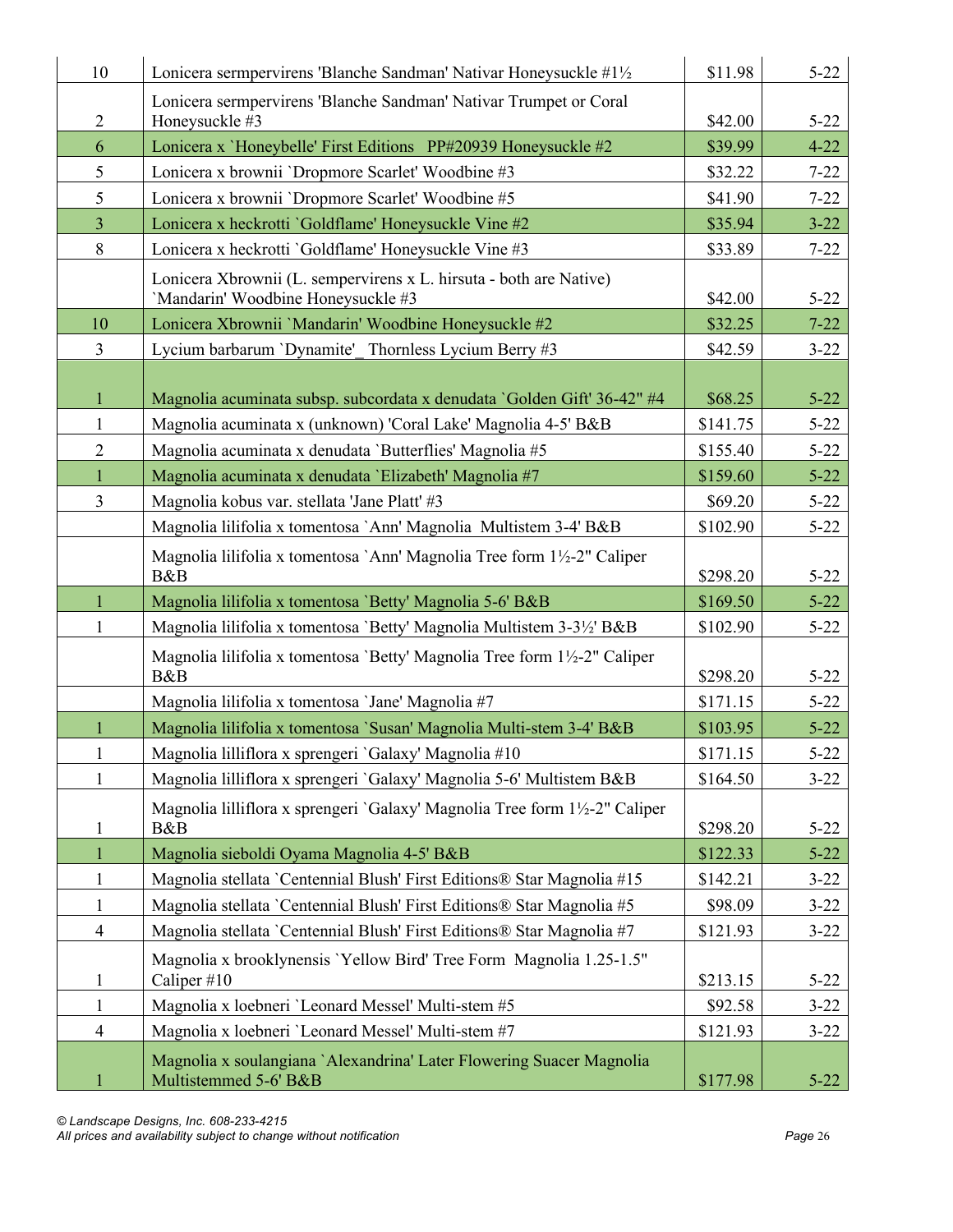| 10             | Lonicera sermpervirens 'Blanche Sandman' Nativar Honeysuckle #1½                                         | \$11.98  | $5 - 22$ |
|----------------|----------------------------------------------------------------------------------------------------------|----------|----------|
| $\overline{2}$ | Lonicera sermpervirens 'Blanche Sandman' Nativar Trumpet or Coral<br>Honeysuckle #3                      | \$42.00  | $5 - 22$ |
| 6              | Lonicera x 'Honeybelle' First Editions PP#20939 Honeysuckle #2                                           | \$39.99  | $4 - 22$ |
| 5              | Lonicera x brownii 'Dropmore Scarlet' Woodbine #3                                                        | \$32.22  | $7 - 22$ |
| 5              | Lonicera x brownii 'Dropmore Scarlet' Woodbine #5                                                        | \$41.90  | $7 - 22$ |
| $\overline{3}$ | Lonicera x heckrotti 'Goldflame' Honeysuckle Vine #2                                                     | \$35.94  | $3 - 22$ |
| 8              | Lonicera x heckrotti 'Goldflame' Honeysuckle Vine #3                                                     | \$33.89  | $7 - 22$ |
|                | Lonicera Xbrownii (L. sempervirens x L. hirsuta - both are Native)<br>'Mandarin' Woodbine Honeysuckle #3 | \$42.00  | $5 - 22$ |
| 10             | Lonicera Xbrownii 'Mandarin' Woodbine Honeysuckle #2                                                     | \$32.25  | $7 - 22$ |
| $\overline{3}$ | Lycium barbarum 'Dynamite' Thornless Lycium Berry #3                                                     | \$42.59  | $3 - 22$ |
| $\mathbf{1}$   | Magnolia acuminata subsp. subcordata x denudata 'Golden Gift' 36-42" #4                                  | \$68.25  | $5 - 22$ |
| 1              | Magnolia acuminata x (unknown) 'Coral Lake' Magnolia 4-5' B&B                                            | \$141.75 | $5 - 22$ |
| $\overline{2}$ | Magnolia acuminata x denudata 'Butterflies' Magnolia #5                                                  | \$155.40 | $5 - 22$ |
| $\mathbf{1}$   | Magnolia acuminata x denudata 'Elizabeth' Magnolia #7                                                    | \$159.60 | $5 - 22$ |
| $\overline{3}$ | Magnolia kobus var. stellata 'Jane Platt' #3                                                             | \$69.20  | $5 - 22$ |
|                | Magnolia lilifolia x tomentosa `Ann' Magnolia Multistem 3-4' B&B                                         | \$102.90 | $5 - 22$ |
|                | Magnolia lilifolia x tomentosa `Ann' Magnolia Tree form 1½-2" Caliper<br>B&B                             | \$298.20 | $5 - 22$ |
| 1              | Magnolia lilifolia x tomentosa 'Betty' Magnolia 5-6' B&B                                                 | \$169.50 | $5 - 22$ |
| 1              | Magnolia lilifolia x tomentosa 'Betty' Magnolia Multistem 3-3½' B&B                                      | \$102.90 | $5 - 22$ |
|                | Magnolia lilifolia x tomentosa 'Betty' Magnolia Tree form 1½-2" Caliper<br>B&B                           | \$298.20 | $5 - 22$ |
|                | Magnolia lilifolia x tomentosa 'Jane' Magnolia #7                                                        | \$171.15 | $5 - 22$ |
|                | Magnolia lilifolia x tomentosa 'Susan' Magnolia Multi-stem 3-4' B&B                                      | \$103.95 | $5 - 22$ |
| $\mathbf{1}$   | Magnolia lilliflora x sprengeri 'Galaxy' Magnolia #10                                                    | \$171.15 | $5 - 22$ |
| 1              | Magnolia lilliflora x sprengeri 'Galaxy' Magnolia 5-6' Multistem B&B                                     | \$164.50 | $3 - 22$ |
| $\mathbf{1}$   | Magnolia lilliflora x sprengeri 'Galaxy' Magnolia Tree form 1½-2" Caliper<br>B&B                         | \$298.20 | $5 - 22$ |
| 1              | Magnolia sieboldi Oyama Magnolia 4-5' B&B                                                                | \$122.33 | $5 - 22$ |
| $\mathbf{1}$   | Magnolia stellata `Centennial Blush' First Editions® Star Magnolia #15                                   | \$142.21 | $3 - 22$ |
| $\mathbf{1}$   | Magnolia stellata 'Centennial Blush' First Editions® Star Magnolia #5                                    | \$98.09  | $3 - 22$ |
| $\overline{4}$ | Magnolia stellata 'Centennial Blush' First Editions® Star Magnolia #7                                    | \$121.93 | $3 - 22$ |
| 1              |                                                                                                          |          |          |
|                | Magnolia x brooklynensis 'Yellow Bird' Tree Form Magnolia 1.25-1.5"<br>Caliper #10                       | \$213.15 | $5 - 22$ |
| $\mathbf{1}$   | Magnolia x loebneri 'Leonard Messel' Multi-stem #5                                                       | \$92.58  | $3 - 22$ |
| $\overline{4}$ | Magnolia x loebneri 'Leonard Messel' Multi-stem #7                                                       | \$121.93 | $3 - 22$ |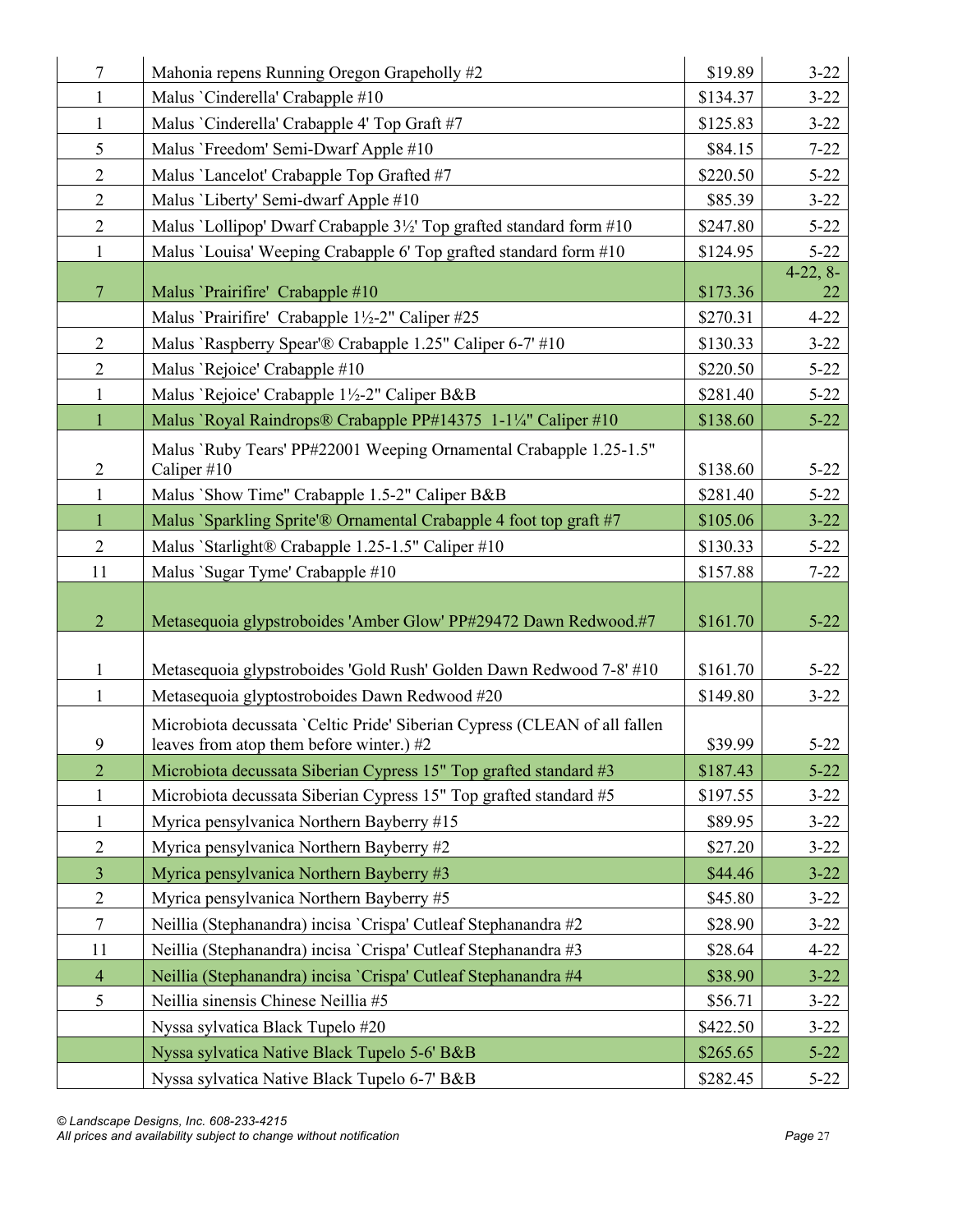| $\tau$         | Mahonia repens Running Oregon Grapeholly #2                                                                           | \$19.89  | $3 - 22$         |
|----------------|-----------------------------------------------------------------------------------------------------------------------|----------|------------------|
| 1              | Malus 'Cinderella' Crabapple #10                                                                                      | \$134.37 | $3 - 22$         |
| $\mathbf{1}$   | Malus `Cinderella' Crabapple 4' Top Graft #7                                                                          | \$125.83 | $3 - 22$         |
| 5              | Malus 'Freedom' Semi-Dwarf Apple #10                                                                                  | \$84.15  | $7 - 22$         |
| $\overline{2}$ | Malus 'Lancelot' Crabapple Top Grafted #7                                                                             | \$220.50 | $5 - 22$         |
| $\overline{2}$ | Malus 'Liberty' Semi-dwarf Apple #10                                                                                  | \$85.39  | $3 - 22$         |
| $\overline{2}$ | Malus 'Lollipop' Dwarf Crabapple 3½' Top grafted standard form #10                                                    | \$247.80 | $5 - 22$         |
| $\mathbf{1}$   | Malus 'Louisa' Weeping Crabapple 6' Top grafted standard form #10                                                     | \$124.95 | $5 - 22$         |
| $\overline{7}$ | Malus 'Prairifire' Crabapple #10                                                                                      | \$173.36 | $4-22, 8-$<br>22 |
|                | Malus 'Prairifire' Crabapple 1½-2" Caliper #25                                                                        | \$270.31 | $4 - 22$         |
| $\overline{2}$ | Malus 'Raspberry Spear'® Crabapple 1.25" Caliper 6-7' #10                                                             | \$130.33 | $3 - 22$         |
| $\overline{2}$ | Malus 'Rejoice' Crabapple #10                                                                                         | \$220.50 | $5 - 22$         |
| $\mathbf{1}$   | Malus 'Rejoice' Crabapple 1½-2" Caliper B&B                                                                           | \$281.40 | $5 - 22$         |
| $\mathbf{1}$   | Malus 'Royal Raindrops® Crabapple PP#14375 1-1¼" Caliper #10                                                          | \$138.60 | $5 - 22$         |
| $\overline{c}$ | Malus 'Ruby Tears' PP#22001 Weeping Ornamental Crabapple 1.25-1.5"<br>Caliper $\#10$                                  | \$138.60 | $5 - 22$         |
| $\mathbf{1}$   | Malus `Show Time" Crabapple 1.5-2" Caliper B&B                                                                        | \$281.40 | $5 - 22$         |
| $\mathbf{1}$   | Malus `Sparkling Sprite'® Ornamental Crabapple 4 foot top graft #7                                                    | \$105.06 | $3 - 22$         |
| $\overline{2}$ | Malus `Starlight® Crabapple 1.25-1.5" Caliper #10                                                                     | \$130.33 | $5 - 22$         |
| 11             | Malus `Sugar Tyme' Crabapple #10                                                                                      | \$157.88 | $7 - 22$         |
|                |                                                                                                                       |          |                  |
| $\overline{2}$ | Metasequoia glypstroboides 'Amber Glow' PP#29472 Dawn Redwood.#7                                                      | \$161.70 | $5 - 22$         |
|                |                                                                                                                       |          |                  |
| $\mathbf{1}$   | Metasequoia glypstroboides 'Gold Rush' Golden Dawn Redwood 7-8' #10                                                   | \$161.70 | $5 - 22$         |
| $\mathbf{1}$   | Metasequoia glyptostroboides Dawn Redwood #20                                                                         | \$149.80 | $3 - 22$         |
| 9              | Microbiota decussata 'Celtic Pride' Siberian Cypress (CLEAN of all fallen<br>leaves from atop them before winter.) #2 | \$39.99  | $5 - 22$         |
| $\overline{2}$ | Microbiota decussata Siberian Cypress 15" Top grafted standard #3                                                     | \$187.43 | $5 - 22$         |
| $\mathbf{1}$   | Microbiota decussata Siberian Cypress 15" Top grafted standard #5                                                     | \$197.55 | $3 - 22$         |
| $\mathbf{1}$   | Myrica pensylvanica Northern Bayberry #15                                                                             | \$89.95  | $3 - 22$         |
| $\overline{2}$ | Myrica pensylvanica Northern Bayberry #2                                                                              | \$27.20  | $3 - 22$         |
| $\overline{3}$ | Myrica pensylvanica Northern Bayberry #3                                                                              | \$44.46  | $3 - 22$         |
| $\overline{2}$ | Myrica pensylvanica Northern Bayberry #5                                                                              | \$45.80  | $3 - 22$         |
| $\tau$         | Neillia (Stephanandra) incisa 'Crispa' Cutleaf Stephanandra #2                                                        | \$28.90  | $3 - 22$         |
| 11             | Neillia (Stephanandra) incisa 'Crispa' Cutleaf Stephanandra #3                                                        | \$28.64  | $4 - 22$         |
| $\overline{4}$ | Neillia (Stephanandra) incisa 'Crispa' Cutleaf Stephanandra #4                                                        | \$38.90  | $3 - 22$         |
| 5              | Neillia sinensis Chinese Neillia #5                                                                                   | \$56.71  | $3 - 22$         |
|                | Nyssa sylvatica Black Tupelo #20                                                                                      | \$422.50 | $3 - 22$         |
|                | Nyssa sylvatica Native Black Tupelo 5-6' B&B                                                                          | \$265.65 | $5 - 22$         |
|                | Nyssa sylvatica Native Black Tupelo 6-7' B&B                                                                          | \$282.45 | $5 - 22$         |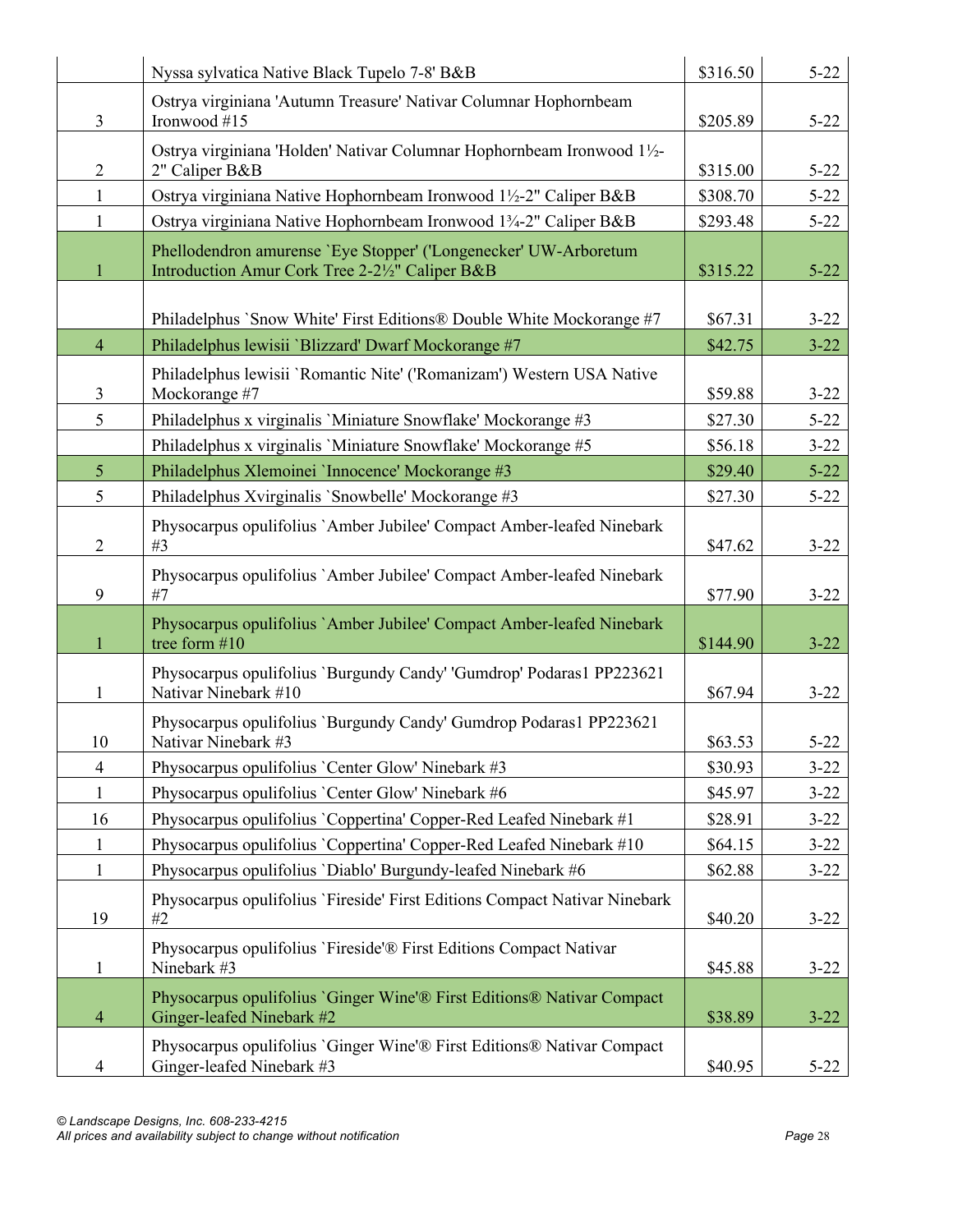|                | Nyssa sylvatica Native Black Tupelo 7-8' B&B                                                                        | \$316.50 | $5 - 22$ |
|----------------|---------------------------------------------------------------------------------------------------------------------|----------|----------|
| $\overline{3}$ | Ostrya virginiana 'Autumn Treasure' Nativar Columnar Hophornbeam<br>Ironwood #15                                    | \$205.89 | $5 - 22$ |
| $\overline{2}$ | Ostrya virginiana 'Holden' Nativar Columnar Hophornbeam Ironwood 11/2-<br>2" Caliper B&B                            | \$315.00 | $5 - 22$ |
| $\mathbf{1}$   | Ostrya virginiana Native Hophornbeam Ironwood 1½-2" Caliper B&B                                                     | \$308.70 | $5 - 22$ |
| $\mathbf{1}$   | Ostrya virginiana Native Hophornbeam Ironwood 13/4-2" Caliper B&B                                                   | \$293.48 | $5 - 22$ |
| $\mathbf{1}$   | Phellodendron amurense 'Eye Stopper' ('Longenecker' UW-Arboretum<br>Introduction Amur Cork Tree 2-21/2" Caliper B&B | \$315.22 | $5 - 22$ |
|                | Philadelphus 'Snow White' First Editions® Double White Mockorange #7                                                | \$67.31  | $3 - 22$ |
| $\overline{4}$ | Philadelphus lewisii 'Blizzard' Dwarf Mockorange #7                                                                 | \$42.75  | $3 - 22$ |
| 3              | Philadelphus lewisii 'Romantic Nite' ('Romanizam') Western USA Native<br>Mockorange #7                              | \$59.88  | $3 - 22$ |
| 5              | Philadelphus x virginalis 'Miniature Snowflake' Mockorange #3                                                       | \$27.30  | $5 - 22$ |
|                | Philadelphus x virginalis 'Miniature Snowflake' Mockorange #5                                                       | \$56.18  | $3 - 22$ |
| 5 <sup>5</sup> | Philadelphus Xlemoinei 'Innocence' Mockorange #3                                                                    | \$29.40  | $5 - 22$ |
| 5              | Philadelphus Xvirginalis 'Snowbelle' Mockorange #3                                                                  | \$27.30  | $5 - 22$ |
| $\overline{2}$ | Physocarpus opulifolius `Amber Jubilee' Compact Amber-leafed Ninebark<br>#3                                         | \$47.62  | $3 - 22$ |
| 9              | Physocarpus opulifolius `Amber Jubilee' Compact Amber-leafed Ninebark<br>#7                                         | \$77.90  | $3 - 22$ |
| 1              | Physocarpus opulifolius `Amber Jubilee' Compact Amber-leafed Ninebark<br>tree form #10                              | \$144.90 | $3 - 22$ |
| 1              | Physocarpus opulifolius 'Burgundy Candy' 'Gumdrop' Podaras1 PP223621<br>Nativar Ninebark #10                        | \$67.94  | $3 - 22$ |
| 10             | Physocarpus opulifolius 'Burgundy Candy' Gumdrop Podaras1 PP223621<br>Nativar Ninebark #3                           | \$63.53  | $5 - 22$ |
| $\overline{4}$ | Physocarpus opulifolius 'Center Glow' Ninebark #3                                                                   | \$30.93  | $3 - 22$ |
| $\mathbf{1}$   | Physocarpus opulifolius 'Center Glow' Ninebark #6                                                                   | \$45.97  | $3 - 22$ |
| 16             | Physocarpus opulifolius 'Coppertina' Copper-Red Leafed Ninebark #1                                                  | \$28.91  | $3 - 22$ |
| $\mathbf{1}$   | Physocarpus opulifolius 'Coppertina' Copper-Red Leafed Ninebark #10                                                 | \$64.15  | $3 - 22$ |
| $\mathbf{1}$   | Physocarpus opulifolius 'Diablo' Burgundy-leafed Ninebark #6                                                        | \$62.88  | $3 - 22$ |
| 19             | Physocarpus opulifolius 'Fireside' First Editions Compact Nativar Ninebark<br>#2                                    | \$40.20  | $3 - 22$ |
| $\mathbf{1}$   | Physocarpus opulifolius 'Fireside'® First Editions Compact Nativar<br>Ninebark #3                                   | \$45.88  | $3 - 22$ |
| $\overline{4}$ | Physocarpus opulifolius 'Ginger Wine'® First Editions® Nativar Compact<br>Ginger-leafed Ninebark #2                 | \$38.89  | $3 - 22$ |
| 4              | Physocarpus opulifolius 'Ginger Wine'® First Editions® Nativar Compact<br>Ginger-leafed Ninebark #3                 | \$40.95  | $5 - 22$ |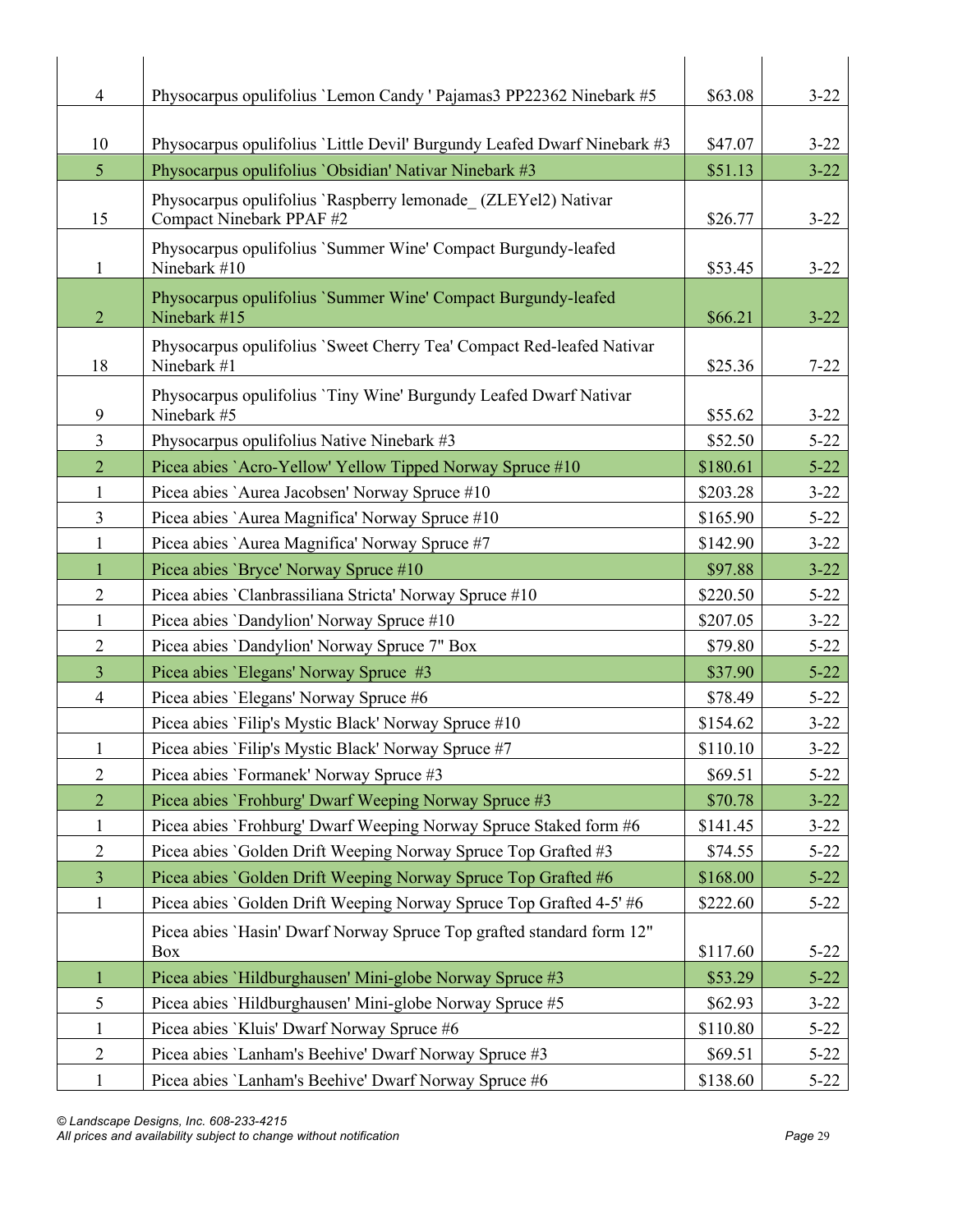| 4              | Physocarpus opulifolius 'Lemon Candy ' Pajamas3 PP22362 Ninebark #5                  | \$63.08  | $3 - 22$ |
|----------------|--------------------------------------------------------------------------------------|----------|----------|
|                |                                                                                      |          |          |
| 10             | Physocarpus opulifolius 'Little Devil' Burgundy Leafed Dwarf Ninebark #3             | \$47.07  | $3 - 22$ |
| 5              | Physocarpus opulifolius 'Obsidian' Nativar Ninebark #3                               | \$51.13  | $3 - 22$ |
|                | Physocarpus opulifolius 'Raspberry lemonade (ZLEYel2) Nativar                        |          |          |
| 15             | Compact Ninebark PPAF #2                                                             | \$26.77  | $3 - 22$ |
| 1              | Physocarpus opulifolius 'Summer Wine' Compact Burgundy-leafed<br>Ninebark #10        | \$53.45  | $3 - 22$ |
| $\overline{2}$ | Physocarpus opulifolius 'Summer Wine' Compact Burgundy-leafed<br>Ninebark #15        | \$66.21  | $3 - 22$ |
| 18             | Physocarpus opulifolius 'Sweet Cherry Tea' Compact Red-leafed Nativar<br>Ninebark #1 | \$25.36  | $7 - 22$ |
| 9              | Physocarpus opulifolius 'Tiny Wine' Burgundy Leafed Dwarf Nativar<br>Ninebark #5     | \$55.62  | $3 - 22$ |
| 3              | Physocarpus opulifolius Native Ninebark #3                                           | \$52.50  | $5 - 22$ |
| $\overline{2}$ | Picea abies `Acro-Yellow' Yellow Tipped Norway Spruce #10                            | \$180.61 | $5 - 22$ |
| 1              | Picea abies `Aurea Jacobsen' Norway Spruce #10                                       | \$203.28 | $3 - 22$ |
| 3              | Picea abies `Aurea Magnifica' Norway Spruce #10                                      | \$165.90 | $5 - 22$ |
| $\mathbf{1}$   | Picea abies `Aurea Magnifica' Norway Spruce #7                                       | \$142.90 | $3 - 22$ |
| 1              | Picea abies 'Bryce' Norway Spruce #10                                                | \$97.88  | $3 - 22$ |
| $\overline{2}$ | Picea abies 'Clanbrassiliana Stricta' Norway Spruce #10                              | \$220.50 | $5 - 22$ |
| $\mathbf{1}$   | Picea abies 'Dandylion' Norway Spruce #10                                            | \$207.05 | $3 - 22$ |
| $\overline{2}$ | Picea abies 'Dandylion' Norway Spruce 7" Box                                         | \$79.80  | $5 - 22$ |
| 3              | Picea abies 'Elegans' Norway Spruce #3                                               | \$37.90  | $5 - 22$ |
| $\overline{4}$ | Picea abies 'Elegans' Norway Spruce #6                                               | \$78.49  | $5 - 22$ |
|                | Picea abies 'Filip's Mystic Black' Norway Spruce #10                                 | \$154.62 | $3 - 22$ |
| $\mathbf{1}$   | Picea abies 'Filip's Mystic Black' Norway Spruce #7                                  | \$110.10 | $3 - 22$ |
| $\overline{2}$ | Picea abies 'Formanek' Norway Spruce #3                                              | \$69.51  | $5 - 22$ |
| $\overline{2}$ | Picea abies 'Frohburg' Dwarf Weeping Norway Spruce #3                                | \$70.78  | $3 - 22$ |
| $\mathbf{1}$   | Picea abies `Frohburg' Dwarf Weeping Norway Spruce Staked form #6                    | \$141.45 | $3 - 22$ |
| $\overline{2}$ | Picea abies 'Golden Drift Weeping Norway Spruce Top Grafted #3                       | \$74.55  | $5 - 22$ |
| $\overline{3}$ | Picea abies 'Golden Drift Weeping Norway Spruce Top Grafted #6                       | \$168.00 | $5 - 22$ |
| 1              | Picea abies 'Golden Drift Weeping Norway Spruce Top Grafted 4-5' #6                  | \$222.60 | $5 - 22$ |
|                | Picea abies 'Hasin' Dwarf Norway Spruce Top grafted standard form 12"<br>Box         | \$117.60 | $5 - 22$ |
| 1              | Picea abies `Hildburghausen' Mini-globe Norway Spruce #3                             | \$53.29  | $5 - 22$ |
| 5              | Picea abies `Hildburghausen' Mini-globe Norway Spruce #5                             | \$62.93  | $3 - 22$ |
| $\mathbf{1}$   | Picea abies 'Kluis' Dwarf Norway Spruce #6                                           | \$110.80 | $5 - 22$ |
| $\overline{c}$ | Picea abies 'Lanham's Beehive' Dwarf Norway Spruce #3                                | \$69.51  | $5 - 22$ |
| $\mathbf{1}$   | Picea abies 'Lanham's Beehive' Dwarf Norway Spruce #6                                | \$138.60 | $5 - 22$ |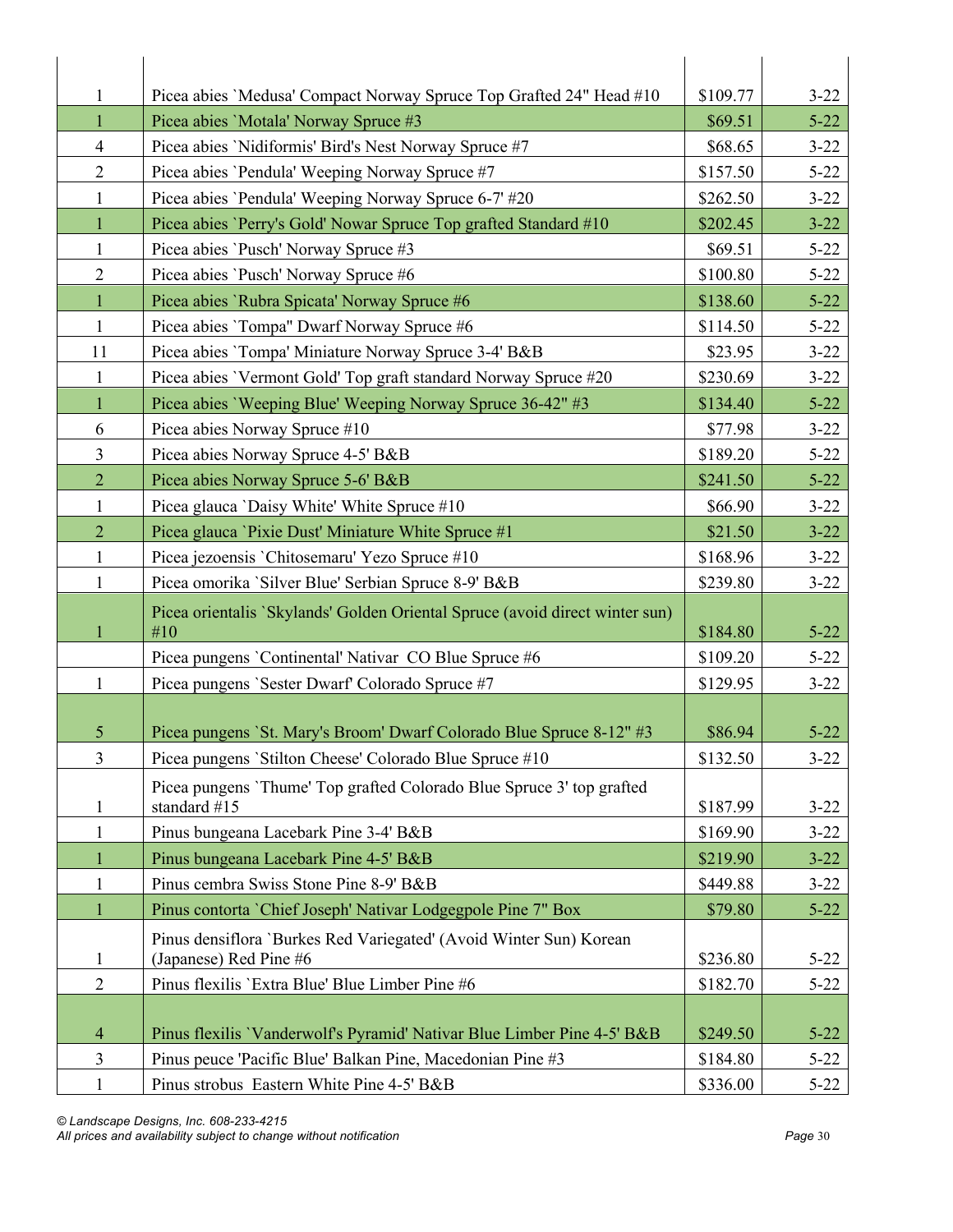| $\mathbf{1}$   | Picea abies 'Medusa' Compact Norway Spruce Top Grafted 24" Head #10                          | \$109.77 | $3 - 22$ |
|----------------|----------------------------------------------------------------------------------------------|----------|----------|
| $\mathbf{1}$   | Picea abies 'Motala' Norway Spruce #3                                                        | \$69.51  | $5 - 22$ |
| $\overline{4}$ | Picea abies 'Nidiformis' Bird's Nest Norway Spruce #7                                        | \$68.65  | $3 - 22$ |
| $\overline{2}$ | Picea abies 'Pendula' Weeping Norway Spruce #7                                               | \$157.50 | $5 - 22$ |
| 1              | Picea abies 'Pendula' Weeping Norway Spruce 6-7' #20                                         | \$262.50 | $3 - 22$ |
| 1              | Picea abies 'Perry's Gold' Nowar Spruce Top grafted Standard #10                             | \$202.45 | $3 - 22$ |
| $\mathbf{1}$   | Picea abies 'Pusch' Norway Spruce #3                                                         | \$69.51  | $5 - 22$ |
| $\overline{2}$ | Picea abies 'Pusch' Norway Spruce #6                                                         | \$100.80 | $5 - 22$ |
| $\mathbf{1}$   | Picea abies 'Rubra Spicata' Norway Spruce #6                                                 | \$138.60 | $5 - 22$ |
| 1              | Picea abies 'Tompa" Dwarf Norway Spruce #6                                                   | \$114.50 | $5 - 22$ |
| 11             | Picea abies 'Tompa' Miniature Norway Spruce 3-4' B&B                                         | \$23.95  | $3 - 22$ |
| $\mathbf{1}$   | Picea abies 'Vermont Gold' Top graft standard Norway Spruce #20                              | \$230.69 | $3 - 22$ |
| $\mathbf{1}$   | Picea abies 'Weeping Blue' Weeping Norway Spruce 36-42" #3                                   | \$134.40 | $5 - 22$ |
| 6              | Picea abies Norway Spruce #10                                                                | \$77.98  | $3 - 22$ |
| 3              | Picea abies Norway Spruce 4-5' B&B                                                           | \$189.20 | $5 - 22$ |
| $\overline{2}$ | Picea abies Norway Spruce 5-6' B&B                                                           | \$241.50 | $5 - 22$ |
| $\mathbf{1}$   | Picea glauca 'Daisy White' White Spruce #10                                                  | \$66.90  | $3 - 22$ |
| $\overline{2}$ | Picea glauca 'Pixie Dust' Miniature White Spruce #1                                          | \$21.50  | $3 - 22$ |
| $\mathbf{1}$   | Picea jezoensis 'Chitosemaru' Yezo Spruce #10                                                | \$168.96 | $3 - 22$ |
| 1              | Picea omorika 'Silver Blue' Serbian Spruce 8-9' B&B                                          | \$239.80 | $3 - 22$ |
| $\mathbf{1}$   | Picea orientalis `Skylands' Golden Oriental Spruce (avoid direct winter sun)<br>#10          | \$184.80 | $5 - 22$ |
|                | Picea pungens 'Continental' Nativar CO Blue Spruce #6                                        | \$109.20 | $5 - 22$ |
| $\mathbf{1}$   | Picea pungens 'Sester Dwarf' Colorado Spruce #7                                              | \$129.95 | $3 - 22$ |
|                |                                                                                              |          |          |
| 5              | Picea pungens 'St. Mary's Broom' Dwarf Colorado Blue Spruce 8-12" #3                         | \$86.94  | $5 - 22$ |
| $\overline{3}$ | Picea pungens 'Stilton Cheese' Colorado Blue Spruce #10                                      | \$132.50 | $3 - 22$ |
| $\mathbf{1}$   | Picea pungens 'Thume' Top grafted Colorado Blue Spruce 3' top grafted<br>standard #15        | \$187.99 | $3 - 22$ |
| 1              | Pinus bungeana Lacebark Pine 3-4' B&B                                                        | \$169.90 | $3 - 22$ |
| $\mathbf{1}$   | Pinus bungeana Lacebark Pine 4-5' B&B                                                        | \$219.90 | $3 - 22$ |
| $\mathbf{1}$   | Pinus cembra Swiss Stone Pine 8-9' B&B                                                       | \$449.88 | $3 - 22$ |
| $\mathbf{1}$   | Pinus contorta 'Chief Joseph' Nativar Lodgegpole Pine 7" Box                                 | \$79.80  | $5 - 22$ |
| 1              | Pinus densiflora 'Burkes Red Variegated' (Avoid Winter Sun) Korean<br>(Japanese) Red Pine #6 | \$236.80 | $5 - 22$ |
| $\overline{2}$ | Pinus flexilis 'Extra Blue' Blue Limber Pine #6                                              | \$182.70 | $5 - 22$ |
|                |                                                                                              |          |          |
| $\overline{4}$ | Pinus flexilis 'Vanderwolf's Pyramid' Nativar Blue Limber Pine 4-5' B&B                      | \$249.50 | $5 - 22$ |
| 3              | Pinus peuce 'Pacific Blue' Balkan Pine, Macedonian Pine #3                                   | \$184.80 | $5 - 22$ |
| $\mathbf{1}$   | Pinus strobus Eastern White Pine 4-5' B&B                                                    | \$336.00 | $5 - 22$ |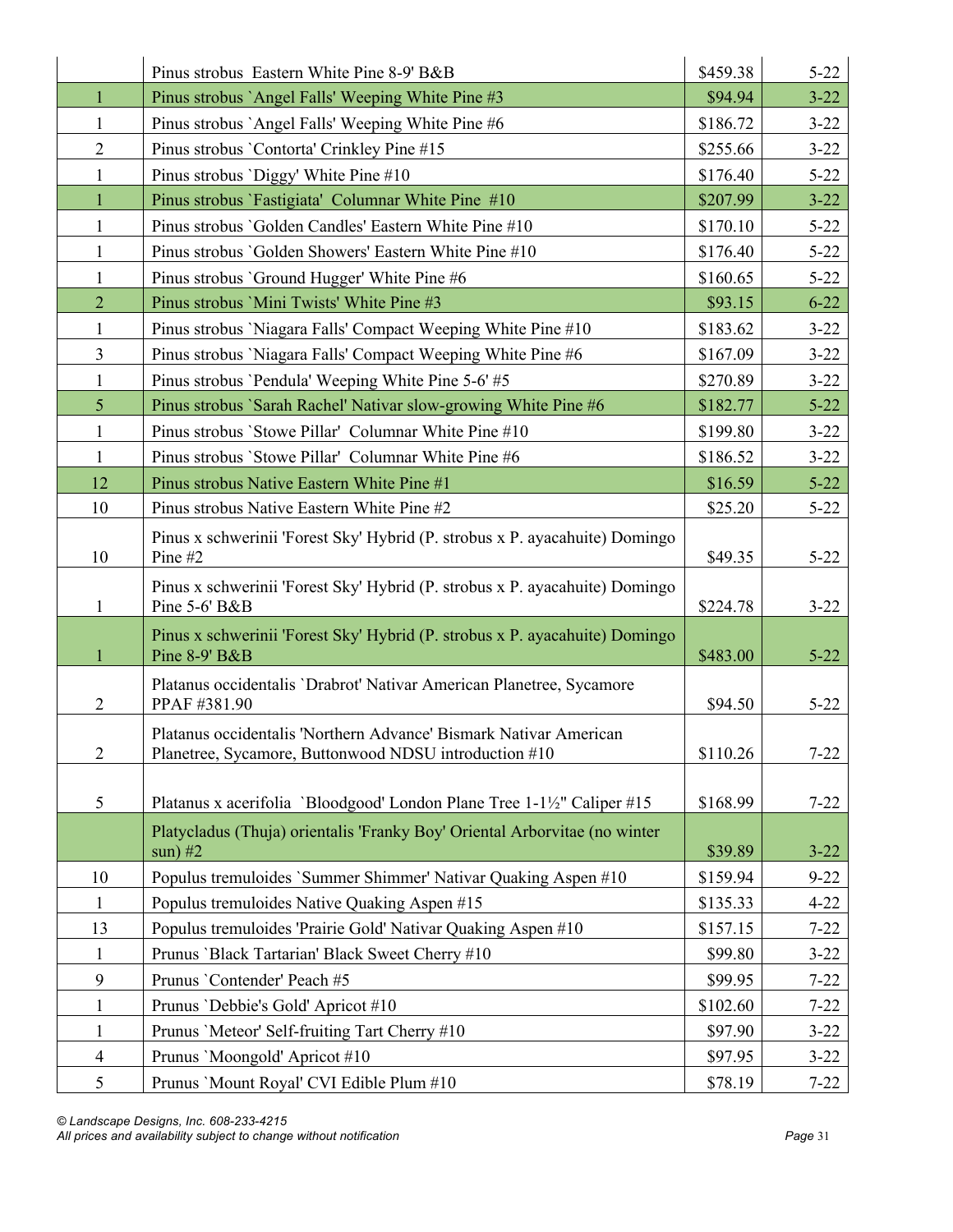|                | Pinus strobus Eastern White Pine 8-9' B&B                                                                                  | \$459.38 | $5 - 22$ |
|----------------|----------------------------------------------------------------------------------------------------------------------------|----------|----------|
| $\mathbf{1}$   | Pinus strobus `Angel Falls' Weeping White Pine #3                                                                          | \$94.94  | $3 - 22$ |
| 1              | Pinus strobus `Angel Falls' Weeping White Pine #6                                                                          | \$186.72 | $3 - 22$ |
| $\overline{2}$ | Pinus strobus 'Contorta' Crinkley Pine #15                                                                                 | \$255.66 | $3 - 22$ |
| 1              | Pinus strobus 'Diggy' White Pine #10                                                                                       | \$176.40 | $5 - 22$ |
| $\mathbf{1}$   | Pinus strobus 'Fastigiata' Columnar White Pine #10                                                                         | \$207.99 | $3 - 22$ |
| 1              | Pinus strobus 'Golden Candles' Eastern White Pine #10                                                                      | \$170.10 | $5 - 22$ |
| $\mathbf{1}$   | Pinus strobus 'Golden Showers' Eastern White Pine #10                                                                      | \$176.40 | $5 - 22$ |
| 1              | Pinus strobus 'Ground Hugger' White Pine #6                                                                                | \$160.65 | $5 - 22$ |
| $\overline{2}$ | Pinus strobus 'Mini Twists' White Pine #3                                                                                  | \$93.15  | $6 - 22$ |
| $\mathbf{1}$   | Pinus strobus 'Niagara Falls' Compact Weeping White Pine #10                                                               | \$183.62 | $3 - 22$ |
| $\mathfrak{Z}$ | Pinus strobus 'Niagara Falls' Compact Weeping White Pine #6                                                                | \$167.09 | $3 - 22$ |
| $\mathbf{1}$   | Pinus strobus 'Pendula' Weeping White Pine 5-6' #5                                                                         | \$270.89 | $3 - 22$ |
| 5 <sup>5</sup> | Pinus strobus 'Sarah Rachel' Nativar slow-growing White Pine #6                                                            | \$182.77 | $5 - 22$ |
| $\mathbf{1}$   | Pinus strobus 'Stowe Pillar' Columnar White Pine #10                                                                       | \$199.80 | $3 - 22$ |
| $\mathbf{1}$   | Pinus strobus 'Stowe Pillar' Columnar White Pine #6                                                                        | \$186.52 | $3 - 22$ |
| 12             | Pinus strobus Native Eastern White Pine #1                                                                                 | \$16.59  | $5 - 22$ |
| 10             | Pinus strobus Native Eastern White Pine #2                                                                                 | \$25.20  | $5 - 22$ |
| 10             | Pinus x schwerinii 'Forest Sky' Hybrid (P. strobus x P. ayacahuite) Domingo<br>Pine $#2$                                   | \$49.35  | $5 - 22$ |
| 1              | Pinus x schwerinii 'Forest Sky' Hybrid (P. strobus x P. ayacahuite) Domingo<br>Pine 5-6' B&B                               | \$224.78 | $3 - 22$ |
| 1              | Pinus x schwerinii 'Forest Sky' Hybrid (P. strobus x P. ayacahuite) Domingo<br>Pine 8-9' B&B                               | \$483.00 | $5 - 22$ |
| $\overline{2}$ | Platanus occidentalis 'Drabrot' Nativar American Planetree, Sycamore<br>PPAF #381.90                                       | \$94.50  | $5 - 22$ |
| $\overline{c}$ | Platanus occidentalis 'Northern Advance' Bismark Nativar American<br>Planetree, Sycamore, Buttonwood NDSU introduction #10 | \$110.26 | $7 - 22$ |
| 5              | Platanus x acerifolia 'Bloodgood' London Plane Tree 1-1½" Caliper #15                                                      | \$168.99 | $7 - 22$ |
|                | Platycladus (Thuja) orientalis 'Franky Boy' Oriental Arborvitae (no winter<br>$sun)$ #2                                    | \$39.89  | $3 - 22$ |
| 10             | Populus tremuloides 'Summer Shimmer' Nativar Quaking Aspen #10                                                             | \$159.94 | $9 - 22$ |
| $\mathbf{1}$   | Populus tremuloides Native Quaking Aspen #15                                                                               | \$135.33 | $4 - 22$ |
| 13             | Populus tremuloides 'Prairie Gold' Nativar Quaking Aspen #10                                                               | \$157.15 | $7 - 22$ |
| $\mathbf{1}$   | Prunus 'Black Tartarian' Black Sweet Cherry #10                                                                            | \$99.80  | $3 - 22$ |
| 9              | Prunus 'Contender' Peach #5                                                                                                | \$99.95  | $7 - 22$ |
| $\mathbf{1}$   | Prunus 'Debbie's Gold' Apricot #10                                                                                         | \$102.60 | $7 - 22$ |
| $\mathbf{1}$   | Prunus 'Meteor' Self-fruiting Tart Cherry #10                                                                              | \$97.90  | $3 - 22$ |
| $\overline{4}$ | Prunus 'Moongold' Apricot #10                                                                                              | \$97.95  | $3 - 22$ |
| 5              | Prunus 'Mount Royal' CVI Edible Plum #10                                                                                   | \$78.19  | $7 - 22$ |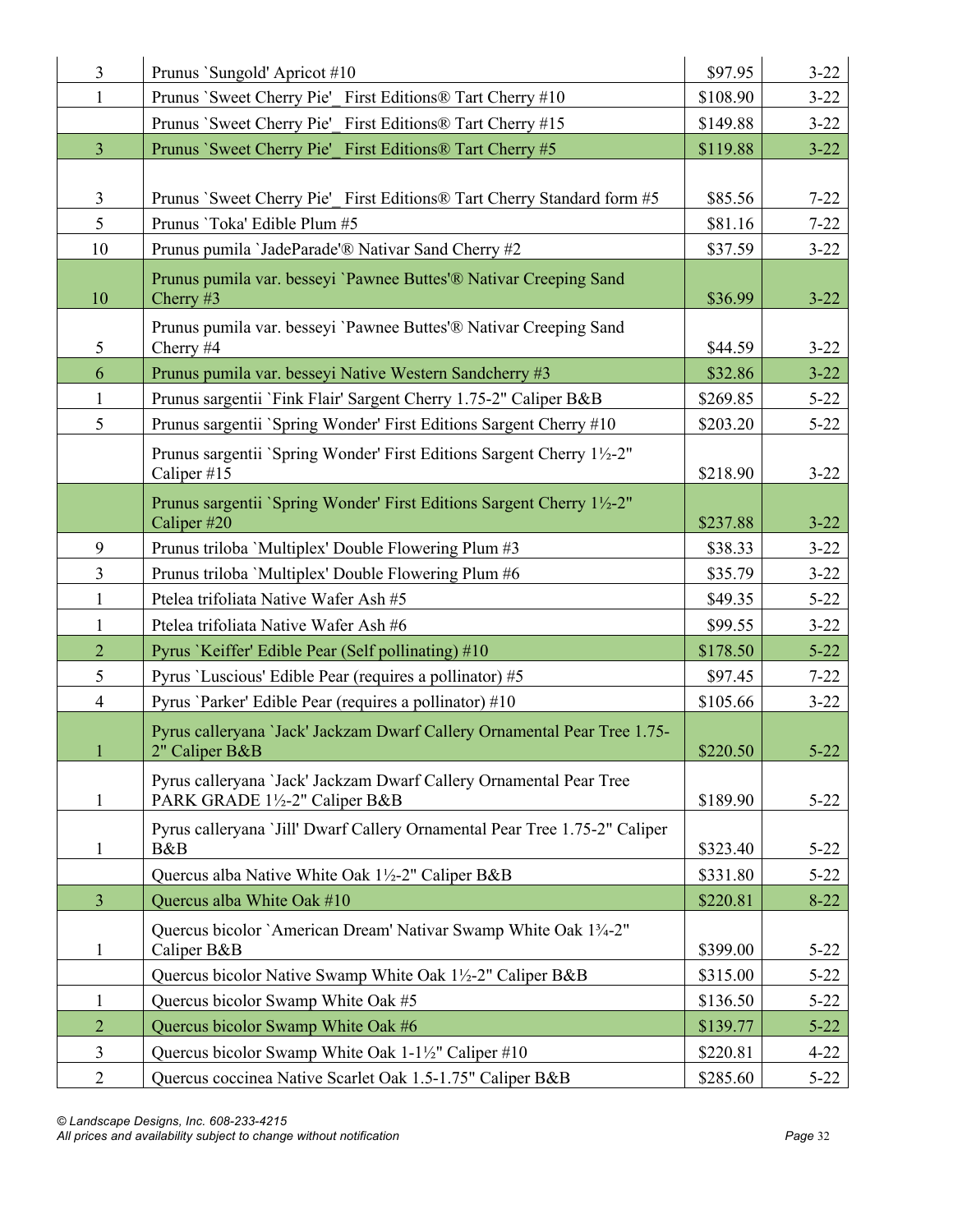| $\overline{3}$ | Prunus `Sungold' Apricot #10                                                                       | \$97.95  | $3 - 22$ |
|----------------|----------------------------------------------------------------------------------------------------|----------|----------|
| $\mathbf{1}$   | Prunus `Sweet Cherry Pie' First Editions® Tart Cherry #10                                          | \$108.90 | $3 - 22$ |
|                | Prunus 'Sweet Cherry Pie' First Editions® Tart Cherry #15                                          | \$149.88 | $3 - 22$ |
| $\overline{3}$ | Prunus `Sweet Cherry Pie' First Editions® Tart Cherry #5                                           | \$119.88 | $3 - 22$ |
|                |                                                                                                    |          |          |
| 3              | Prunus `Sweet Cherry Pie' First Editions® Tart Cherry Standard form #5                             | \$85.56  | $7 - 22$ |
| 5              | Prunus 'Toka' Edible Plum #5                                                                       | \$81.16  | $7 - 22$ |
| 10             | Prunus pumila 'JadeParade'® Nativar Sand Cherry #2                                                 | \$37.59  | $3 - 22$ |
| 10             | Prunus pumila var. besseyi 'Pawnee Buttes'® Nativar Creeping Sand<br>Cherry $#3$                   | \$36.99  | $3 - 22$ |
| 5              | Prunus pumila var. besseyi 'Pawnee Buttes'® Nativar Creeping Sand<br>Cherry #4                     | \$44.59  | $3 - 22$ |
| 6              | Prunus pumila var. besseyi Native Western Sandcherry #3                                            | \$32.86  | $3 - 22$ |
| $\mathbf{1}$   | Prunus sargentii `Fink Flair' Sargent Cherry 1.75-2" Caliper B&B                                   | \$269.85 | $5 - 22$ |
| 5              | Prunus sargentii `Spring Wonder' First Editions Sargent Cherry #10                                 | \$203.20 | $5 - 22$ |
|                | Prunus sargentii `Spring Wonder' First Editions Sargent Cherry 1½-2"<br>Caliper #15                | \$218.90 | $3 - 22$ |
|                | Prunus sargentii `Spring Wonder' First Editions Sargent Cherry 1½-2"<br>Caliper #20                | \$237.88 | $3 - 22$ |
| 9              | Prunus triloba 'Multiplex' Double Flowering Plum #3                                                | \$38.33  | $3 - 22$ |
| $\overline{3}$ | Prunus triloba 'Multiplex' Double Flowering Plum #6                                                | \$35.79  | $3 - 22$ |
| $\mathbf{1}$   | Ptelea trifoliata Native Wafer Ash #5                                                              | \$49.35  | $5 - 22$ |
| $\mathbf{1}$   | Ptelea trifoliata Native Wafer Ash #6                                                              | \$99.55  | $3 - 22$ |
| $\overline{2}$ | Pyrus 'Keiffer' Edible Pear (Self pollinating) #10                                                 | \$178.50 | $5 - 22$ |
| 5              | Pyrus 'Luscious' Edible Pear (requires a pollinator) #5                                            | \$97.45  | $7 - 22$ |
| $\overline{4}$ | Pyrus 'Parker' Edible Pear (requires a pollinator) #10                                             | \$105.66 | $3 - 22$ |
| $\mathbf{1}$   | Pyrus calleryana 'Jack' Jackzam Dwarf Callery Ornamental Pear Tree 1.75-<br>2" Caliper B&B         | \$220.50 | $5 - 22$ |
| $\mathbf{1}$   | Pyrus calleryana 'Jack' Jackzam Dwarf Callery Ornamental Pear Tree<br>PARK GRADE 1½-2" Caliper B&B | \$189.90 | $5 - 22$ |
| 1              | Pyrus calleryana `Jill' Dwarf Callery Ornamental Pear Tree 1.75-2" Caliper<br>B&B                  | \$323.40 | $5 - 22$ |
|                | Quercus alba Native White Oak 1½-2" Caliper B&B                                                    | \$331.80 | $5 - 22$ |
| $\overline{3}$ | Quercus alba White Oak #10                                                                         | \$220.81 | $8 - 22$ |
| $\mathbf{1}$   | Quercus bicolor `American Dream' Nativar Swamp White Oak 13/4-2"<br>Caliper B&B                    | \$399.00 | $5 - 22$ |
|                | Quercus bicolor Native Swamp White Oak 1½-2" Caliper B&B                                           | \$315.00 | $5 - 22$ |
| 1              | Quercus bicolor Swamp White Oak #5                                                                 | \$136.50 | $5 - 22$ |
| $\overline{2}$ | Quercus bicolor Swamp White Oak #6                                                                 | \$139.77 | $5 - 22$ |
| $\mathfrak{Z}$ | Quercus bicolor Swamp White Oak 1-1½" Caliper #10                                                  | \$220.81 | $4 - 22$ |
| $\overline{2}$ | Quercus coccinea Native Scarlet Oak 1.5-1.75" Caliper B&B                                          | \$285.60 | $5 - 22$ |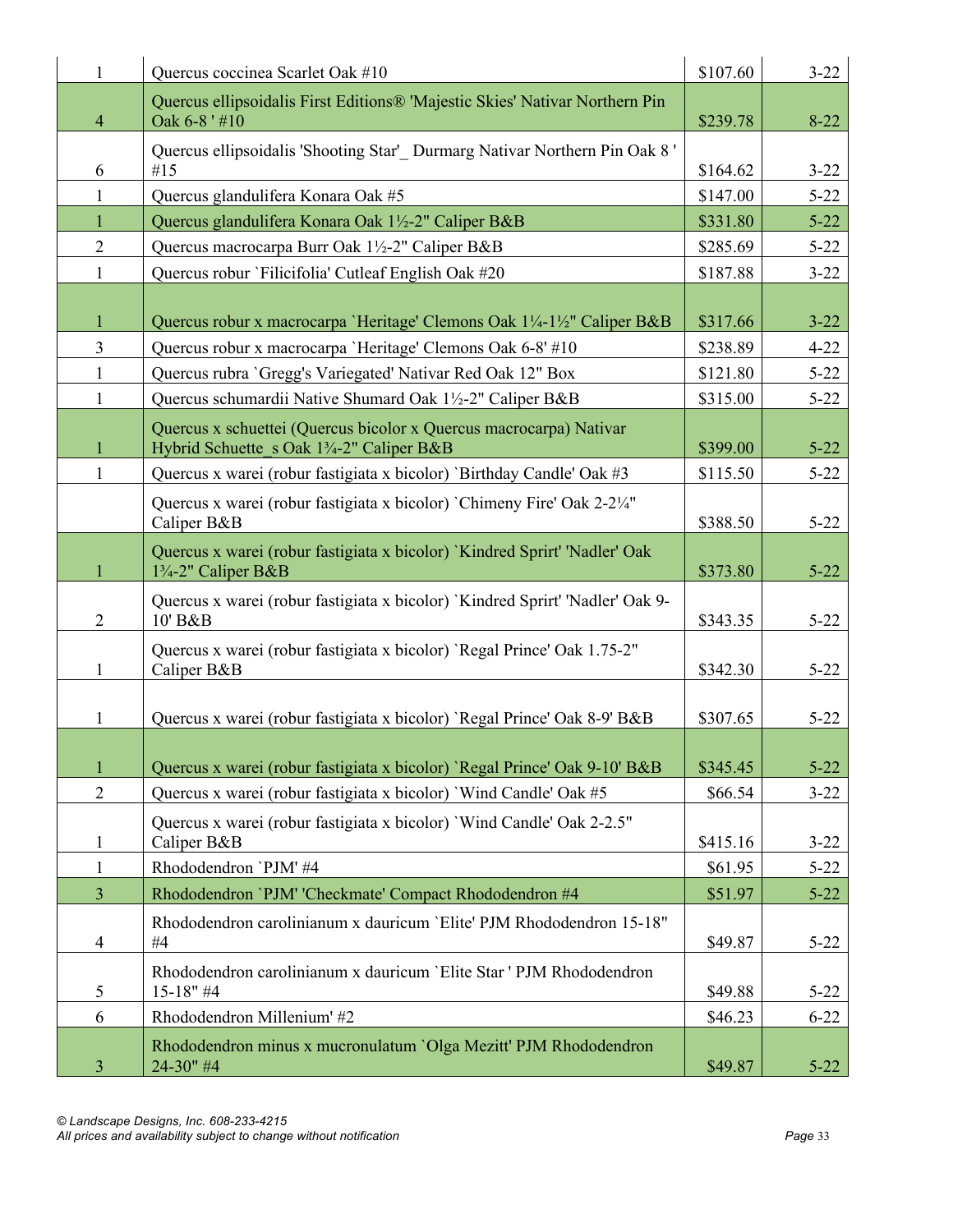| 1              | Quercus coccinea Scarlet Oak #10                                                                                            | \$107.60             | $3 - 22$             |
|----------------|-----------------------------------------------------------------------------------------------------------------------------|----------------------|----------------------|
| $\overline{4}$ | Quercus ellipsoidalis First Editions® 'Majestic Skies' Nativar Northern Pin<br>Oak 6-8'#10                                  | \$239.78             | $8 - 22$             |
|                | Quercus ellipsoidalis 'Shooting Star' Durmarg Nativar Northern Pin Oak 8'<br>#15                                            |                      |                      |
| 6<br>1         | Quercus glandulifera Konara Oak #5                                                                                          | \$164.62<br>\$147.00 | $3 - 22$<br>$5 - 22$ |
| $\mathbf{1}$   | Quercus glandulifera Konara Oak 1½-2" Caliper B&B                                                                           | \$331.80             | $5 - 22$             |
| $\overline{2}$ | Quercus macrocarpa Burr Oak 1½-2" Caliper B&B                                                                               | \$285.69             | $5 - 22$             |
| $\mathbf{1}$   | Quercus robur 'Filicifolia' Cutleaf English Oak #20                                                                         | \$187.88             | $3 - 22$             |
|                |                                                                                                                             |                      |                      |
| $\mathbf{1}$   | Quercus robur x macrocarpa 'Heritage' Clemons Oak 1¼-1½" Caliper B&B                                                        | \$317.66             | $3 - 22$             |
| $\overline{3}$ | Quercus robur x macrocarpa 'Heritage' Clemons Oak 6-8' #10                                                                  | \$238.89             | $4 - 22$             |
| $\mathbf{1}$   | Quercus rubra 'Gregg's Variegated' Nativar Red Oak 12" Box                                                                  | \$121.80             | $5 - 22$             |
| 1              | Quercus schumardii Native Shumard Oak 1½-2" Caliper B&B                                                                     | \$315.00             | $5 - 22$             |
| 1              | Quercus x schuettei (Quercus bicolor x Quercus macrocarpa) Nativar<br>Hybrid Schuette s Oak 13/4-2" Caliper B&B             | \$399.00             | $5 - 22$             |
| 1              | Quercus x warei (robur fastigiata x bicolor) `Birthday Candle' Oak #3                                                       | \$115.50             | $5 - 22$             |
|                | Quercus x warei (robur fastigiata x bicolor) `Chimeny Fire' Oak 2-21/4"<br>Caliper B&B                                      | \$388.50             | $5 - 22$             |
| 1              | Quercus x warei (robur fastigiata x bicolor) 'Kindred Sprirt' 'Nadler' Oak<br>1 <sup>3</sup> / <sub>4</sub> -2" Caliper B&B | \$373.80             | $5 - 22$             |
| $\overline{2}$ | Quercus x warei (robur fastigiata x bicolor) 'Kindred Sprirt' 'Nadler' Oak 9-<br>10' B&B                                    | \$343.35             | $5 - 22$             |
| 1              | Quercus x warei (robur fastigiata x bicolor) 'Regal Prince' Oak 1.75-2"<br>Caliper B&B                                      | \$342.30             | $5 - 22$             |
| 1              | Quercus x warei (robur fastigiata x bicolor) 'Regal Prince' Oak 8-9' B&B                                                    | \$307.65             | $5 - 22$             |
| $\mathbf{1}$   | Quercus x warei (robur fastigiata x bicolor) 'Regal Prince' Oak 9-10' B&B                                                   | \$345.45             | $5 - 22$             |
| $\overline{2}$ | Quercus x warei (robur fastigiata x bicolor) `Wind Candle' Oak #5                                                           | \$66.54              | $3 - 22$             |
|                |                                                                                                                             |                      |                      |
| 1              | Quercus x warei (robur fastigiata x bicolor) 'Wind Candle' Oak 2-2.5"<br>Caliper B&B                                        | \$415.16             | $3 - 22$             |
| $\mathbf{1}$   | Rhododendron `PJM' #4                                                                                                       | \$61.95              | $5 - 22$             |
| $\overline{3}$ | Rhododendron 'PJM' 'Checkmate' Compact Rhododendron #4                                                                      | \$51.97              | $5 - 22$             |
| $\overline{4}$ | Rhododendron carolinianum x dauricum 'Elite' PJM Rhododendron 15-18"<br>#4                                                  | \$49.87              | $5 - 22$             |
| 5              | Rhododendron carolinianum x dauricum 'Elite Star ' PJM Rhododendron<br>$15-18"$ #4                                          | \$49.88              | $5 - 22$             |
| 6              | Rhododendron Millenium' #2                                                                                                  | \$46.23              | $6 - 22$             |
| 3              | Rhododendron minus x mucronulatum `Olga Mezitt' PJM Rhododendron<br>24-30" #4                                               | \$49.87              | $5 - 22$             |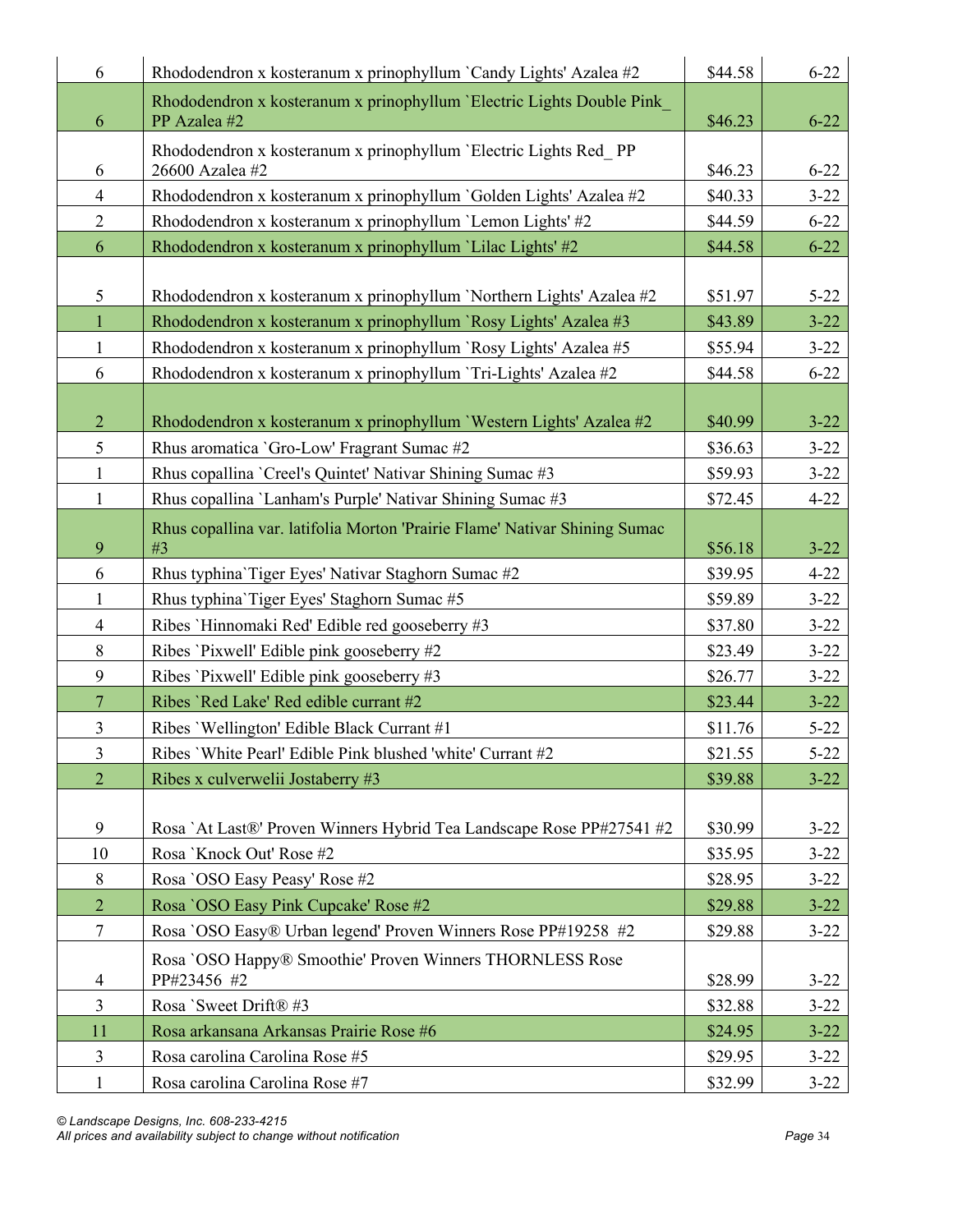| 6              | Rhododendron x kosteranum x prinophyllum `Candy Lights' Azalea #2                     | \$44.58 | $6 - 22$ |
|----------------|---------------------------------------------------------------------------------------|---------|----------|
| 6              | Rhododendron x kosteranum x prinophyllum 'Electric Lights Double Pink<br>PP Azalea #2 | \$46.23 | $6 - 22$ |
|                | Rhododendron x kosteranum x prinophyllum 'Electric Lights Red PP                      |         |          |
| 6              | 26600 Azalea #2                                                                       | \$46.23 | $6 - 22$ |
| $\overline{4}$ | Rhododendron x kosteranum x prinophyllum `Golden Lights' Azalea #2                    | \$40.33 | $3 - 22$ |
| $\overline{2}$ | Rhododendron x kosteranum x prinophyllum 'Lemon Lights' #2                            | \$44.59 | $6 - 22$ |
| 6              | Rhododendron x kosteranum x prinophyllum 'Lilac Lights' #2                            | \$44.58 | $6 - 22$ |
|                |                                                                                       |         |          |
| 5              | Rhododendron x kosteranum x prinophyllum 'Northern Lights' Azalea #2                  | \$51.97 | $5 - 22$ |
| $\mathbf{1}$   | Rhododendron x kosteranum x prinophyllum `Rosy Lights' Azalea #3                      | \$43.89 | $3 - 22$ |
| $\mathbf{1}$   | Rhododendron x kosteranum x prinophyllum 'Rosy Lights' Azalea #5                      | \$55.94 | $3 - 22$ |
| 6              | Rhododendron x kosteranum x prinophyllum 'Tri-Lights' Azalea #2                       | \$44.58 | $6 - 22$ |
|                |                                                                                       |         |          |
| $\overline{2}$ | Rhododendron x kosteranum x prinophyllum 'Western Lights' Azalea #2                   | \$40.99 | $3 - 22$ |
| 5              | Rhus aromatica 'Gro-Low' Fragrant Sumac #2                                            | \$36.63 | $3 - 22$ |
| $\mathbf{1}$   | Rhus copallina `Creel's Quintet' Nativar Shining Sumac #3                             | \$59.93 | $3 - 22$ |
| $\mathbf{1}$   | Rhus copallina 'Lanham's Purple' Nativar Shining Sumac #3                             | \$72.45 | $4 - 22$ |
|                | Rhus copallina var. latifolia Morton 'Prairie Flame' Nativar Shining Sumac            |         |          |
| 9              | #3                                                                                    | \$56.18 | $3 - 22$ |
| 6              | Rhus typhina Tiger Eyes' Nativar Staghorn Sumac #2                                    | \$39.95 | $4 - 22$ |
| $\mathbf{1}$   | Rhus typhina Tiger Eyes' Staghorn Sumac #5                                            | \$59.89 | $3 - 22$ |
| $\overline{4}$ | Ribes 'Hinnomaki Red' Edible red gooseberry #3                                        | \$37.80 | $3 - 22$ |
| 8              | Ribes 'Pixwell' Edible pink gooseberry #2                                             | \$23.49 | $3 - 22$ |
| 9              | Ribes 'Pixwell' Edible pink gooseberry #3                                             | \$26.77 | $3 - 22$ |
| $\overline{7}$ | Ribes 'Red Lake' Red edible currant #2                                                | \$23.44 | $3 - 22$ |
| $\mathfrak{Z}$ | Ribes 'Wellington' Edible Black Currant #1                                            | \$11.76 | $5 - 22$ |
| $\overline{3}$ | Ribes 'White Pearl' Edible Pink blushed 'white' Currant #2                            | \$21.55 | $5 - 22$ |
| $\overline{2}$ | Ribes x culverwelii Jostaberry #3                                                     | \$39.88 | $3 - 22$ |
|                |                                                                                       |         |          |
| 9              | Rosa `At Last®' Proven Winners Hybrid Tea Landscape Rose PP#27541 #2                  | \$30.99 | $3 - 22$ |
| 10             | Rosa 'Knock Out' Rose #2                                                              | \$35.95 | $3 - 22$ |
| 8              | Rosa 'OSO Easy Peasy' Rose #2                                                         | \$28.95 | $3 - 22$ |
| $\overline{2}$ | Rosa `OSO Easy Pink Cupcake' Rose #2                                                  | \$29.88 | $3 - 22$ |
| $\tau$         | Rosa `OSO Easy® Urban legend' Proven Winners Rose PP#19258 #2                         | \$29.88 | $3 - 22$ |
|                | Rosa `OSO Happy® Smoothie' Proven Winners THORNLESS Rose                              |         |          |
| 4              | PP#23456 #2                                                                           | \$28.99 | $3 - 22$ |
| $\overline{3}$ | Rosa 'Sweet Drift® #3                                                                 | \$32.88 | $3 - 22$ |
| 11             | Rosa arkansana Arkansas Prairie Rose #6                                               | \$24.95 | $3 - 22$ |
| $\mathfrak{Z}$ | Rosa carolina Carolina Rose #5                                                        | \$29.95 | $3 - 22$ |
| $\mathbf{1}$   | Rosa carolina Carolina Rose #7                                                        | \$32.99 | $3 - 22$ |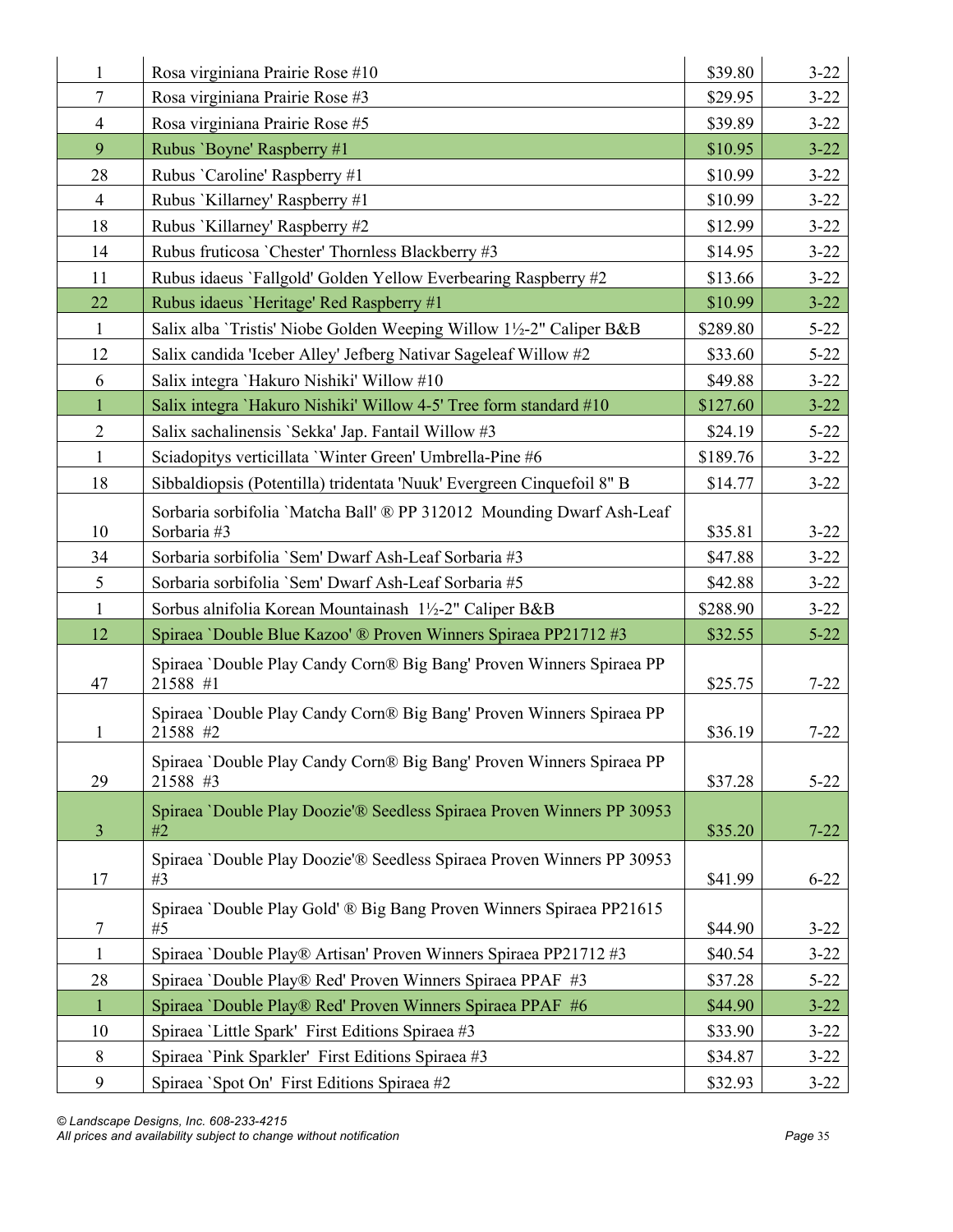| 1              | Rosa virginiana Prairie Rose #10                                                     | \$39.80  | $3 - 22$ |
|----------------|--------------------------------------------------------------------------------------|----------|----------|
| 7              | Rosa virginiana Prairie Rose #3                                                      | \$29.95  | $3 - 22$ |
| $\overline{4}$ | Rosa virginiana Prairie Rose #5                                                      | \$39.89  | $3 - 22$ |
| 9              | Rubus 'Boyne' Raspberry #1                                                           | \$10.95  | $3 - 22$ |
| 28             | Rubus 'Caroline' Raspberry #1                                                        | \$10.99  | $3 - 22$ |
| $\overline{4}$ | Rubus 'Killarney' Raspberry #1                                                       | \$10.99  | $3 - 22$ |
| 18             | Rubus 'Killarney' Raspberry #2                                                       | \$12.99  | $3 - 22$ |
| 14             | Rubus fruticosa 'Chester' Thornless Blackberry #3                                    | \$14.95  | $3 - 22$ |
| 11             | Rubus idaeus 'Fallgold' Golden Yellow Everbearing Raspberry #2                       | \$13.66  | $3 - 22$ |
| 22             | Rubus idaeus 'Heritage' Red Raspberry #1                                             | \$10.99  | $3 - 22$ |
| $\mathbf{1}$   | Salix alba 'Tristis' Niobe Golden Weeping Willow 1½-2" Caliper B&B                   | \$289.80 | $5 - 22$ |
| 12             | Salix candida 'Iceber Alley' Jefberg Nativar Sageleaf Willow #2                      | \$33.60  | $5 - 22$ |
| 6              | Salix integra 'Hakuro Nishiki' Willow #10                                            | \$49.88  | $3 - 22$ |
| $\mathbf{1}$   | Salix integra 'Hakuro Nishiki' Willow 4-5' Tree form standard #10                    | \$127.60 | $3 - 22$ |
| $\mathbf{2}$   | Salix sachalinensis 'Sekka' Jap. Fantail Willow #3                                   | \$24.19  | $5 - 22$ |
| $\mathbf{1}$   | Sciadopitys verticillata 'Winter Green' Umbrella-Pine #6                             | \$189.76 | $3 - 22$ |
| 18             | Sibbaldiopsis (Potentilla) tridentata 'Nuuk' Evergreen Cinquefoil 8" B               | \$14.77  | $3 - 22$ |
| 10             | Sorbaria sorbifolia 'Matcha Ball' ® PP 312012 Mounding Dwarf Ash-Leaf<br>Sorbaria #3 | \$35.81  | $3 - 22$ |
| 34             | Sorbaria sorbifolia 'Sem' Dwarf Ash-Leaf Sorbaria #3                                 | \$47.88  | $3 - 22$ |
| 5              | Sorbaria sorbifolia 'Sem' Dwarf Ash-Leaf Sorbaria #5                                 | \$42.88  | $3 - 22$ |
| $\mathbf{1}$   | Sorbus alnifolia Korean Mountainash 1½-2" Caliper B&B                                | \$288.90 | $3 - 22$ |
| 12             | Spiraea 'Double Blue Kazoo' ® Proven Winners Spiraea PP21712 #3                      | \$32.55  | $5 - 22$ |
| 47             | Spiraea 'Double Play Candy Corn® Big Bang' Proven Winners Spiraea PP<br>21588 #1     | \$25.75  | $7 - 22$ |
| 1              | Spiraea 'Double Play Candy Corn® Big Bang' Proven Winners Spiraea PP<br>21588 #2     | \$36.19  | $7 - 22$ |
| 29             | Spiraea 'Double Play Candy Corn® Big Bang' Proven Winners Spiraea PP<br>21588 #3     | \$37.28  | $5 - 22$ |
| $\mathfrak{Z}$ | Spiraea 'Double Play Doozie'® Seedless Spiraea Proven Winners PP 30953<br>#2         | \$35.20  | $7 - 22$ |
| 17             | Spiraea 'Double Play Doozie'® Seedless Spiraea Proven Winners PP 30953<br>#3         | \$41.99  | $6 - 22$ |
| 7              | Spiraea 'Double Play Gold' ® Big Bang Proven Winners Spiraea PP21615<br>#5           | \$44.90  | $3 - 22$ |
| $\mathbf{1}$   | Spiraea 'Double Play® Artisan' Proven Winners Spiraea PP21712 #3                     | \$40.54  | $3 - 22$ |
| 28             | Spiraea 'Double Play® Red' Proven Winners Spiraea PPAF #3                            | \$37.28  | $5 - 22$ |
| $\mathbf{1}$   | Spiraea 'Double Play® Red' Proven Winners Spiraea PPAF #6                            | \$44.90  | $3 - 22$ |
| 10             | Spiraea 'Little Spark' First Editions Spiraea #3                                     | \$33.90  | $3 - 22$ |
| 8              | Spiraea 'Pink Sparkler' First Editions Spiraea #3                                    | \$34.87  | $3 - 22$ |
| 9              | Spiraea 'Spot On' First Editions Spiraea #2                                          | \$32.93  | $3 - 22$ |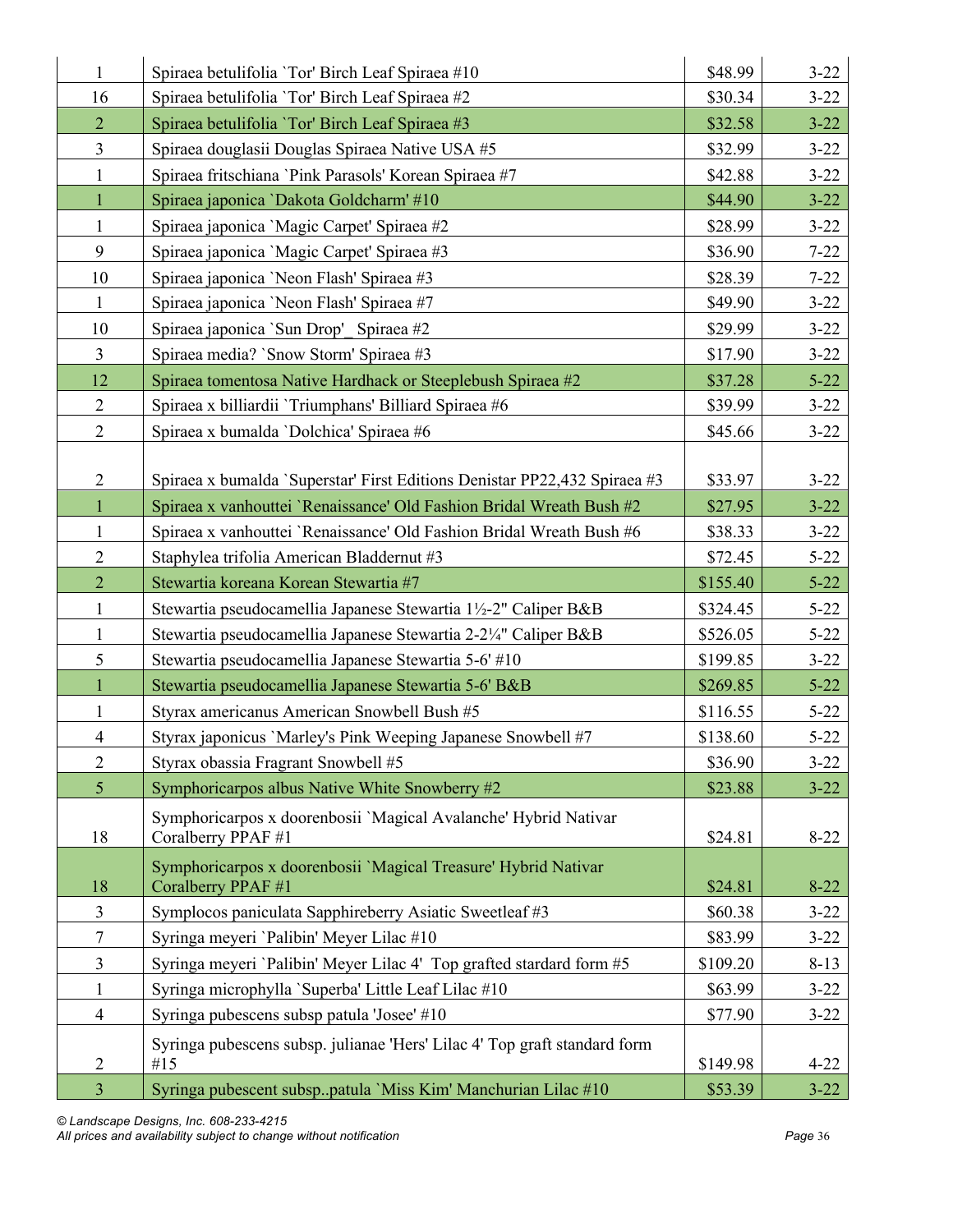| 16<br>Spiraea betulifolia 'Tor' Birch Leaf Spiraea #2<br>\$30.34<br>$3 - 22$<br>$\overline{2}$<br>$3 - 22$<br>Spiraea betulifolia 'Tor' Birch Leaf Spiraea #3<br>\$32.58<br>$\overline{3}$<br>$3 - 22$<br>Spiraea douglasii Douglas Spiraea Native USA #5<br>\$32.99<br>$3 - 22$<br>$\mathbf{1}$<br>Spiraea fritschiana 'Pink Parasols' Korean Spiraea #7<br>\$42.88<br>\$44.90<br>$3 - 22$<br>$\mathbf{1}$<br>Spiraea japonica `Dakota Goldcharm' #10<br>$\mathbf{1}$<br>$3 - 22$<br>Spiraea japonica 'Magic Carpet' Spiraea #2<br>\$28.99<br>9<br>Spiraea japonica 'Magic Carpet' Spiraea #3<br>\$36.90<br>$7 - 22$<br>10<br>Spiraea japonica 'Neon Flash' Spiraea #3<br>\$28.39<br>$7 - 22$<br>$\mathbf{1}$<br>\$49.90<br>$3 - 22$<br>Spiraea japonica 'Neon Flash' Spiraea #7<br>10<br>Spiraea japonica 'Sun Drop' Spiraea #2<br>\$29.99<br>$3 - 22$<br>$\overline{3}$<br>$3 - 22$<br>Spiraea media? `Snow Storm' Spiraea #3<br>\$17.90<br>12<br>$5 - 22$<br>Spiraea tomentosa Native Hardhack or Steeplebush Spiraea #2<br>\$37.28<br>$\overline{2}$<br>Spiraea x billiardii 'Triumphans' Billiard Spiraea #6<br>\$39.99<br>$3 - 22$<br>$\overline{2}$<br>Spiraea x bumalda 'Dolchica' Spiraea #6<br>$3 - 22$<br>\$45.66 | $\mathbf{1}$ | Spiraea betulifolia 'Tor' Birch Leaf Spiraea #10 | \$48.99 | $3 - 22$ |
|-------------------------------------------------------------------------------------------------------------------------------------------------------------------------------------------------------------------------------------------------------------------------------------------------------------------------------------------------------------------------------------------------------------------------------------------------------------------------------------------------------------------------------------------------------------------------------------------------------------------------------------------------------------------------------------------------------------------------------------------------------------------------------------------------------------------------------------------------------------------------------------------------------------------------------------------------------------------------------------------------------------------------------------------------------------------------------------------------------------------------------------------------------------------------------------------------------------------------------|--------------|--------------------------------------------------|---------|----------|
|                                                                                                                                                                                                                                                                                                                                                                                                                                                                                                                                                                                                                                                                                                                                                                                                                                                                                                                                                                                                                                                                                                                                                                                                                               |              |                                                  |         |          |
|                                                                                                                                                                                                                                                                                                                                                                                                                                                                                                                                                                                                                                                                                                                                                                                                                                                                                                                                                                                                                                                                                                                                                                                                                               |              |                                                  |         |          |
|                                                                                                                                                                                                                                                                                                                                                                                                                                                                                                                                                                                                                                                                                                                                                                                                                                                                                                                                                                                                                                                                                                                                                                                                                               |              |                                                  |         |          |
|                                                                                                                                                                                                                                                                                                                                                                                                                                                                                                                                                                                                                                                                                                                                                                                                                                                                                                                                                                                                                                                                                                                                                                                                                               |              |                                                  |         |          |
|                                                                                                                                                                                                                                                                                                                                                                                                                                                                                                                                                                                                                                                                                                                                                                                                                                                                                                                                                                                                                                                                                                                                                                                                                               |              |                                                  |         |          |
|                                                                                                                                                                                                                                                                                                                                                                                                                                                                                                                                                                                                                                                                                                                                                                                                                                                                                                                                                                                                                                                                                                                                                                                                                               |              |                                                  |         |          |
|                                                                                                                                                                                                                                                                                                                                                                                                                                                                                                                                                                                                                                                                                                                                                                                                                                                                                                                                                                                                                                                                                                                                                                                                                               |              |                                                  |         |          |
|                                                                                                                                                                                                                                                                                                                                                                                                                                                                                                                                                                                                                                                                                                                                                                                                                                                                                                                                                                                                                                                                                                                                                                                                                               |              |                                                  |         |          |
|                                                                                                                                                                                                                                                                                                                                                                                                                                                                                                                                                                                                                                                                                                                                                                                                                                                                                                                                                                                                                                                                                                                                                                                                                               |              |                                                  |         |          |
|                                                                                                                                                                                                                                                                                                                                                                                                                                                                                                                                                                                                                                                                                                                                                                                                                                                                                                                                                                                                                                                                                                                                                                                                                               |              |                                                  |         |          |
|                                                                                                                                                                                                                                                                                                                                                                                                                                                                                                                                                                                                                                                                                                                                                                                                                                                                                                                                                                                                                                                                                                                                                                                                                               |              |                                                  |         |          |
|                                                                                                                                                                                                                                                                                                                                                                                                                                                                                                                                                                                                                                                                                                                                                                                                                                                                                                                                                                                                                                                                                                                                                                                                                               |              |                                                  |         |          |
|                                                                                                                                                                                                                                                                                                                                                                                                                                                                                                                                                                                                                                                                                                                                                                                                                                                                                                                                                                                                                                                                                                                                                                                                                               |              |                                                  |         |          |
|                                                                                                                                                                                                                                                                                                                                                                                                                                                                                                                                                                                                                                                                                                                                                                                                                                                                                                                                                                                                                                                                                                                                                                                                                               |              |                                                  |         |          |
|                                                                                                                                                                                                                                                                                                                                                                                                                                                                                                                                                                                                                                                                                                                                                                                                                                                                                                                                                                                                                                                                                                                                                                                                                               |              |                                                  |         |          |
| $\overline{2}$<br>$3 - 22$<br>Spiraea x bumalda `Superstar' First Editions Denistar PP22,432 Spiraea #3<br>\$33.97                                                                                                                                                                                                                                                                                                                                                                                                                                                                                                                                                                                                                                                                                                                                                                                                                                                                                                                                                                                                                                                                                                            |              |                                                  |         |          |
| $\mathbf{1}$<br>Spiraea x vanhouttei 'Renaissance' Old Fashion Bridal Wreath Bush #2<br>$3 - 22$<br>\$27.95                                                                                                                                                                                                                                                                                                                                                                                                                                                                                                                                                                                                                                                                                                                                                                                                                                                                                                                                                                                                                                                                                                                   |              |                                                  |         |          |
| Spiraea x vanhouttei 'Renaissance' Old Fashion Bridal Wreath Bush #6<br>\$38.33<br>$\mathbf{1}$<br>$3 - 22$                                                                                                                                                                                                                                                                                                                                                                                                                                                                                                                                                                                                                                                                                                                                                                                                                                                                                                                                                                                                                                                                                                                   |              |                                                  |         |          |
| $\overline{2}$<br>$5 - 22$<br>Staphylea trifolia American Bladdernut #3<br>\$72.45                                                                                                                                                                                                                                                                                                                                                                                                                                                                                                                                                                                                                                                                                                                                                                                                                                                                                                                                                                                                                                                                                                                                            |              |                                                  |         |          |
| $\overline{2}$<br>$5 - 22$<br>Stewartia koreana Korean Stewartia #7<br>\$155.40                                                                                                                                                                                                                                                                                                                                                                                                                                                                                                                                                                                                                                                                                                                                                                                                                                                                                                                                                                                                                                                                                                                                               |              |                                                  |         |          |
| $\mathbf{1}$<br>\$324.45<br>$5 - 22$<br>Stewartia pseudocamellia Japanese Stewartia 1½-2" Caliper B&B                                                                                                                                                                                                                                                                                                                                                                                                                                                                                                                                                                                                                                                                                                                                                                                                                                                                                                                                                                                                                                                                                                                         |              |                                                  |         |          |
| $\mathbf{1}$<br>Stewartia pseudocamellia Japanese Stewartia 2-2¼" Caliper B&B<br>\$526.05<br>$5 - 22$                                                                                                                                                                                                                                                                                                                                                                                                                                                                                                                                                                                                                                                                                                                                                                                                                                                                                                                                                                                                                                                                                                                         |              |                                                  |         |          |
| 5<br>$3 - 22$<br>Stewartia pseudocamellia Japanese Stewartia 5-6' #10<br>\$199.85                                                                                                                                                                                                                                                                                                                                                                                                                                                                                                                                                                                                                                                                                                                                                                                                                                                                                                                                                                                                                                                                                                                                             |              |                                                  |         |          |
| \$269.85<br>$5 - 22$<br>1<br>Stewartia pseudocamellia Japanese Stewartia 5-6' B&B                                                                                                                                                                                                                                                                                                                                                                                                                                                                                                                                                                                                                                                                                                                                                                                                                                                                                                                                                                                                                                                                                                                                             |              |                                                  |         |          |
| $\mathbf{1}$<br>\$116.55<br>$5 - 22$<br>Styrax americanus American Snowbell Bush #5                                                                                                                                                                                                                                                                                                                                                                                                                                                                                                                                                                                                                                                                                                                                                                                                                                                                                                                                                                                                                                                                                                                                           |              |                                                  |         |          |
| Styrax japonicus 'Marley's Pink Weeping Japanese Snowbell #7<br>\$138.60<br>$5 - 22$<br>$\overline{4}$                                                                                                                                                                                                                                                                                                                                                                                                                                                                                                                                                                                                                                                                                                                                                                                                                                                                                                                                                                                                                                                                                                                        |              |                                                  |         |          |
| $\overline{2}$<br>Styrax obassia Fragrant Snowbell #5<br>\$36.90<br>$3 - 22$                                                                                                                                                                                                                                                                                                                                                                                                                                                                                                                                                                                                                                                                                                                                                                                                                                                                                                                                                                                                                                                                                                                                                  |              |                                                  |         |          |
| 5<br>Symphoricarpos albus Native White Snowberry #2<br>\$23.88<br>$3 - 22$                                                                                                                                                                                                                                                                                                                                                                                                                                                                                                                                                                                                                                                                                                                                                                                                                                                                                                                                                                                                                                                                                                                                                    |              |                                                  |         |          |
| Symphoricarpos x doorenbosii `Magical Avalanche' Hybrid Nativar<br>Coralberry PPAF #1<br>$8 - 22$<br>18<br>\$24.81                                                                                                                                                                                                                                                                                                                                                                                                                                                                                                                                                                                                                                                                                                                                                                                                                                                                                                                                                                                                                                                                                                            |              |                                                  |         |          |
| Symphoricarpos x doorenbosii 'Magical Treasure' Hybrid Nativar<br>18<br>$8 - 22$<br>Coralberry PPAF #1<br>\$24.81                                                                                                                                                                                                                                                                                                                                                                                                                                                                                                                                                                                                                                                                                                                                                                                                                                                                                                                                                                                                                                                                                                             |              |                                                  |         |          |
| $\mathfrak{Z}$<br>Symplocos paniculata Sapphireberry Asiatic Sweetleaf #3<br>\$60.38<br>$3 - 22$                                                                                                                                                                                                                                                                                                                                                                                                                                                                                                                                                                                                                                                                                                                                                                                                                                                                                                                                                                                                                                                                                                                              |              |                                                  |         |          |
| $\tau$<br>Syringa meyeri 'Palibin' Meyer Lilac #10<br>\$83.99<br>$3 - 22$                                                                                                                                                                                                                                                                                                                                                                                                                                                                                                                                                                                                                                                                                                                                                                                                                                                                                                                                                                                                                                                                                                                                                     |              |                                                  |         |          |
| $\mathfrak{Z}$<br>Syringa meyeri 'Palibin' Meyer Lilac 4' Top grafted stardard form #5<br>\$109.20<br>$8 - 13$                                                                                                                                                                                                                                                                                                                                                                                                                                                                                                                                                                                                                                                                                                                                                                                                                                                                                                                                                                                                                                                                                                                |              |                                                  |         |          |
| Syringa microphylla 'Superba' Little Leaf Lilac #10<br>$\mathbf{1}$<br>\$63.99<br>$3 - 22$                                                                                                                                                                                                                                                                                                                                                                                                                                                                                                                                                                                                                                                                                                                                                                                                                                                                                                                                                                                                                                                                                                                                    |              |                                                  |         |          |
| $\overline{4}$<br>Syringa pubescens subsp patula 'Josee' #10<br>$3 - 22$<br>\$77.90                                                                                                                                                                                                                                                                                                                                                                                                                                                                                                                                                                                                                                                                                                                                                                                                                                                                                                                                                                                                                                                                                                                                           |              |                                                  |         |          |
| Syringa pubescens subsp. julianae 'Hers' Lilac 4' Top graft standard form<br>$\overline{2}$<br>\$149.98<br>#15<br>$4 - 22$                                                                                                                                                                                                                                                                                                                                                                                                                                                                                                                                                                                                                                                                                                                                                                                                                                                                                                                                                                                                                                                                                                    |              |                                                  |         |          |
| $\overline{3}$<br>Syringa pubescent subsppatula 'Miss Kim' Manchurian Lilac #10<br>\$53.39<br>$3 - 22$                                                                                                                                                                                                                                                                                                                                                                                                                                                                                                                                                                                                                                                                                                                                                                                                                                                                                                                                                                                                                                                                                                                        |              |                                                  |         |          |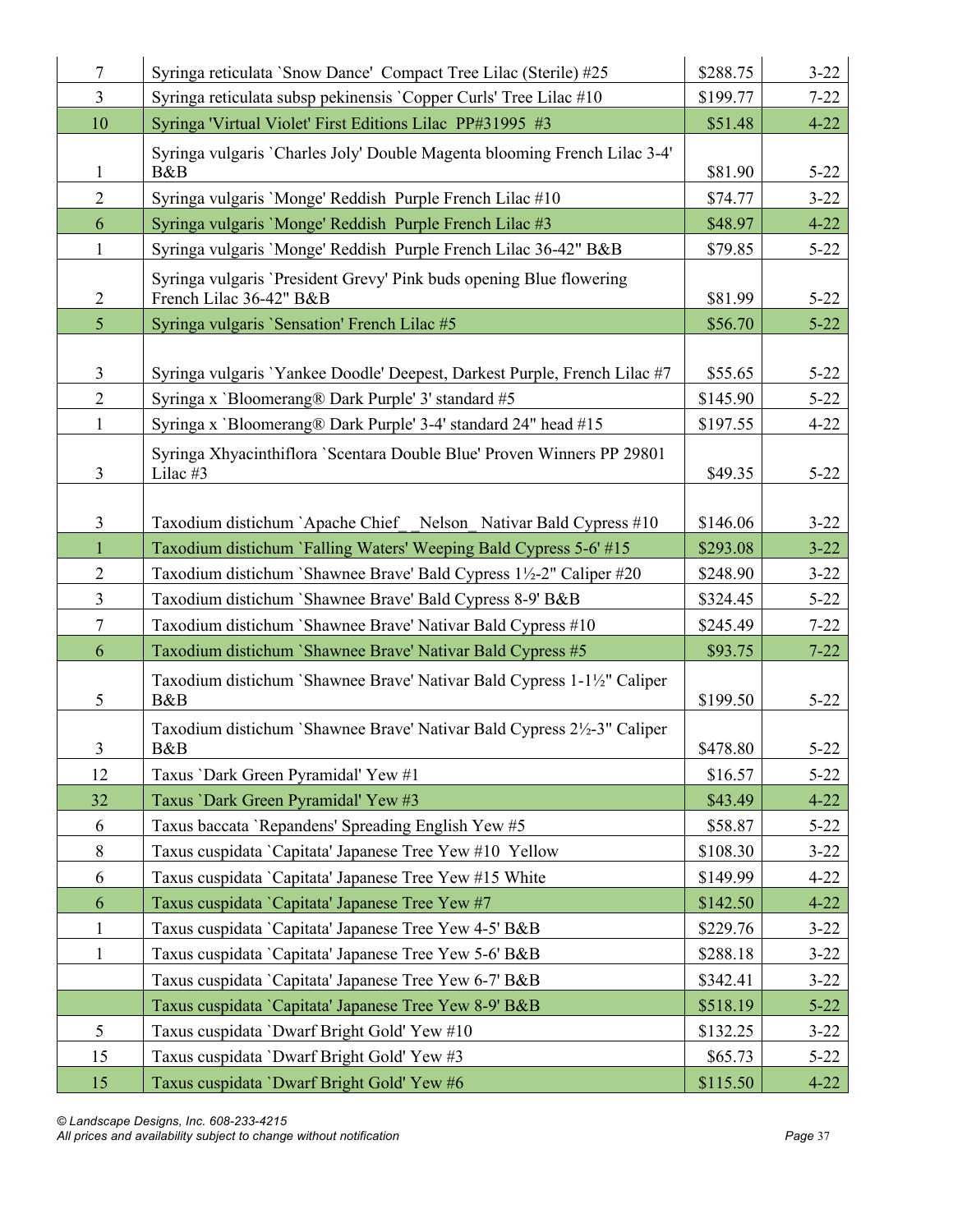| $\tau$         | Syringa reticulata 'Snow Dance' Compact Tree Lilac (Sterile) #25                               | \$288.75 | $3 - 22$ |
|----------------|------------------------------------------------------------------------------------------------|----------|----------|
| $\overline{3}$ | Syringa reticulata subsp pekinensis 'Copper Curls' Tree Lilac #10                              | \$199.77 | $7 - 22$ |
| 10             | Syringa 'Virtual Violet' First Editions Lilac PP#31995 #3                                      | \$51.48  | $4 - 22$ |
|                | Syringa vulgaris `Charles Joly' Double Magenta blooming French Lilac 3-4'                      |          |          |
| 1              | B&B                                                                                            | \$81.90  | $5 - 22$ |
| $\overline{2}$ | Syringa vulgaris 'Monge' Reddish Purple French Lilac #10                                       | \$74.77  | $3 - 22$ |
| 6              | Syringa vulgaris 'Monge' Reddish Purple French Lilac #3                                        | \$48.97  | $4 - 22$ |
| $\mathbf{1}$   | Syringa vulgaris 'Monge' Reddish Purple French Lilac 36-42" B&B                                | \$79.85  | $5 - 22$ |
| $\overline{2}$ | Syringa vulgaris 'President Grevy' Pink buds opening Blue flowering<br>French Lilac 36-42" B&B | \$81.99  | $5 - 22$ |
| $\overline{5}$ | Syringa vulgaris 'Sensation' French Lilac #5                                                   | \$56.70  | $5 - 22$ |
|                |                                                                                                |          |          |
| $\mathfrak{Z}$ | Syringa vulgaris 'Yankee Doodle' Deepest, Darkest Purple, French Lilac #7                      | \$55.65  | $5 - 22$ |
| $\overline{2}$ | Syringa x 'Bloomerang® Dark Purple' 3' standard #5                                             | \$145.90 | $5 - 22$ |
| $\mathbf{1}$   | Syringa x 'Bloomerang® Dark Purple' 3-4' standard 24" head #15                                 | \$197.55 | $4 - 22$ |
|                | Syringa Xhyacinthiflora `Scentara Double Blue' Proven Winners PP 29801                         |          |          |
| $\overline{3}$ | Lilac #3                                                                                       | \$49.35  | $5 - 22$ |
|                |                                                                                                |          |          |
| $\mathfrak{Z}$ | Taxodium distichum `Apache Chief Nelson Nativar Bald Cypress #10                               | \$146.06 | $3 - 22$ |
| $\mathbf{1}$   | Taxodium distichum `Falling Waters' Weeping Bald Cypress 5-6' #15                              | \$293.08 | $3 - 22$ |
| $\overline{2}$ | Taxodium distichum `Shawnee Brave' Bald Cypress 1½-2" Caliper #20                              | \$248.90 | $3 - 22$ |
| $\overline{3}$ | Taxodium distichum `Shawnee Brave' Bald Cypress 8-9' B&B                                       | \$324.45 | $5 - 22$ |
| $\tau$         | Taxodium distichum `Shawnee Brave' Nativar Bald Cypress #10                                    | \$245.49 | $7 - 22$ |
| 6              | Taxodium distichum `Shawnee Brave' Nativar Bald Cypress #5                                     | \$93.75  | $7 - 22$ |
| 5              | Taxodium distichum `Shawnee Brave' Nativar Bald Cypress 1-1½" Caliper<br>B&B                   | \$199.50 | $5 - 22$ |
| 3              | Taxodium distichum 'Shawnee Brave' Nativar Bald Cypress 2½-3" Caliper<br>B&B                   | \$478.80 | $5 - 22$ |
| 12             | Taxus 'Dark Green Pyramidal' Yew #1                                                            | \$16.57  | $5 - 22$ |
| 32             | Taxus 'Dark Green Pyramidal' Yew #3                                                            | \$43.49  | $4 - 22$ |
| 6              | Taxus baccata 'Repandens' Spreading English Yew #5                                             | \$58.87  | $5 - 22$ |
| $8\,$          | Taxus cuspidata 'Capitata' Japanese Tree Yew #10 Yellow                                        | \$108.30 | $3 - 22$ |
| 6              | Taxus cuspidata 'Capitata' Japanese Tree Yew #15 White                                         | \$149.99 | $4 - 22$ |
| 6              | Taxus cuspidata 'Capitata' Japanese Tree Yew #7                                                | \$142.50 | $4 - 22$ |
| $\mathbf{1}$   | Taxus cuspidata 'Capitata' Japanese Tree Yew 4-5' B&B                                          | \$229.76 | $3 - 22$ |
| $\mathbf{1}$   | Taxus cuspidata 'Capitata' Japanese Tree Yew 5-6' B&B                                          | \$288.18 | $3 - 22$ |
|                | Taxus cuspidata 'Capitata' Japanese Tree Yew 6-7' B&B                                          | \$342.41 | $3 - 22$ |
|                | Taxus cuspidata 'Capitata' Japanese Tree Yew 8-9' B&B                                          | \$518.19 | $5 - 22$ |
| 5              | Taxus cuspidata 'Dwarf Bright Gold' Yew #10                                                    | \$132.25 | $3 - 22$ |
| 15             | Taxus cuspidata 'Dwarf Bright Gold' Yew #3                                                     | \$65.73  | $5 - 22$ |
| 15             | Taxus cuspidata 'Dwarf Bright Gold' Yew #6                                                     | \$115.50 | $4 - 22$ |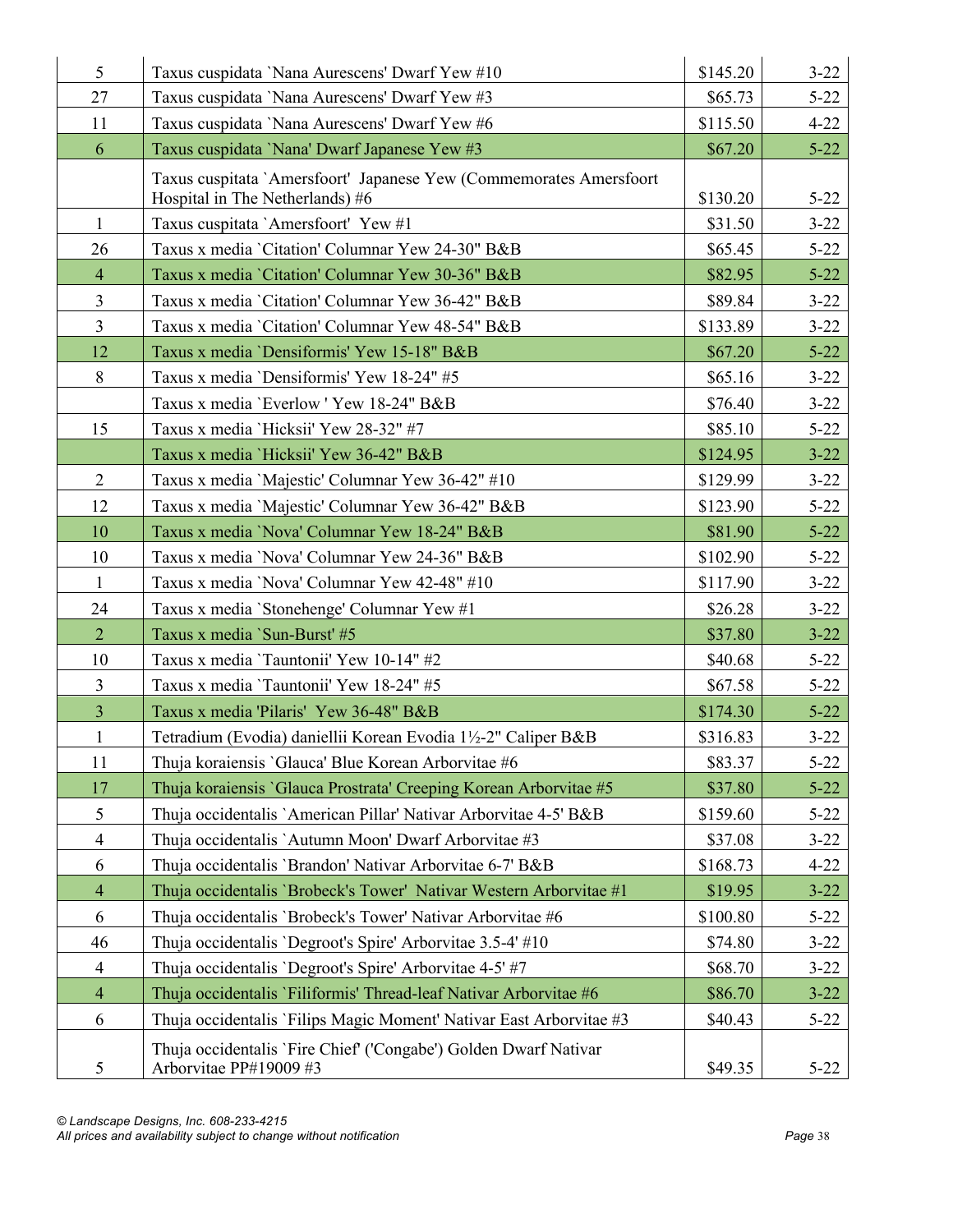| 5                       | Taxus cuspidata 'Nana Aurescens' Dwarf Yew #10                      | \$145.20 | $3 - 22$ |
|-------------------------|---------------------------------------------------------------------|----------|----------|
| 27                      | Taxus cuspidata 'Nana Aurescens' Dwarf Yew #3                       | \$65.73  | $5 - 22$ |
| 11                      | Taxus cuspidata 'Nana Aurescens' Dwarf Yew #6                       | \$115.50 | $4 - 22$ |
| 6                       | Taxus cuspidata 'Nana' Dwarf Japanese Yew #3                        | \$67.20  | $5 - 22$ |
|                         | Taxus cuspitata 'Amersfoort' Japanese Yew (Commemorates Amersfoort  |          |          |
|                         | Hospital in The Netherlands) #6                                     | \$130.20 | $5 - 22$ |
| $\mathbf{1}$            | Taxus cuspitata 'Amersfoort' Yew #1                                 | \$31.50  | $3 - 22$ |
| 26                      | Taxus x media 'Citation' Columnar Yew 24-30" B&B                    | \$65.45  | $5 - 22$ |
| $\overline{4}$          | Taxus x media 'Citation' Columnar Yew 30-36" B&B                    | \$82.95  | $5 - 22$ |
| $\overline{\mathbf{3}}$ | Taxus x media 'Citation' Columnar Yew 36-42" B&B                    | \$89.84  | $3 - 22$ |
| $\overline{3}$          | Taxus x media 'Citation' Columnar Yew 48-54" B&B                    | \$133.89 | $3 - 22$ |
| 12                      | Taxus x media 'Densiformis' Yew 15-18" B&B                          | \$67.20  | $5 - 22$ |
| 8                       | Taxus x media 'Densiformis' Yew 18-24" #5                           | \$65.16  | $3 - 22$ |
|                         | Taxus x media 'Everlow' Yew 18-24" B&B                              | \$76.40  | $3 - 22$ |
| 15                      | Taxus x media 'Hicksii' Yew 28-32" #7                               | \$85.10  | $5 - 22$ |
|                         | Taxus x media 'Hicksii' Yew 36-42" B&B                              | \$124.95 | $3 - 22$ |
| $\overline{2}$          | Taxus x media 'Majestic' Columnar Yew 36-42" #10                    | \$129.99 | $3 - 22$ |
| 12                      | Taxus x media 'Majestic' Columnar Yew 36-42" B&B                    | \$123.90 | $5 - 22$ |
| 10                      | Taxus x media 'Nova' Columnar Yew 18-24" B&B                        | \$81.90  | $5 - 22$ |
| 10                      | Taxus x media 'Nova' Columnar Yew 24-36" B&B                        | \$102.90 | $5 - 22$ |
| $\mathbf{1}$            | Taxus x media 'Nova' Columnar Yew 42-48" #10                        | \$117.90 | $3 - 22$ |
| 24                      | Taxus x media 'Stonehenge' Columnar Yew #1                          | \$26.28  | $3 - 22$ |
| $\overline{2}$          | Taxus x media `Sun-Burst' #5                                        | \$37.80  | $3 - 22$ |
| 10                      | Taxus x media 'Tauntonii' Yew 10-14" #2                             | \$40.68  | $5 - 22$ |
| $\overline{3}$          | Taxus x media 'Tauntonii' Yew 18-24" #5                             | \$67.58  | $5 - 22$ |
| $\overline{3}$          | Taxus x media 'Pilaris' Yew 36-48" B&B                              | \$174.30 | $5 - 22$ |
| $\mathbf{1}$            | Tetradium (Evodia) daniellii Korean Evodia 1½-2" Caliper B&B        | \$316.83 | $3 - 22$ |
| 11                      | Thuja koraiensis 'Glauca' Blue Korean Arborvitae #6                 | \$83.37  | $5 - 22$ |
| 17                      | Thuja koraiensis 'Glauca Prostrata' Creeping Korean Arborvitae #5   | \$37.80  | $5 - 22$ |
| 5                       | Thuja occidentalis `American Pillar' Nativar Arborvitae 4-5' B&B    | \$159.60 | $5 - 22$ |
| $\overline{4}$          | Thuja occidentalis `Autumn Moon' Dwarf Arborvitae #3                | \$37.08  | $3 - 22$ |
| 6                       | Thuja occidentalis 'Brandon' Nativar Arborvitae 6-7' B&B            | \$168.73 | $4 - 22$ |
| $\overline{4}$          | Thuja occidentalis 'Brobeck's Tower' Nativar Western Arborvitae #1  | \$19.95  | $3 - 22$ |
| 6                       | Thuja occidentalis 'Brobeck's Tower' Nativar Arborvitae #6          | \$100.80 | $5 - 22$ |
| 46                      | Thuja occidentalis 'Degroot's Spire' Arborvitae 3.5-4' #10          | \$74.80  | $3 - 22$ |
| $\overline{4}$          | Thuja occidentalis 'Degroot's Spire' Arborvitae 4-5' #7             | \$68.70  | $3 - 22$ |
| $\overline{4}$          | Thuja occidentalis 'Filiformis' Thread-leaf Nativar Arborvitae #6   | \$86.70  | $3 - 22$ |
| 6                       | Thuja occidentalis `Filips Magic Moment' Nativar East Arborvitae #3 | \$40.43  | $5 - 22$ |
|                         | Thuja occidentalis `Fire Chief' ('Congabe') Golden Dwarf Nativar    |          |          |
| 5                       | Arborvitae PP#19009 #3                                              | \$49.35  | $5 - 22$ |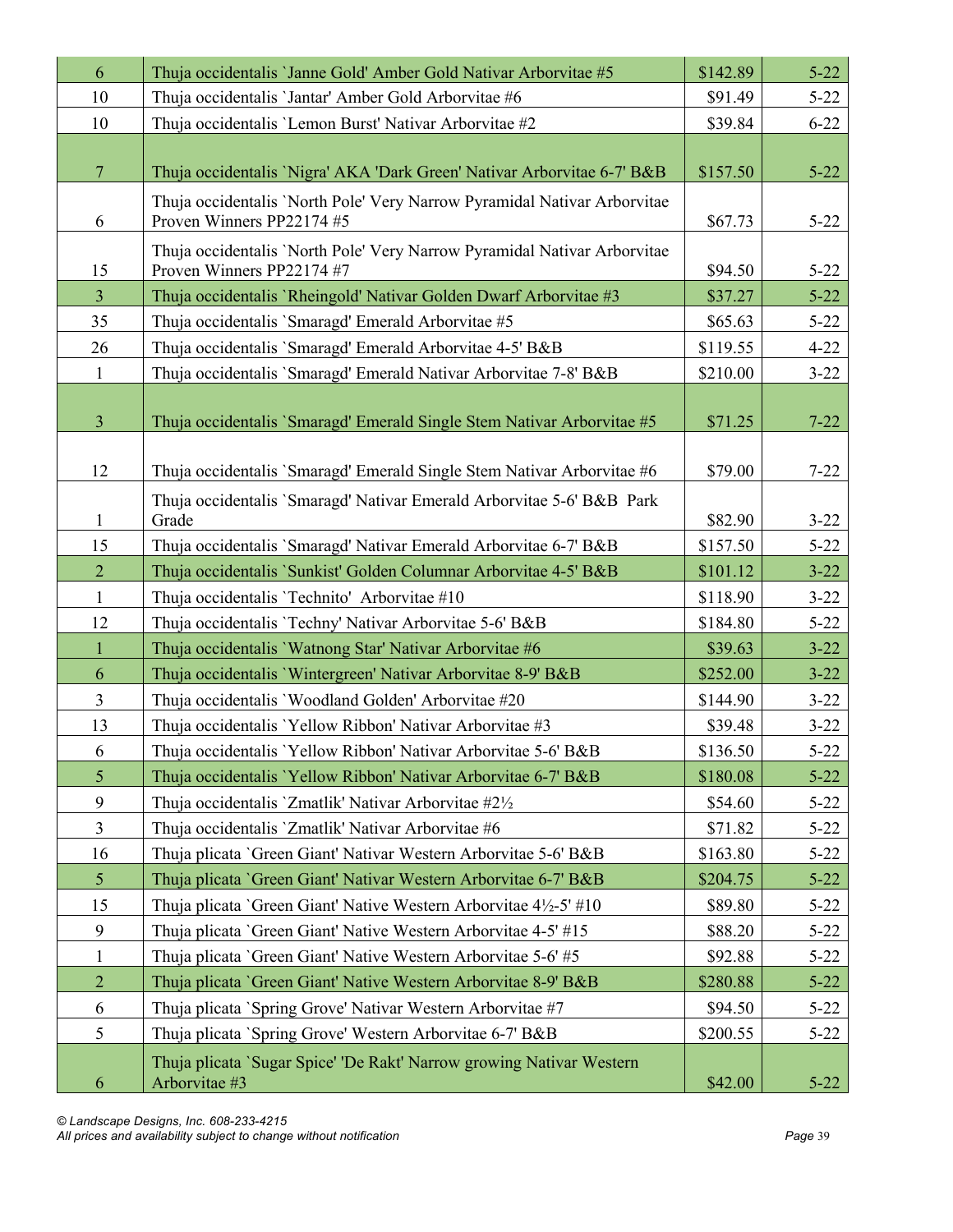| 6              | Thuja occidentalis 'Janne Gold' Amber Gold Nativar Arborvitae #5                                      | \$142.89 | $5 - 22$ |
|----------------|-------------------------------------------------------------------------------------------------------|----------|----------|
| 10             | Thuja occidentalis 'Jantar' Amber Gold Arborvitae #6                                                  | \$91.49  | $5 - 22$ |
| 10             | Thuja occidentalis 'Lemon Burst' Nativar Arborvitae #2                                                | \$39.84  | $6 - 22$ |
|                |                                                                                                       |          |          |
| $\overline{7}$ | Thuja occidentalis 'Nigra' AKA 'Dark Green' Nativar Arborvitae 6-7' B&B                               | \$157.50 | $5 - 22$ |
| 6              | Thuja occidentalis 'North Pole' Very Narrow Pyramidal Nativar Arborvitae<br>Proven Winners PP22174 #5 | \$67.73  | $5 - 22$ |
| 15             | Thuja occidentalis 'North Pole' Very Narrow Pyramidal Nativar Arborvitae<br>Proven Winners PP22174 #7 | \$94.50  | $5 - 22$ |
| $\overline{3}$ | Thuja occidentalis 'Rheingold' Nativar Golden Dwarf Arborvitae #3                                     | \$37.27  | $5 - 22$ |
| 35             | Thuja occidentalis 'Smaragd' Emerald Arborvitae #5                                                    | \$65.63  | $5 - 22$ |
| 26             | Thuja occidentalis 'Smaragd' Emerald Arborvitae 4-5' B&B                                              | \$119.55 | $4 - 22$ |
| $\mathbf{1}$   | Thuja occidentalis `Smaragd' Emerald Nativar Arborvitae 7-8' B&B                                      | \$210.00 | $3 - 22$ |
| $\overline{3}$ | Thuja occidentalis `Smaragd' Emerald Single Stem Nativar Arborvitae #5                                | \$71.25  | $7 - 22$ |
| 12             | Thuja occidentalis `Smaragd' Emerald Single Stem Nativar Arborvitae #6                                | \$79.00  | $7 - 22$ |
| $\mathbf{1}$   | Thuja occidentalis `Smaragd' Nativar Emerald Arborvitae 5-6' B&B Park<br>Grade                        | \$82.90  | $3 - 22$ |
| 15             | Thuja occidentalis `Smaragd' Nativar Emerald Arborvitae 6-7' B&B                                      | \$157.50 | $5 - 22$ |
| $\overline{2}$ | Thuja occidentalis `Sunkist' Golden Columnar Arborvitae 4-5' B&B                                      | \$101.12 | $3 - 22$ |
| 1              | Thuja occidentalis 'Technito' Arborvitae #10                                                          | \$118.90 | $3 - 22$ |
| 12             | Thuja occidentalis 'Techny' Nativar Arborvitae 5-6' B&B                                               | \$184.80 | $5 - 22$ |
| $\mathbf{1}$   | Thuja occidentalis 'Watnong Star' Nativar Arborvitae #6                                               | \$39.63  | $3 - 22$ |
| 6              | Thuja occidentalis 'Wintergreen' Nativar Arborvitae 8-9' B&B                                          | \$252.00 | $3 - 22$ |
| $\overline{3}$ | Thuja occidentalis 'Woodland Golden' Arborvitae #20                                                   | \$144.90 | $3 - 22$ |
| 13             | Thuja occidentalis 'Yellow Ribbon' Nativar Arborvitae #3                                              | \$39.48  | $3 - 22$ |
| 6              | Thuja occidentalis 'Yellow Ribbon' Nativar Arborvitae 5-6' B&B                                        | \$136.50 | $5 - 22$ |
| 5              | Thuja occidentalis 'Yellow Ribbon' Nativar Arborvitae 6-7' B&B                                        | \$180.08 | $5 - 22$ |
| 9              | Thuja occidentalis 'Zmatlik' Nativar Arborvitae #2½                                                   | \$54.60  | $5 - 22$ |
| $\overline{3}$ | Thuja occidentalis 'Zmatlik' Nativar Arborvitae #6                                                    | \$71.82  | $5 - 22$ |
| 16             | Thuja plicata 'Green Giant' Nativar Western Arborvitae 5-6' B&B                                       | \$163.80 | $5 - 22$ |
| $\mathfrak{H}$ | Thuja plicata 'Green Giant' Nativar Western Arborvitae 6-7' B&B                                       | \$204.75 | $5 - 22$ |
| 15             | Thuja plicata 'Green Giant' Native Western Arborvitae 4½-5' #10                                       | \$89.80  | $5 - 22$ |
| 9              | Thuja plicata 'Green Giant' Native Western Arborvitae 4-5' #15                                        | \$88.20  | $5 - 22$ |
| $\mathbf{1}$   | Thuja plicata 'Green Giant' Native Western Arborvitae 5-6' #5                                         | \$92.88  | $5 - 22$ |
| $\overline{2}$ | Thuja plicata 'Green Giant' Native Western Arborvitae 8-9' B&B                                        | \$280.88 | $5 - 22$ |
| 6              | Thuja plicata `Spring Grove' Nativar Western Arborvitae #7                                            | \$94.50  | $5 - 22$ |
| 5              | Thuja plicata 'Spring Grove' Western Arborvitae 6-7' B&B                                              | \$200.55 | $5 - 22$ |
| 6              | Thuja plicata `Sugar Spice' 'De Rakt' Narrow growing Nativar Western<br>Arborvitae #3                 | \$42.00  | $5 - 22$ |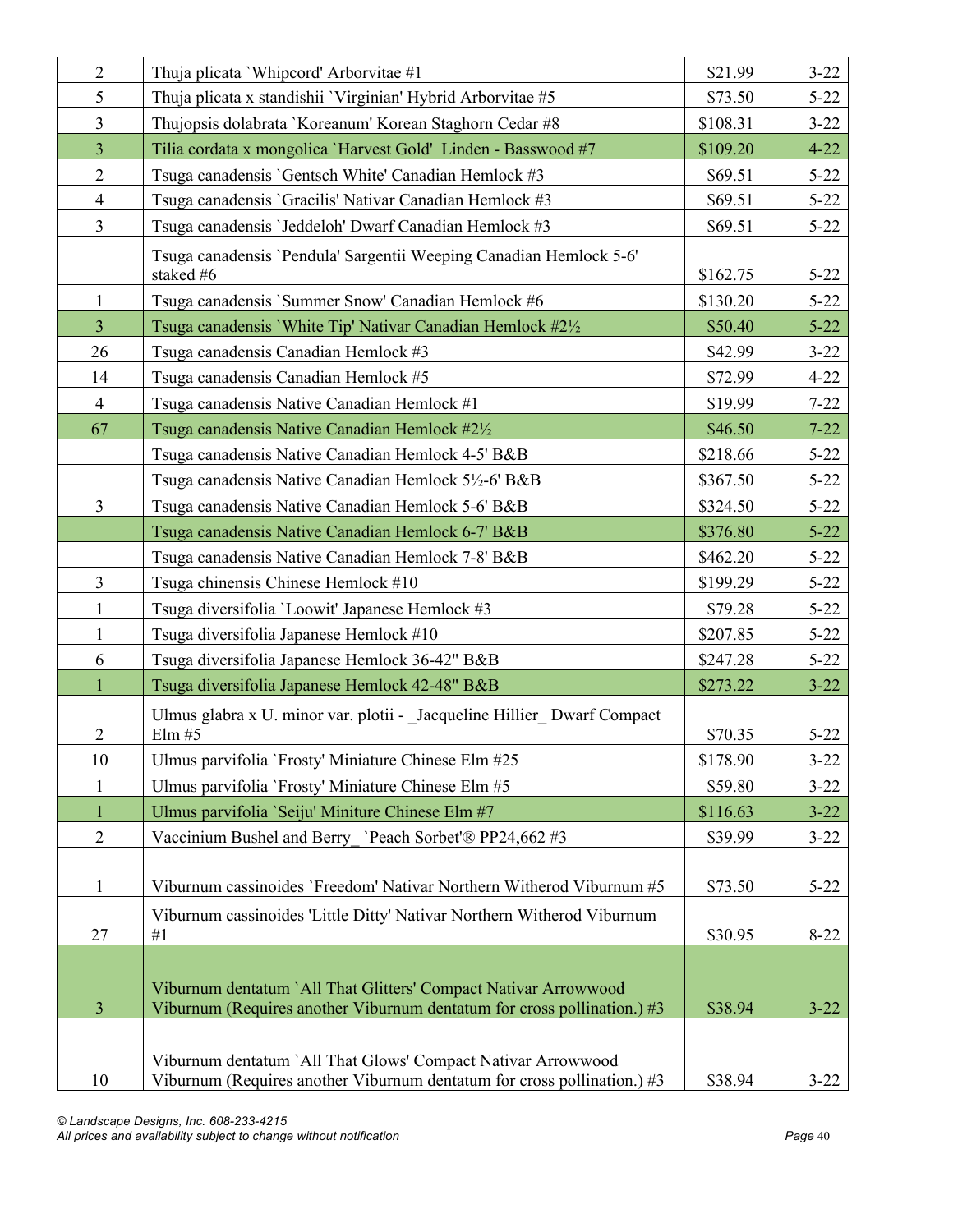| $\overline{2}$ | Thuja plicata 'Whipcord' Arborvitae #1                                                                                                     | \$21.99  | $3 - 22$ |
|----------------|--------------------------------------------------------------------------------------------------------------------------------------------|----------|----------|
| 5              | Thuja plicata x standishii 'Virginian' Hybrid Arborvitae #5                                                                                | \$73.50  | $5 - 22$ |
| $\overline{3}$ | Thujopsis dolabrata 'Koreanum' Korean Staghorn Cedar #8                                                                                    | \$108.31 | $3 - 22$ |
| $\overline{3}$ | Tilia cordata x mongolica 'Harvest Gold' Linden - Basswood #7                                                                              | \$109.20 | $4 - 22$ |
| $\overline{2}$ | Tsuga canadensis 'Gentsch White' Canadian Hemlock #3                                                                                       | \$69.51  | $5 - 22$ |
| $\overline{4}$ | Tsuga canadensis 'Gracilis' Nativar Canadian Hemlock #3                                                                                    | \$69.51  | $5 - 22$ |
| $\overline{3}$ | Tsuga canadensis 'Jeddeloh' Dwarf Canadian Hemlock #3                                                                                      | \$69.51  | $5 - 22$ |
|                | Tsuga canadensis 'Pendula' Sargentii Weeping Canadian Hemlock 5-6'<br>staked #6                                                            | \$162.75 | $5 - 22$ |
| $\mathbf{1}$   | Tsuga canadensis 'Summer Snow' Canadian Hemlock #6                                                                                         | \$130.20 | $5 - 22$ |
| $\overline{3}$ | Tsuga canadensis 'White Tip' Nativar Canadian Hemlock #21/2                                                                                | \$50.40  | $5 - 22$ |
| 26             | Tsuga canadensis Canadian Hemlock #3                                                                                                       | \$42.99  | $3 - 22$ |
| 14             | Tsuga canadensis Canadian Hemlock #5                                                                                                       | \$72.99  | $4 - 22$ |
| $\overline{4}$ | Tsuga canadensis Native Canadian Hemlock #1                                                                                                | \$19.99  | $7 - 22$ |
| 67             | Tsuga canadensis Native Canadian Hemlock #2½                                                                                               | \$46.50  | $7 - 22$ |
|                | Tsuga canadensis Native Canadian Hemlock 4-5' B&B                                                                                          | \$218.66 | $5 - 22$ |
|                | Tsuga canadensis Native Canadian Hemlock 5½-6' B&B                                                                                         | \$367.50 | $5 - 22$ |
| $\overline{3}$ | Tsuga canadensis Native Canadian Hemlock 5-6' B&B                                                                                          | \$324.50 | $5 - 22$ |
|                | Tsuga canadensis Native Canadian Hemlock 6-7' B&B                                                                                          | \$376.80 | $5 - 22$ |
|                | Tsuga canadensis Native Canadian Hemlock 7-8' B&B                                                                                          | \$462.20 | $5 - 22$ |
| $\overline{3}$ | Tsuga chinensis Chinese Hemlock #10                                                                                                        | \$199.29 | $5 - 22$ |
| $\mathbf{1}$   | Tsuga diversifolia 'Loowit' Japanese Hemlock #3                                                                                            | \$79.28  | $5 - 22$ |
| $\mathbf{1}$   | Tsuga diversifolia Japanese Hemlock #10                                                                                                    | \$207.85 | $5 - 22$ |
| 6              | Tsuga diversifolia Japanese Hemlock 36-42" B&B                                                                                             | \$247.28 | $5 - 22$ |
| $\mathbf{1}$   | Tsuga diversifolia Japanese Hemlock 42-48" B&B                                                                                             | \$273.22 | $3 - 22$ |
| $\overline{2}$ | Ulmus glabra x U. minor var. plotii - Jacqueline Hillier Dwarf Compact<br>Elm #5                                                           | \$70.35  | $5 - 22$ |
| 10             | Ulmus parvifolia 'Frosty' Miniature Chinese Elm #25                                                                                        | \$178.90 | $3 - 22$ |
| 1              | Ulmus parvifolia `Frosty' Miniature Chinese Elm #5                                                                                         | \$59.80  | $3 - 22$ |
| 1              | Ulmus parvifolia 'Seiju' Miniture Chinese Elm #7                                                                                           | \$116.63 | $3 - 22$ |
| $\overline{2}$ | Vaccinium Bushel and Berry `Peach Sorbet'® PP24,662 #3                                                                                     | \$39.99  | $3 - 22$ |
| $\mathbf{1}$   | Viburnum cassinoides 'Freedom' Nativar Northern Witherod Viburnum #5                                                                       | \$73.50  | $5 - 22$ |
| 27             | Viburnum cassinoides 'Little Ditty' Nativar Northern Witherod Viburnum<br>#1                                                               | \$30.95  | $8 - 22$ |
| $\overline{3}$ | Viburnum dentatum `All That Glitters' Compact Nativar Arrowwood<br>Viburnum (Requires another Viburnum dentatum for cross pollination.) #3 | \$38.94  | $3 - 22$ |
| 10             | Viburnum dentatum `All That Glows' Compact Nativar Arrowwood<br>Viburnum (Requires another Viburnum dentatum for cross pollination.) #3    | \$38.94  | $3 - 22$ |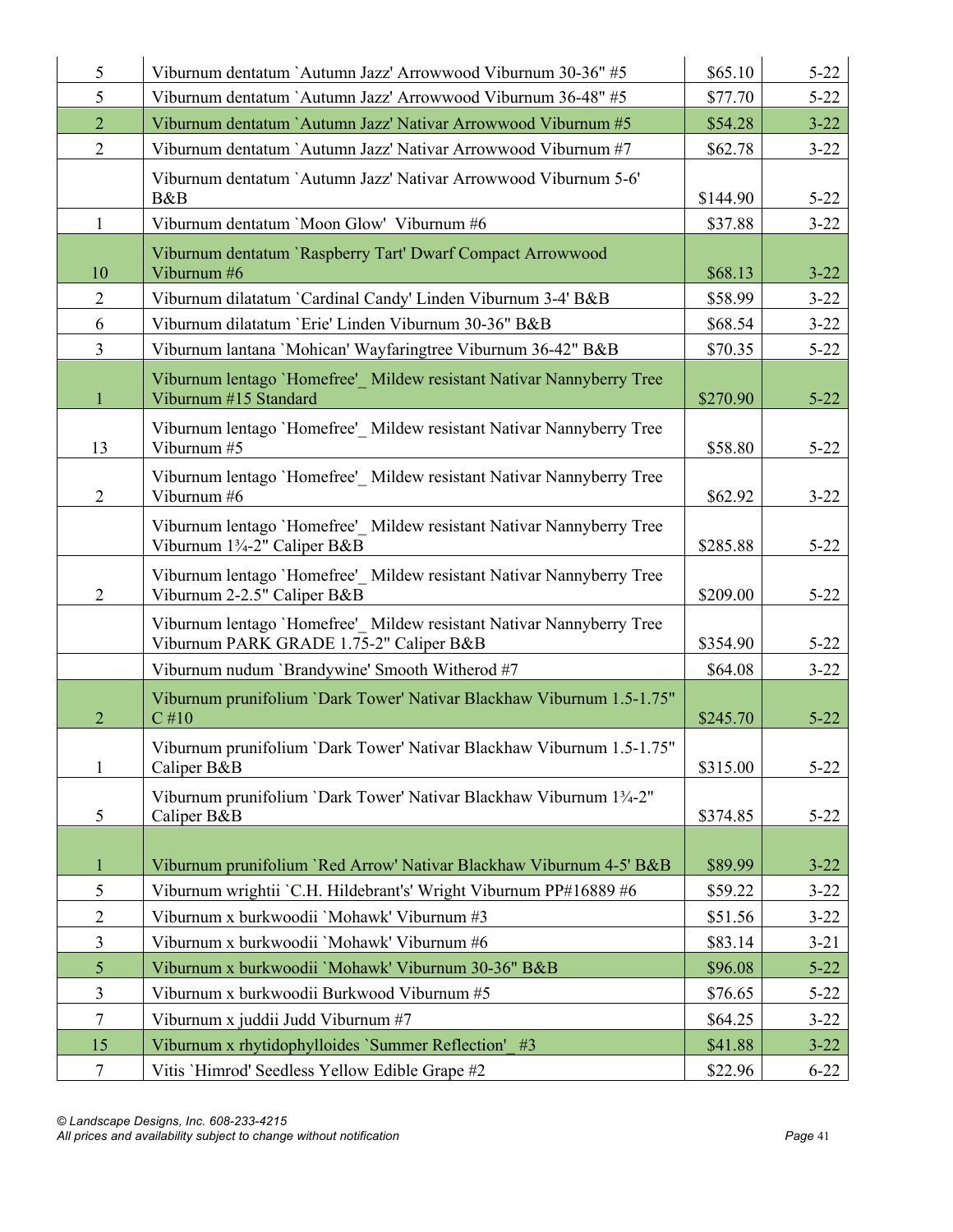| 5              | Viburnum dentatum `Autumn Jazz' Arrowwood Viburnum 30-36" #5                                                    | \$65.10  | $5 - 22$ |
|----------------|-----------------------------------------------------------------------------------------------------------------|----------|----------|
| 5              | Viburnum dentatum `Autumn Jazz' Arrowwood Viburnum 36-48" #5                                                    | \$77.70  | $5 - 22$ |
| $\overline{2}$ | Viburnum dentatum `Autumn Jazz' Nativar Arrowwood Viburnum #5                                                   | \$54.28  | $3 - 22$ |
| $\overline{2}$ | Viburnum dentatum `Autumn Jazz' Nativar Arrowwood Viburnum #7                                                   | \$62.78  | $3 - 22$ |
|                | Viburnum dentatum `Autumn Jazz' Nativar Arrowwood Viburnum 5-6'<br>B&B                                          | \$144.90 | $5 - 22$ |
| $\mathbf{1}$   | Viburnum dentatum 'Moon Glow' Viburnum #6                                                                       | \$37.88  | $3 - 22$ |
| 10             | Viburnum dentatum `Raspberry Tart' Dwarf Compact Arrowwood<br>Viburnum #6                                       | \$68.13  | $3 - 22$ |
| $\overline{2}$ | Viburnum dilatatum `Cardinal Candy' Linden Viburnum 3-4' B&B                                                    | \$58.99  | $3 - 22$ |
| 6              | Viburnum dilatatum 'Erie' Linden Viburnum 30-36" B&B                                                            | \$68.54  | $3 - 22$ |
| $\overline{3}$ | Viburnum lantana 'Mohican' Wayfaringtree Viburnum 36-42" B&B                                                    | \$70.35  | $5 - 22$ |
| $\mathbf{1}$   | Viburnum lentago 'Homefree' Mildew resistant Nativar Nannyberry Tree<br>Viburnum #15 Standard                   | \$270.90 | $5 - 22$ |
| 13             | Viburnum lentago 'Homefree' Mildew resistant Nativar Nannyberry Tree<br>Viburnum #5                             | \$58.80  | $5 - 22$ |
| $\overline{2}$ | Viburnum lentago 'Homefree'_ Mildew resistant Nativar Nannyberry Tree<br>Viburnum #6                            | \$62.92  | $3 - 22$ |
|                | Viburnum lentago 'Homefree' Mildew resistant Nativar Nannyberry Tree<br>Viburnum 13/4-2" Caliper B&B            | \$285.88 | $5 - 22$ |
| $\overline{2}$ | Viburnum lentago 'Homefree' Mildew resistant Nativar Nannyberry Tree<br>Viburnum 2-2.5" Caliper B&B             | \$209.00 | $5 - 22$ |
|                | Viburnum lentago 'Homefree' Mildew resistant Nativar Nannyberry Tree<br>Viburnum PARK GRADE 1.75-2" Caliper B&B | \$354.90 | $5 - 22$ |
|                | Viburnum nudum 'Brandywine' Smooth Witherod #7                                                                  | \$64.08  | $3 - 22$ |
| $\overline{2}$ | Viburnum prunifolium `Dark Tower' Nativar Blackhaw Viburnum 1.5-1.75"<br>$C$ #10                                | \$245.70 | $5 - 22$ |
| $\mathbf{1}$   | Viburnum prunifolium `Dark Tower' Nativar Blackhaw Viburnum 1.5-1.75"<br>Caliper B&B                            | \$315.00 | $5 - 22$ |
| 5              | Viburnum prunifolium 'Dark Tower' Nativar Blackhaw Viburnum 13/4-2"<br>Caliper B&B                              | \$374.85 | $5 - 22$ |
| $\mathbf{1}$   | Viburnum prunifolium 'Red Arrow' Nativar Blackhaw Viburnum 4-5' B&B                                             | \$89.99  | $3 - 22$ |
| 5              | Viburnum wrightii `C.H. Hildebrant's' Wright Viburnum PP#16889 #6                                               | \$59.22  | $3 - 22$ |
| $\overline{2}$ | Viburnum x burkwoodii 'Mohawk' Viburnum #3                                                                      | \$51.56  | $3 - 22$ |
| $\mathfrak{Z}$ | Viburnum x burkwoodii 'Mohawk' Viburnum #6                                                                      | \$83.14  | $3 - 21$ |
| $\mathfrak{S}$ | Viburnum x burkwoodii 'Mohawk' Viburnum 30-36" B&B                                                              | \$96.08  | $5 - 22$ |
| $\overline{3}$ | Viburnum x burkwoodii Burkwood Viburnum #5                                                                      | \$76.65  | $5 - 22$ |
| $\tau$         | Viburnum x juddii Judd Viburnum #7                                                                              | \$64.25  | $3 - 22$ |
| 15             | Viburnum x rhytidophylloides 'Summer Reflection' #3                                                             | \$41.88  | $3 - 22$ |
| $\tau$         | Vitis 'Himrod' Seedless Yellow Edible Grape #2                                                                  | \$22.96  | $6 - 22$ |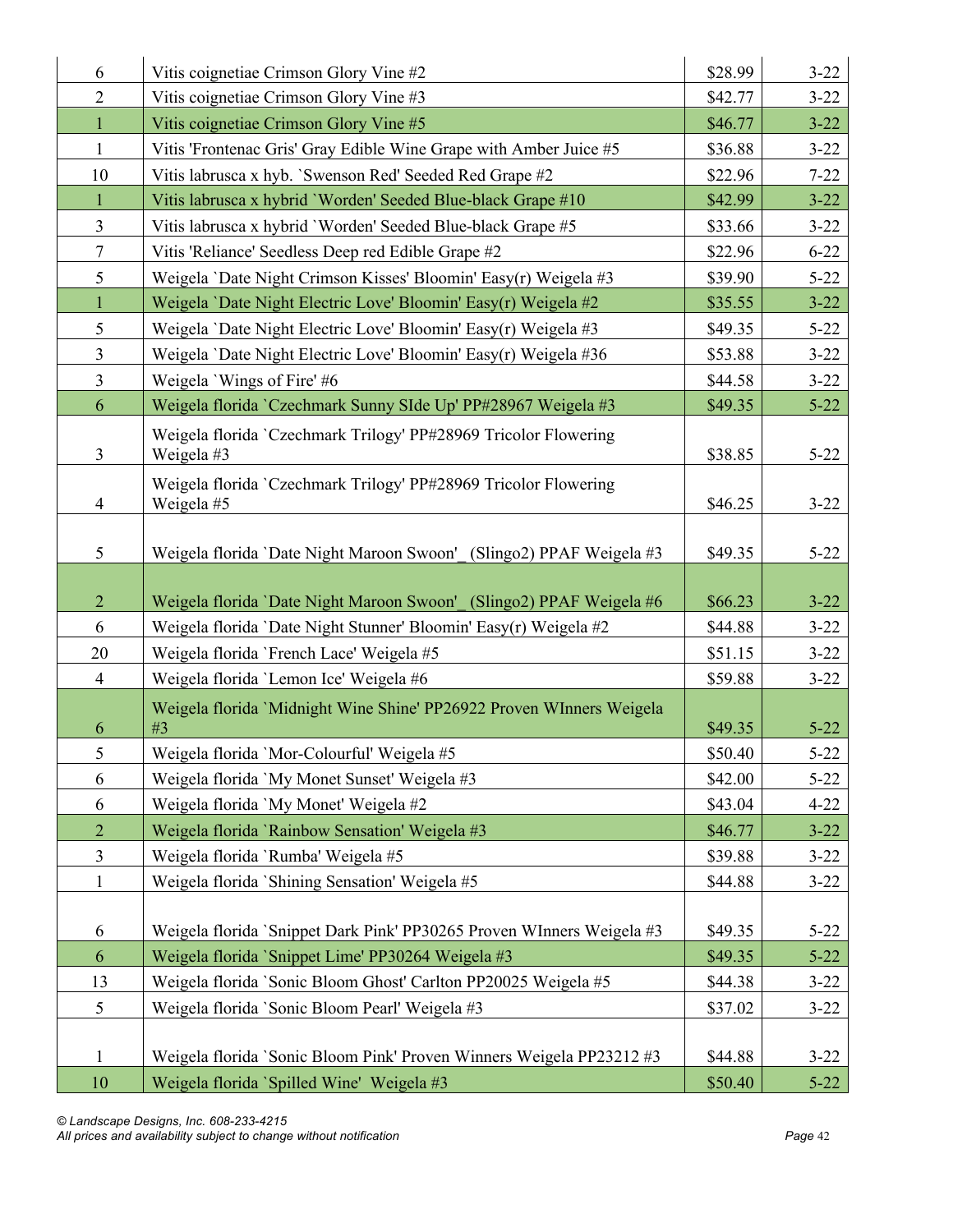| 6                   | Vitis coignetiae Crimson Glory Vine #2                                                                       | \$28.99            | $3 - 22$             |
|---------------------|--------------------------------------------------------------------------------------------------------------|--------------------|----------------------|
| $\overline{2}$      | Vitis coignetiae Crimson Glory Vine #3                                                                       | \$42.77            | $3 - 22$             |
| $\mathbf{1}$        | Vitis coignetiae Crimson Glory Vine #5                                                                       | \$46.77            | $3 - 22$             |
| $\mathbf{1}$        | Vitis 'Frontenac Gris' Gray Edible Wine Grape with Amber Juice #5                                            | \$36.88            | $3 - 22$             |
| 10                  | Vitis labrusca x hyb. 'Swenson Red' Seeded Red Grape #2                                                      | \$22.96            | $7 - 22$             |
| 1                   | Vitis labrusca x hybrid 'Worden' Seeded Blue-black Grape #10                                                 | \$42.99            | $3 - 22$             |
| 3                   | Vitis labrusca x hybrid 'Worden' Seeded Blue-black Grape #5                                                  | \$33.66            | $3 - 22$             |
| $\overline{7}$      | Vitis 'Reliance' Seedless Deep red Edible Grape #2                                                           | \$22.96            | $6 - 22$             |
| 5                   | Weigela 'Date Night Crimson Kisses' Bloomin' Easy(r) Weigela #3                                              | \$39.90            | $5 - 22$             |
| $\mathbf{1}$        | Weigela 'Date Night Electric Love' Bloomin' Easy(r) Weigela #2                                               | \$35.55            | $3 - 22$             |
| 5                   | Weigela 'Date Night Electric Love' Bloomin' Easy(r) Weigela #3                                               | \$49.35            | $5 - 22$             |
| 3                   | Weigela 'Date Night Electric Love' Bloomin' Easy(r) Weigela #36                                              | \$53.88            | $3 - 22$             |
| $\overline{3}$      | Weigela 'Wings of Fire' #6                                                                                   | \$44.58            | $3 - 22$             |
| 6                   | Weigela florida `Czechmark Sunny SIde Up' PP#28967 Weigela #3                                                | \$49.35            | $5 - 22$             |
|                     | Weigela florida `Czechmark Trilogy' PP#28969 Tricolor Flowering                                              |                    |                      |
| 3                   | Weigela #3                                                                                                   | \$38.85            | $5 - 22$             |
| $\overline{4}$      | Weigela florida 'Czechmark Trilogy' PP#28969 Tricolor Flowering<br>Weigela #5                                | \$46.25            | $3 - 22$             |
| 5                   | Weigela florida 'Date Night Maroon Swoon' (Slingo2) PPAF Weigela #3                                          | \$49.35            | $5 - 22$             |
|                     |                                                                                                              |                    |                      |
| $\overline{2}$<br>6 | Weigela florida 'Date Night Maroon Swoon' (Slingo2) PPAF Weigela #6                                          | \$66.23            | $3 - 22$             |
| 20                  | Weigela florida `Date Night Stunner' Bloomin' Easy(r) Weigela #2<br>Weigela florida 'French Lace' Weigela #5 | \$44.88<br>\$51.15 | $3 - 22$<br>$3 - 22$ |
| $\overline{4}$      | Weigela florida 'Lemon Ice' Weigela #6                                                                       | \$59.88            | $3 - 22$             |
|                     |                                                                                                              |                    |                      |
| 6                   | Weigela florida 'Midnight Wine Shine' PP26922 Proven WInners Weigela<br>#3                                   | \$49.35            | $5 - 22$             |
| 5                   | Weigela florida 'Mor-Colourful' Weigela #5                                                                   | \$50.40            | $5 - 22$             |
| 6                   | Weigela florida 'My Monet Sunset' Weigela #3                                                                 | \$42.00            | $5 - 22$             |
| 6                   | Weigela florida 'My Monet' Weigela #2                                                                        | \$43.04            | $4 - 22$             |
| $\overline{2}$      | Weigela florida 'Rainbow Sensation' Weigela #3                                                               | \$46.77            | $3 - 22$             |
| $\overline{3}$      | Weigela florida 'Rumba' Weigela #5                                                                           | \$39.88            | $3 - 22$             |
| $\mathbf{1}$        | Weigela florida `Shining Sensation' Weigela #5                                                               | \$44.88            | $3 - 22$             |
|                     |                                                                                                              |                    |                      |
| 6                   | Weigela florida `Snippet Dark Pink' PP30265 Proven WInners Weigela #3                                        | \$49.35            | $5 - 22$             |
| 6                   | Weigela florida `Snippet Lime' PP30264 Weigela #3                                                            | \$49.35            | $5 - 22$             |
| 13                  | Weigela florida `Sonic Bloom Ghost' Carlton PP20025 Weigela #5                                               | \$44.38            | $3 - 22$             |
| 5                   |                                                                                                              |                    |                      |
|                     | Weigela florida 'Sonic Bloom Pearl' Weigela #3                                                               | \$37.02            | $3 - 22$             |
| 1                   | Weigela florida 'Sonic Bloom Pink' Proven Winners Weigela PP23212 #3                                         | \$44.88            | $3 - 22$             |